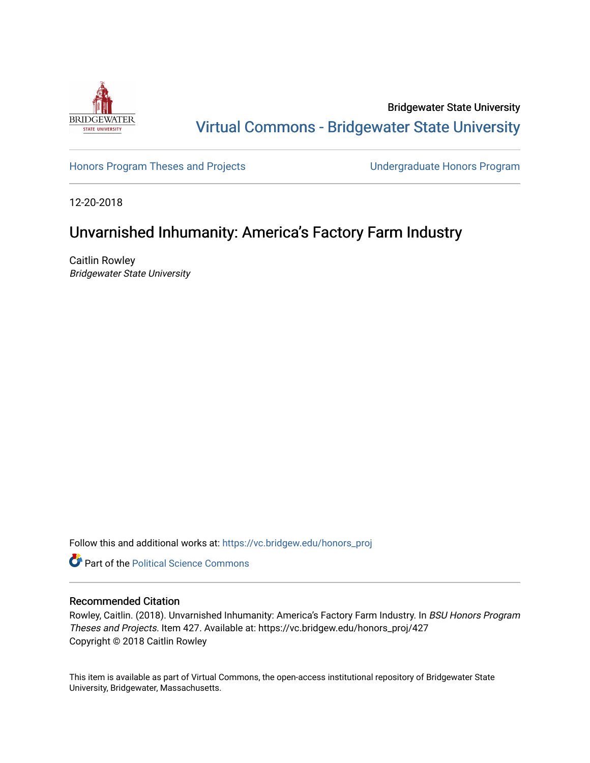

Bridgewater State University [Virtual Commons - Bridgewater State University](https://vc.bridgew.edu/) 

[Honors Program Theses and Projects](https://vc.bridgew.edu/honors_proj) [Undergraduate Honors Program](https://vc.bridgew.edu/honors) 

12-20-2018

# Unvarnished Inhumanity: America's Factory Farm Industry

Caitlin Rowley Bridgewater State University

Follow this and additional works at: [https://vc.bridgew.edu/honors\\_proj](https://vc.bridgew.edu/honors_proj?utm_source=vc.bridgew.edu%2Fhonors_proj%2F427&utm_medium=PDF&utm_campaign=PDFCoverPages)

**Part of the Political Science Commons** 

## Recommended Citation

Rowley, Caitlin. (2018). Unvarnished Inhumanity: America's Factory Farm Industry. In BSU Honors Program Theses and Projects. Item 427. Available at: https://vc.bridgew.edu/honors\_proj/427 Copyright © 2018 Caitlin Rowley

This item is available as part of Virtual Commons, the open-access institutional repository of Bridgewater State University, Bridgewater, Massachusetts.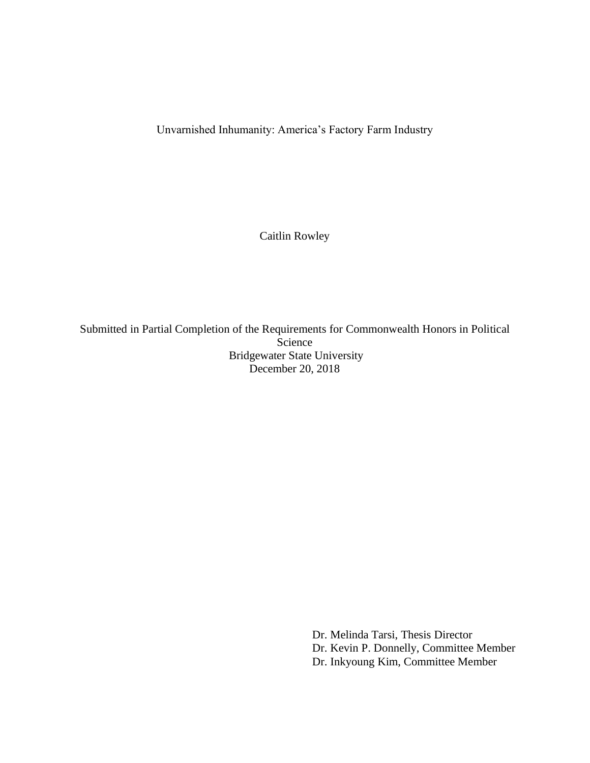Unvarnished Inhumanity: America's Factory Farm Industry

Caitlin Rowley

Submitted in Partial Completion of the Requirements for Commonwealth Honors in Political Science Bridgewater State University December 20, 2018

> Dr. Melinda Tarsi, Thesis Director Dr. Kevin P. Donnelly, Committee Member Dr. Inkyoung Kim, Committee Member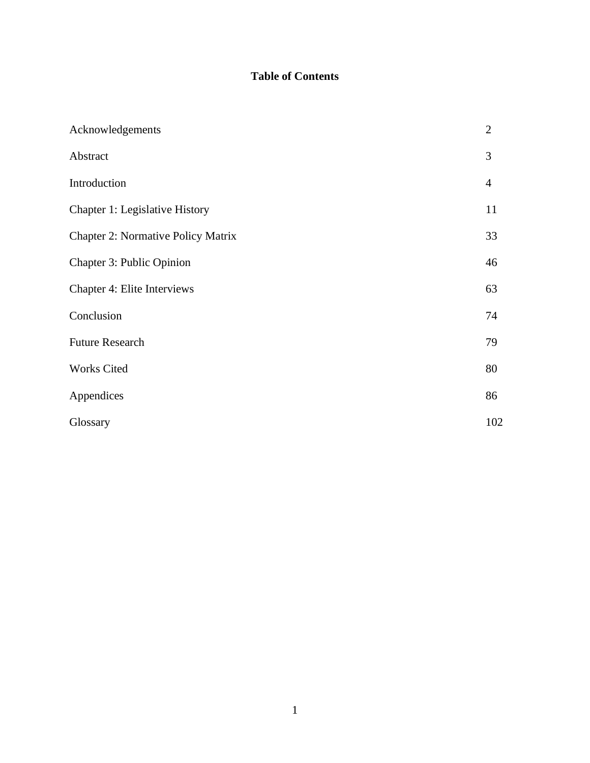# **Table of Contents**

| Acknowledgements                          | $\overline{2}$ |
|-------------------------------------------|----------------|
| Abstract                                  | 3              |
| Introduction                              | $\overline{4}$ |
| Chapter 1: Legislative History            | 11             |
| <b>Chapter 2: Normative Policy Matrix</b> | 33             |
| Chapter 3: Public Opinion                 | 46             |
| Chapter 4: Elite Interviews               | 63             |
| Conclusion                                | 74             |
| <b>Future Research</b>                    | 79             |
| Works Cited                               | 80             |
| Appendices                                | 86             |
| Glossary                                  | 102            |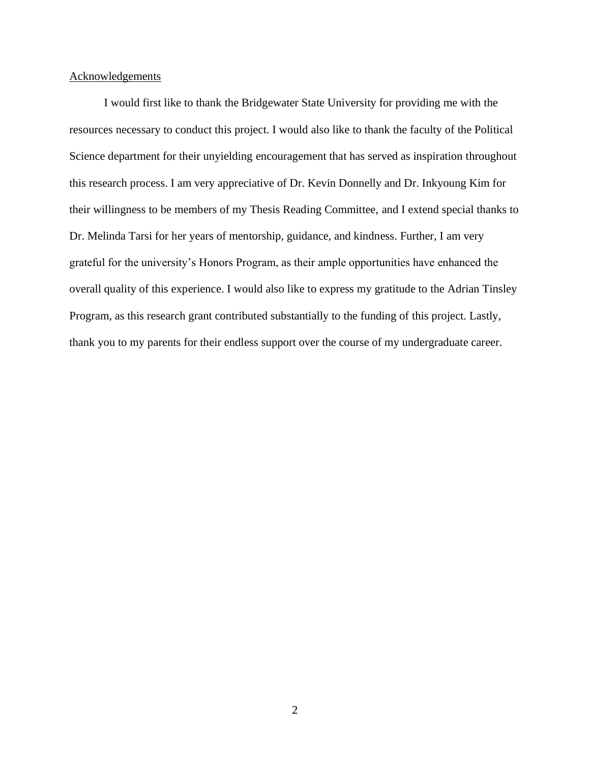## Acknowledgements

I would first like to thank the Bridgewater State University for providing me with the resources necessary to conduct this project. I would also like to thank the faculty of the Political Science department for their unyielding encouragement that has served as inspiration throughout this research process. I am very appreciative of Dr. Kevin Donnelly and Dr. Inkyoung Kim for their willingness to be members of my Thesis Reading Committee, and I extend special thanks to Dr. Melinda Tarsi for her years of mentorship, guidance, and kindness. Further, I am very grateful for the university's Honors Program, as their ample opportunities have enhanced the overall quality of this experience. I would also like to express my gratitude to the Adrian Tinsley Program, as this research grant contributed substantially to the funding of this project. Lastly, thank you to my parents for their endless support over the course of my undergraduate career.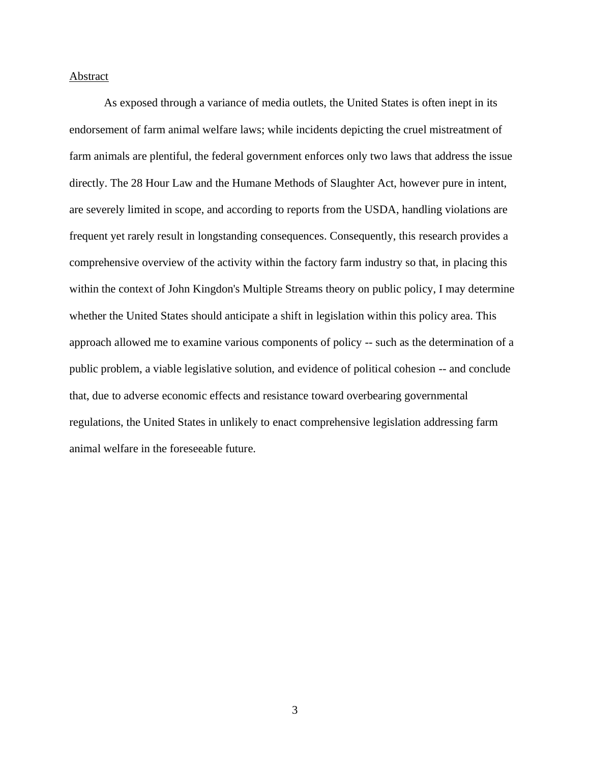## **Abstract**

As exposed through a variance of media outlets, the United States is often inept in its endorsement of farm animal welfare laws; while incidents depicting the cruel mistreatment of farm animals are plentiful, the federal government enforces only two laws that address the issue directly. The 28 Hour Law and the Humane Methods of Slaughter Act, however pure in intent, are severely limited in scope, and according to reports from the USDA, handling violations are frequent yet rarely result in longstanding consequences. Consequently, this research provides a comprehensive overview of the activity within the factory farm industry so that, in placing this within the context of John Kingdon's Multiple Streams theory on public policy, I may determine whether the United States should anticipate a shift in legislation within this policy area. This approach allowed me to examine various components of policy -- such as the determination of a public problem, a viable legislative solution, and evidence of political cohesion -- and conclude that, due to adverse economic effects and resistance toward overbearing governmental regulations, the United States in unlikely to enact comprehensive legislation addressing farm animal welfare in the foreseeable future.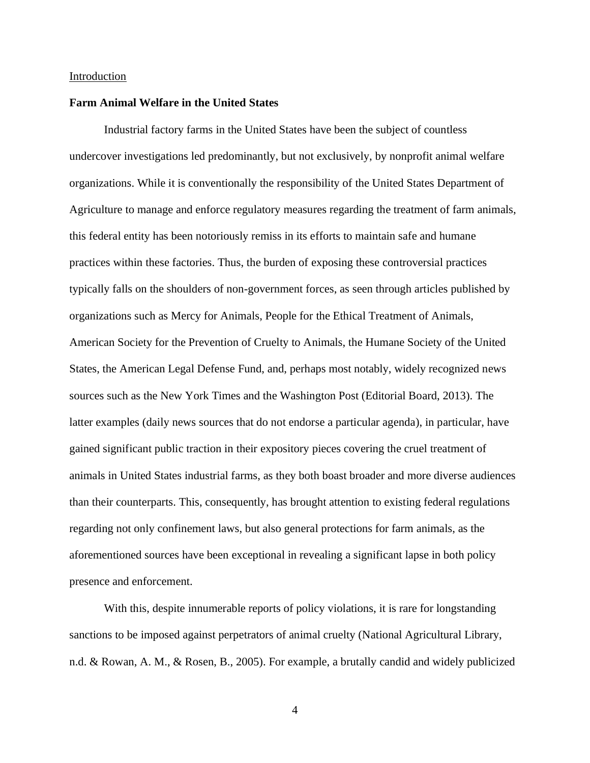#### Introduction

### **Farm Animal Welfare in the United States**

Industrial factory farms in the United States have been the subject of countless undercover investigations led predominantly, but not exclusively, by nonprofit animal welfare organizations. While it is conventionally the responsibility of the United States Department of Agriculture to manage and enforce regulatory measures regarding the treatment of farm animals, this federal entity has been notoriously remiss in its efforts to maintain safe and humane practices within these factories. Thus, the burden of exposing these controversial practices typically falls on the shoulders of non-government forces, as seen through articles published by organizations such as Mercy for Animals, People for the Ethical Treatment of Animals, American Society for the Prevention of Cruelty to Animals, the Humane Society of the United States, the American Legal Defense Fund, and, perhaps most notably, widely recognized news sources such as the New York Times and the Washington Post (Editorial Board, 2013). The latter examples (daily news sources that do not endorse a particular agenda), in particular, have gained significant public traction in their expository pieces covering the cruel treatment of animals in United States industrial farms, as they both boast broader and more diverse audiences than their counterparts. This, consequently, has brought attention to existing federal regulations regarding not only confinement laws, but also general protections for farm animals, as the aforementioned sources have been exceptional in revealing a significant lapse in both policy presence and enforcement.

With this, despite innumerable reports of policy violations, it is rare for longstanding sanctions to be imposed against perpetrators of animal cruelty (National Agricultural Library, n.d. & Rowan, A. M., & Rosen, B., 2005). For example, a brutally candid and widely publicized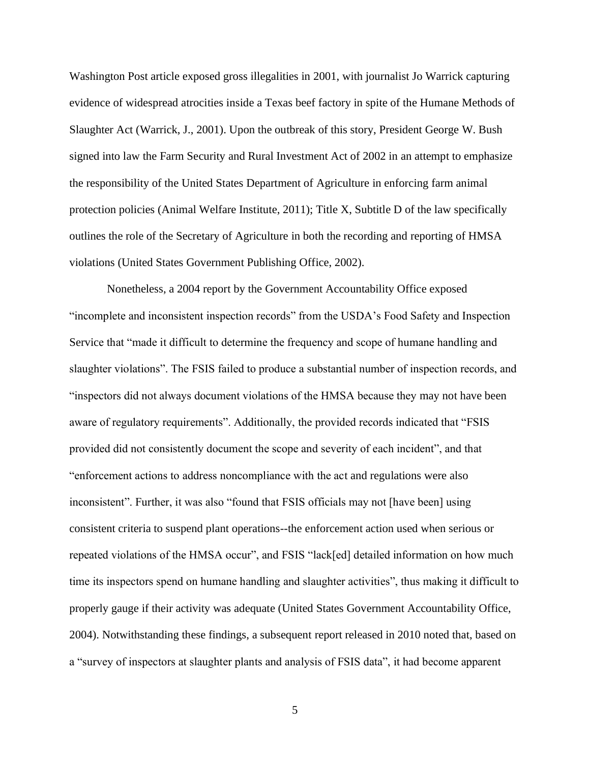Washington Post article exposed gross illegalities in 2001, with journalist Jo Warrick capturing evidence of widespread atrocities inside a Texas beef factory in spite of the Humane Methods of Slaughter Act (Warrick, J., 2001). Upon the outbreak of this story, President George W. Bush signed into law the Farm Security and Rural Investment Act of 2002 in an attempt to emphasize the responsibility of the United States Department of Agriculture in enforcing farm animal protection policies (Animal Welfare Institute, 2011); Title X, Subtitle D of the law specifically outlines the role of the Secretary of Agriculture in both the recording and reporting of HMSA violations (United States Government Publishing Office, 2002).

Nonetheless, a 2004 report by the Government Accountability Office exposed "incomplete and inconsistent inspection records" from the USDA's Food Safety and Inspection Service that "made it difficult to determine the frequency and scope of humane handling and slaughter violations". The FSIS failed to produce a substantial number of inspection records, and "inspectors did not always document violations of the HMSA because they may not have been aware of regulatory requirements". Additionally, the provided records indicated that "FSIS provided did not consistently document the scope and severity of each incident", and that "enforcement actions to address noncompliance with the act and regulations were also inconsistent". Further, it was also "found that FSIS officials may not [have been] using consistent criteria to suspend plant operations--the enforcement action used when serious or repeated violations of the HMSA occur", and FSIS "lack[ed] detailed information on how much time its inspectors spend on humane handling and slaughter activities", thus making it difficult to properly gauge if their activity was adequate (United States Government Accountability Office, 2004). Notwithstanding these findings, a subsequent report released in 2010 noted that, based on a "survey of inspectors at slaughter plants and analysis of FSIS data", it had become apparent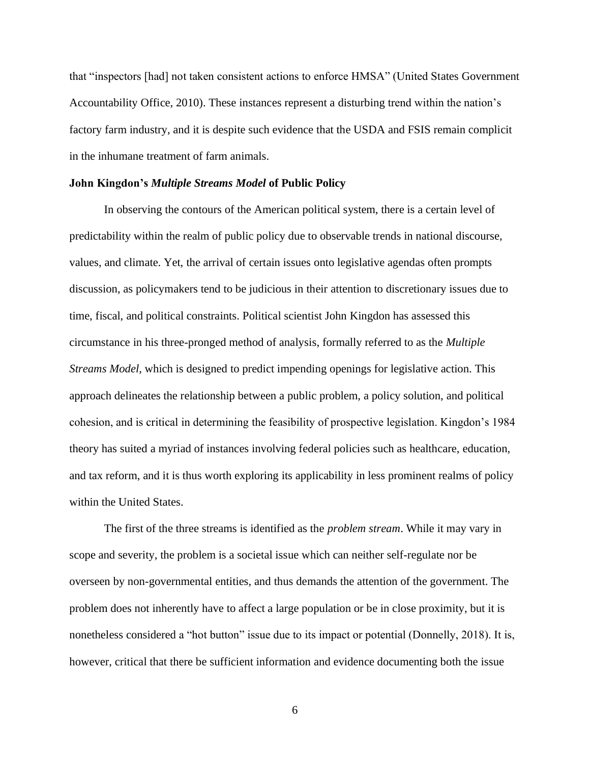that "inspectors [had] not taken consistent actions to enforce HMSA" (United States Government Accountability Office, 2010). These instances represent a disturbing trend within the nation's factory farm industry, and it is despite such evidence that the USDA and FSIS remain complicit in the inhumane treatment of farm animals.

### **John Kingdon's** *Multiple Streams Model* **of Public Policy**

In observing the contours of the American political system, there is a certain level of predictability within the realm of public policy due to observable trends in national discourse, values, and climate. Yet, the arrival of certain issues onto legislative agendas often prompts discussion, as policymakers tend to be judicious in their attention to discretionary issues due to time, fiscal, and political constraints. Political scientist John Kingdon has assessed this circumstance in his three-pronged method of analysis, formally referred to as the *Multiple Streams Model*, which is designed to predict impending openings for legislative action. This approach delineates the relationship between a public problem, a policy solution, and political cohesion, and is critical in determining the feasibility of prospective legislation. Kingdon's 1984 theory has suited a myriad of instances involving federal policies such as healthcare, education, and tax reform, and it is thus worth exploring its applicability in less prominent realms of policy within the United States.

The first of the three streams is identified as the *problem stream*. While it may vary in scope and severity, the problem is a societal issue which can neither self-regulate nor be overseen by non-governmental entities, and thus demands the attention of the government. The problem does not inherently have to affect a large population or be in close proximity, but it is nonetheless considered a "hot button" issue due to its impact or potential (Donnelly, 2018). It is, however, critical that there be sufficient information and evidence documenting both the issue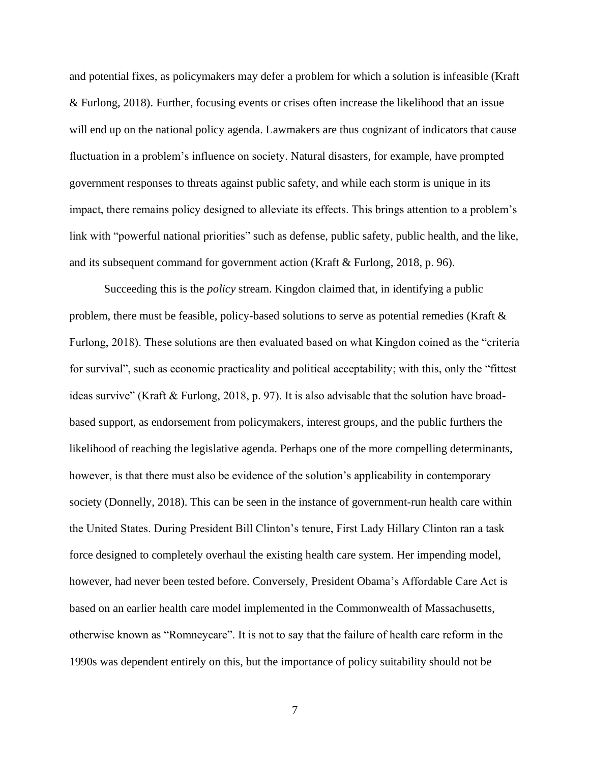and potential fixes, as policymakers may defer a problem for which a solution is infeasible (Kraft & Furlong, 2018). Further, focusing events or crises often increase the likelihood that an issue will end up on the national policy agenda. Lawmakers are thus cognizant of indicators that cause fluctuation in a problem's influence on society. Natural disasters, for example, have prompted government responses to threats against public safety, and while each storm is unique in its impact, there remains policy designed to alleviate its effects. This brings attention to a problem's link with "powerful national priorities" such as defense, public safety, public health, and the like, and its subsequent command for government action (Kraft & Furlong, 2018, p. 96).

Succeeding this is the *policy* stream. Kingdon claimed that, in identifying a public problem, there must be feasible, policy-based solutions to serve as potential remedies (Kraft  $\&$ Furlong, 2018). These solutions are then evaluated based on what Kingdon coined as the "criteria for survival", such as economic practicality and political acceptability; with this, only the "fittest ideas survive" (Kraft & Furlong, 2018, p. 97). It is also advisable that the solution have broadbased support, as endorsement from policymakers, interest groups, and the public furthers the likelihood of reaching the legislative agenda. Perhaps one of the more compelling determinants, however, is that there must also be evidence of the solution's applicability in contemporary society (Donnelly, 2018). This can be seen in the instance of government-run health care within the United States. During President Bill Clinton's tenure, First Lady Hillary Clinton ran a task force designed to completely overhaul the existing health care system. Her impending model, however, had never been tested before. Conversely, President Obama's Affordable Care Act is based on an earlier health care model implemented in the Commonwealth of Massachusetts, otherwise known as "Romneycare". It is not to say that the failure of health care reform in the 1990s was dependent entirely on this, but the importance of policy suitability should not be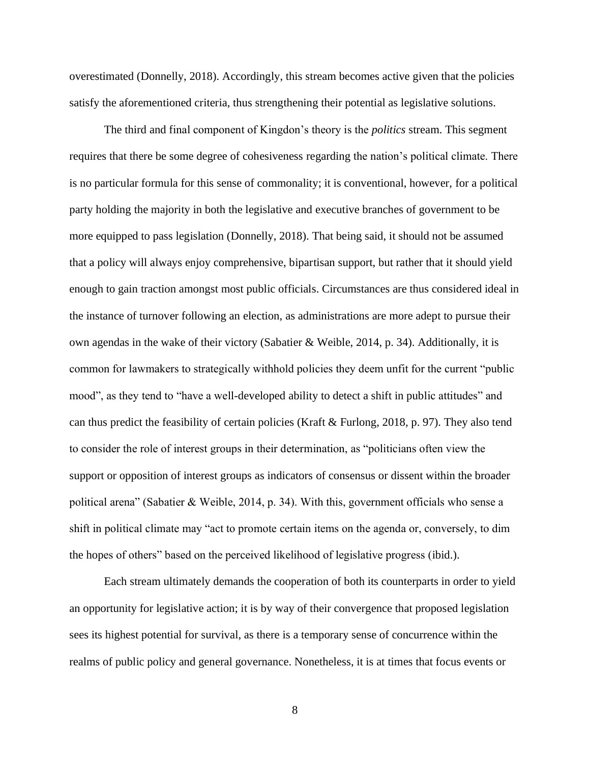overestimated (Donnelly, 2018). Accordingly, this stream becomes active given that the policies satisfy the aforementioned criteria, thus strengthening their potential as legislative solutions.

The third and final component of Kingdon's theory is the *politics* stream. This segment requires that there be some degree of cohesiveness regarding the nation's political climate. There is no particular formula for this sense of commonality; it is conventional, however, for a political party holding the majority in both the legislative and executive branches of government to be more equipped to pass legislation (Donnelly, 2018). That being said, it should not be assumed that a policy will always enjoy comprehensive, bipartisan support, but rather that it should yield enough to gain traction amongst most public officials. Circumstances are thus considered ideal in the instance of turnover following an election, as administrations are more adept to pursue their own agendas in the wake of their victory (Sabatier & Weible, 2014, p. 34). Additionally, it is common for lawmakers to strategically withhold policies they deem unfit for the current "public mood", as they tend to "have a well-developed ability to detect a shift in public attitudes" and can thus predict the feasibility of certain policies (Kraft & Furlong, 2018, p. 97). They also tend to consider the role of interest groups in their determination, as "politicians often view the support or opposition of interest groups as indicators of consensus or dissent within the broader political arena" (Sabatier & Weible, 2014, p. 34). With this, government officials who sense a shift in political climate may "act to promote certain items on the agenda or, conversely, to dim the hopes of others" based on the perceived likelihood of legislative progress (ibid.).

Each stream ultimately demands the cooperation of both its counterparts in order to yield an opportunity for legislative action; it is by way of their convergence that proposed legislation sees its highest potential for survival, as there is a temporary sense of concurrence within the realms of public policy and general governance. Nonetheless, it is at times that focus events or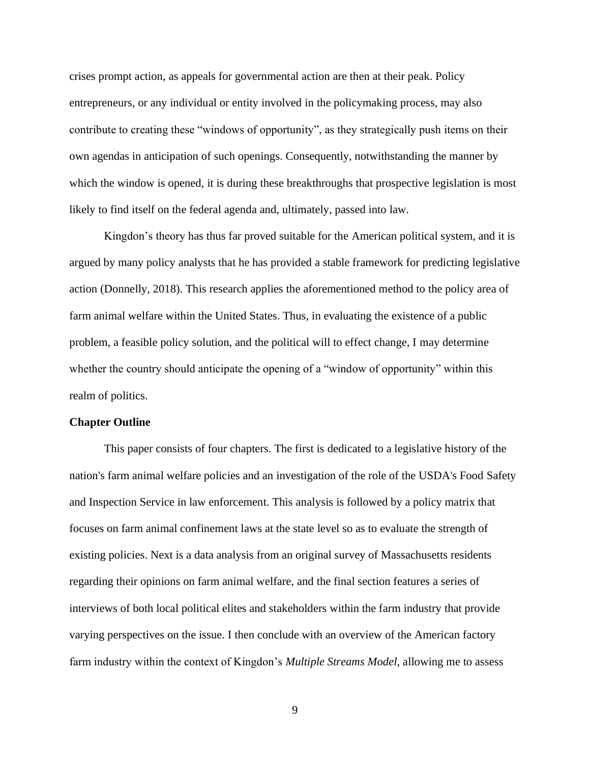crises prompt action, as appeals for governmental action are then at their peak. Policy entrepreneurs, or any individual or entity involved in the policymaking process, may also contribute to creating these "windows of opportunity", as they strategically push items on their own agendas in anticipation of such openings. Consequently, notwithstanding the manner by which the window is opened, it is during these breakthroughs that prospective legislation is most likely to find itself on the federal agenda and, ultimately, passed into law.

Kingdon's theory has thus far proved suitable for the American political system, and it is argued by many policy analysts that he has provided a stable framework for predicting legislative action (Donnelly, 2018). This research applies the aforementioned method to the policy area of farm animal welfare within the United States. Thus, in evaluating the existence of a public problem, a feasible policy solution, and the political will to effect change, I may determine whether the country should anticipate the opening of a "window of opportunity" within this realm of politics.

#### **Chapter Outline**

This paper consists of four chapters. The first is dedicated to a legislative history of the nation's farm animal welfare policies and an investigation of the role of the USDA's Food Safety and Inspection Service in law enforcement. This analysis is followed by a policy matrix that focuses on farm animal confinement laws at the state level so as to evaluate the strength of existing policies. Next is a data analysis from an original survey of Massachusetts residents regarding their opinions on farm animal welfare, and the final section features a series of interviews of both local political elites and stakeholders within the farm industry that provide varying perspectives on the issue. I then conclude with an overview of the American factory farm industry within the context of Kingdon's *Multiple Streams Model*, allowing me to assess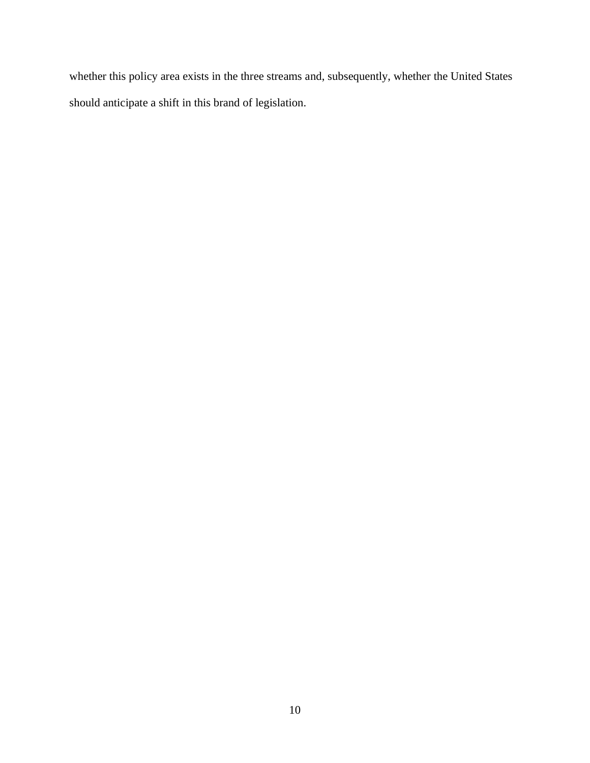whether this policy area exists in the three streams and, subsequently, whether the United States should anticipate a shift in this brand of legislation.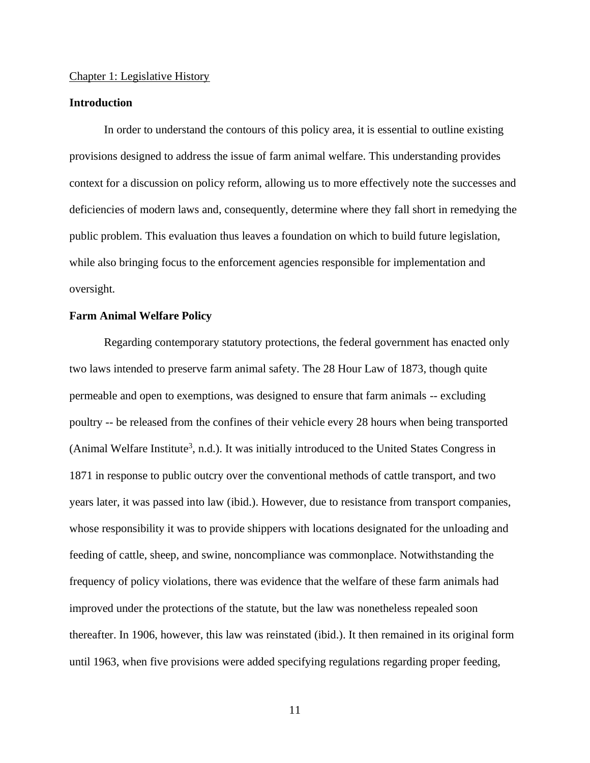#### Chapter 1: Legislative History

## **Introduction**

In order to understand the contours of this policy area, it is essential to outline existing provisions designed to address the issue of farm animal welfare. This understanding provides context for a discussion on policy reform, allowing us to more effectively note the successes and deficiencies of modern laws and, consequently, determine where they fall short in remedying the public problem. This evaluation thus leaves a foundation on which to build future legislation, while also bringing focus to the enforcement agencies responsible for implementation and oversight.

#### **Farm Animal Welfare Policy**

Regarding contemporary statutory protections, the federal government has enacted only two laws intended to preserve farm animal safety. The 28 Hour Law of 1873, though quite permeable and open to exemptions, was designed to ensure that farm animals -- excluding poultry -- be released from the confines of their vehicle every 28 hours when being transported (Animal Welfare Institute<sup>3</sup>, n.d.). It was initially introduced to the United States Congress in 1871 in response to public outcry over the conventional methods of cattle transport, and two years later, it was passed into law (ibid.). However, due to resistance from transport companies, whose responsibility it was to provide shippers with locations designated for the unloading and feeding of cattle, sheep, and swine, noncompliance was commonplace. Notwithstanding the frequency of policy violations, there was evidence that the welfare of these farm animals had improved under the protections of the statute, but the law was nonetheless repealed soon thereafter. In 1906, however, this law was reinstated (ibid.). It then remained in its original form until 1963, when five provisions were added specifying regulations regarding proper feeding,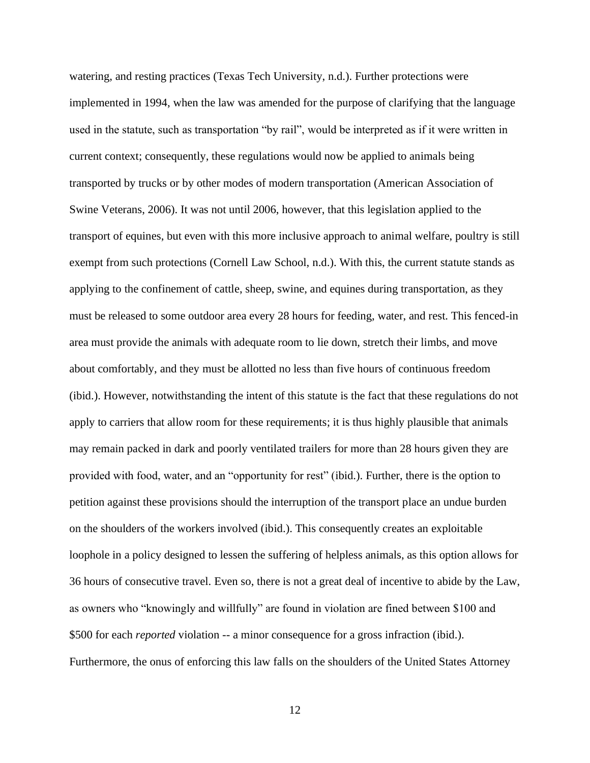watering, and resting practices (Texas Tech University, n.d.). Further protections were implemented in 1994, when the law was amended for the purpose of clarifying that the language used in the statute, such as transportation "by rail", would be interpreted as if it were written in current context; consequently, these regulations would now be applied to animals being transported by trucks or by other modes of modern transportation (American Association of Swine Veterans, 2006). It was not until 2006, however, that this legislation applied to the transport of equines, but even with this more inclusive approach to animal welfare, poultry is still exempt from such protections (Cornell Law School, n.d.). With this, the current statute stands as applying to the confinement of cattle, sheep, swine, and equines during transportation, as they must be released to some outdoor area every 28 hours for feeding, water, and rest. This fenced-in area must provide the animals with adequate room to lie down, stretch their limbs, and move about comfortably, and they must be allotted no less than five hours of continuous freedom (ibid.). However, notwithstanding the intent of this statute is the fact that these regulations do not apply to carriers that allow room for these requirements; it is thus highly plausible that animals may remain packed in dark and poorly ventilated trailers for more than 28 hours given they are provided with food, water, and an "opportunity for rest" (ibid.). Further, there is the option to petition against these provisions should the interruption of the transport place an undue burden on the shoulders of the workers involved (ibid.). This consequently creates an exploitable loophole in a policy designed to lessen the suffering of helpless animals, as this option allows for 36 hours of consecutive travel. Even so, there is not a great deal of incentive to abide by the Law, as owners who "knowingly and willfully" are found in violation are fined between \$100 and \$500 for each *reported* violation -- a minor consequence for a gross infraction (ibid.). Furthermore, the onus of enforcing this law falls on the shoulders of the United States Attorney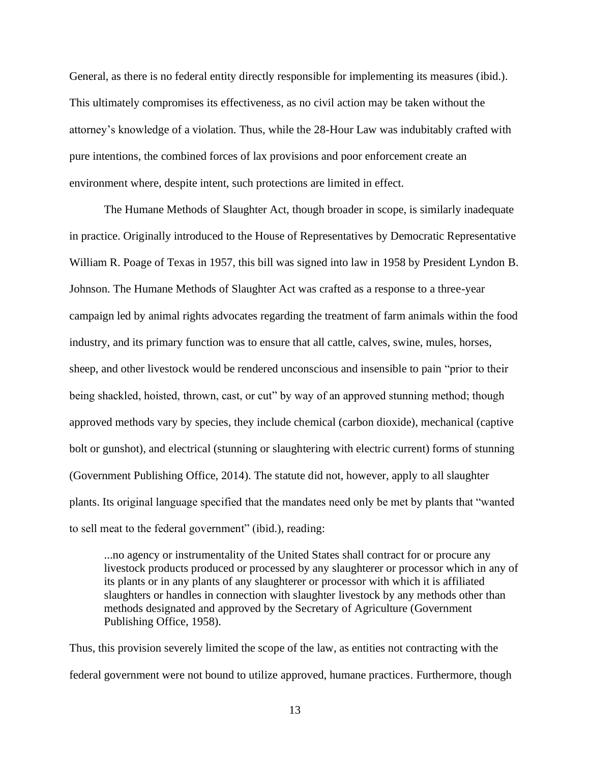General, as there is no federal entity directly responsible for implementing its measures (ibid.). This ultimately compromises its effectiveness, as no civil action may be taken without the attorney's knowledge of a violation. Thus, while the 28-Hour Law was indubitably crafted with pure intentions, the combined forces of lax provisions and poor enforcement create an environment where, despite intent, such protections are limited in effect.

The Humane Methods of Slaughter Act, though broader in scope, is similarly inadequate in practice. Originally introduced to the House of Representatives by Democratic Representative William R. Poage of Texas in 1957, this bill was signed into law in 1958 by President Lyndon B. Johnson. The Humane Methods of Slaughter Act was crafted as a response to a three-year campaign led by animal rights advocates regarding the treatment of farm animals within the food industry, and its primary function was to ensure that all cattle, calves, swine, mules, horses, sheep, and other livestock would be rendered unconscious and insensible to pain "prior to their being shackled, hoisted, thrown, cast, or cut" by way of an approved stunning method; though approved methods vary by species, they include chemical (carbon dioxide), mechanical (captive bolt or gunshot), and electrical (stunning or slaughtering with electric current) forms of stunning (Government Publishing Office, 2014). The statute did not, however, apply to all slaughter plants. Its original language specified that the mandates need only be met by plants that "wanted to sell meat to the federal government" (ibid.), reading:

...no agency or instrumentality of the United States shall contract for or procure any livestock products produced or processed by any slaughterer or processor which in any of its plants or in any plants of any slaughterer or processor with which it is affiliated slaughters or handles in connection with slaughter livestock by any methods other than methods designated and approved by the Secretary of Agriculture (Government Publishing Office, 1958).

Thus, this provision severely limited the scope of the law, as entities not contracting with the federal government were not bound to utilize approved, humane practices. Furthermore, though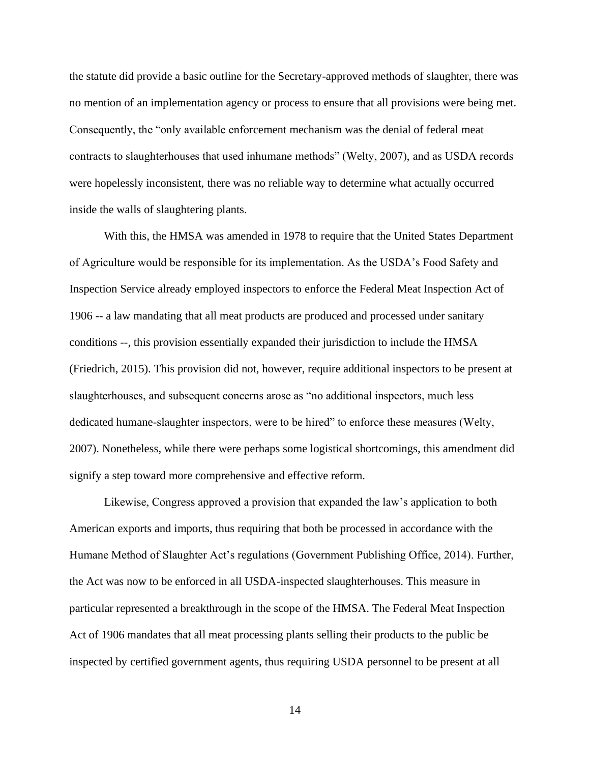the statute did provide a basic outline for the Secretary-approved methods of slaughter, there was no mention of an implementation agency or process to ensure that all provisions were being met. Consequently, the "only available enforcement mechanism was the denial of federal meat contracts to slaughterhouses that used inhumane methods" (Welty, 2007), and as USDA records were hopelessly inconsistent, there was no reliable way to determine what actually occurred inside the walls of slaughtering plants.

With this, the HMSA was amended in 1978 to require that the United States Department of Agriculture would be responsible for its implementation. As the USDA's Food Safety and Inspection Service already employed inspectors to enforce the Federal Meat Inspection Act of 1906 -- a law mandating that all meat products are produced and processed under sanitary conditions --, this provision essentially expanded their jurisdiction to include the HMSA (Friedrich, 2015). This provision did not, however, require additional inspectors to be present at slaughterhouses, and subsequent concerns arose as "no additional inspectors, much less dedicated humane-slaughter inspectors, were to be hired" to enforce these measures (Welty, 2007). Nonetheless, while there were perhaps some logistical shortcomings, this amendment did signify a step toward more comprehensive and effective reform.

Likewise, Congress approved a provision that expanded the law's application to both American exports and imports, thus requiring that both be processed in accordance with the Humane Method of Slaughter Act's regulations (Government Publishing Office, 2014). Further, the Act was now to be enforced in all USDA-inspected slaughterhouses. This measure in particular represented a breakthrough in the scope of the HMSA. The Federal Meat Inspection Act of 1906 mandates that all meat processing plants selling their products to the public be inspected by certified government agents, thus requiring USDA personnel to be present at all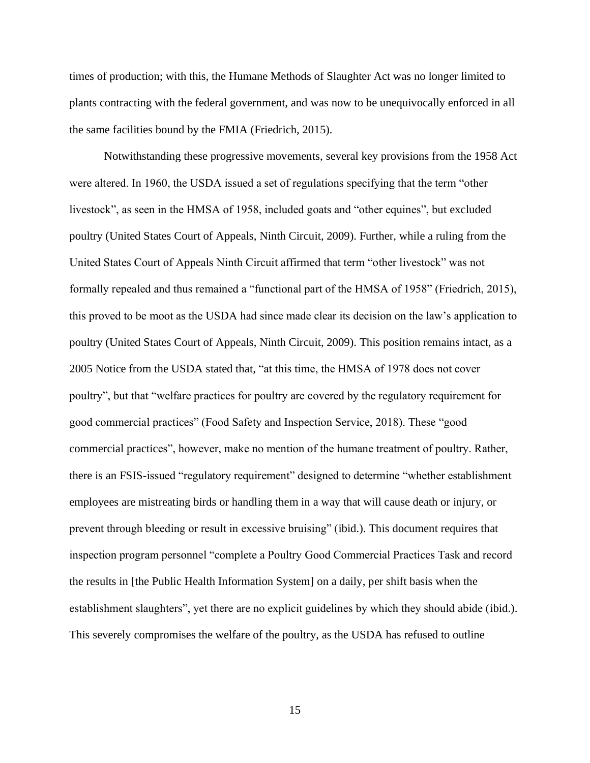times of production; with this, the Humane Methods of Slaughter Act was no longer limited to plants contracting with the federal government, and was now to be unequivocally enforced in all the same facilities bound by the FMIA (Friedrich, 2015).

Notwithstanding these progressive movements, several key provisions from the 1958 Act were altered. In 1960, the USDA issued a set of regulations specifying that the term "other livestock", as seen in the HMSA of 1958, included goats and "other equines", but excluded poultry (United States Court of Appeals, Ninth Circuit, 2009). Further, while a ruling from the United States Court of Appeals Ninth Circuit affirmed that term "other livestock" was not formally repealed and thus remained a "functional part of the HMSA of 1958" (Friedrich, 2015), this proved to be moot as the USDA had since made clear its decision on the law's application to poultry (United States Court of Appeals, Ninth Circuit, 2009). This position remains intact, as a 2005 Notice from the USDA stated that, "at this time, the HMSA of 1978 does not cover poultry", but that "welfare practices for poultry are covered by the regulatory requirement for good commercial practices" (Food Safety and Inspection Service, 2018). These "good commercial practices", however, make no mention of the humane treatment of poultry. Rather, there is an FSIS-issued "regulatory requirement" designed to determine "whether establishment employees are mistreating birds or handling them in a way that will cause death or injury, or prevent through bleeding or result in excessive bruising" (ibid.). This document requires that inspection program personnel "complete a Poultry Good Commercial Practices Task and record the results in [the Public Health Information System] on a daily, per shift basis when the establishment slaughters", yet there are no explicit guidelines by which they should abide (ibid.). This severely compromises the welfare of the poultry, as the USDA has refused to outline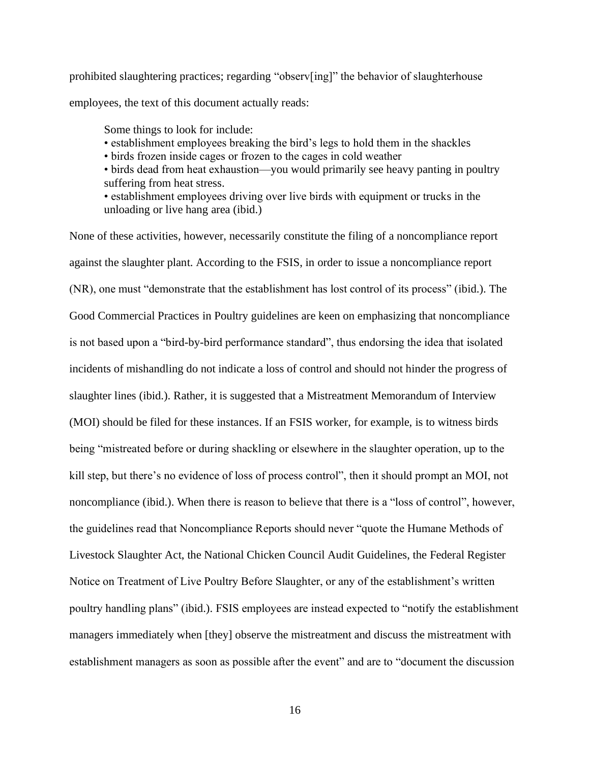prohibited slaughtering practices; regarding "observ[ing]" the behavior of slaughterhouse employees, the text of this document actually reads:

Some things to look for include:

- establishment employees breaking the bird's legs to hold them in the shackles
- birds frozen inside cages or frozen to the cages in cold weather
- birds dead from heat exhaustion—you would primarily see heavy panting in poultry suffering from heat stress.

• establishment employees driving over live birds with equipment or trucks in the unloading or live hang area (ibid.)

None of these activities, however, necessarily constitute the filing of a noncompliance report against the slaughter plant. According to the FSIS, in order to issue a noncompliance report (NR), one must "demonstrate that the establishment has lost control of its process" (ibid.). The Good Commercial Practices in Poultry guidelines are keen on emphasizing that noncompliance is not based upon a "bird-by-bird performance standard", thus endorsing the idea that isolated incidents of mishandling do not indicate a loss of control and should not hinder the progress of slaughter lines (ibid.). Rather, it is suggested that a Mistreatment Memorandum of Interview (MOI) should be filed for these instances. If an FSIS worker, for example, is to witness birds being "mistreated before or during shackling or elsewhere in the slaughter operation, up to the kill step, but there's no evidence of loss of process control", then it should prompt an MOI, not noncompliance (ibid.). When there is reason to believe that there is a "loss of control", however, the guidelines read that Noncompliance Reports should never "quote the Humane Methods of Livestock Slaughter Act, the National Chicken Council Audit Guidelines, the Federal Register Notice on Treatment of Live Poultry Before Slaughter, or any of the establishment's written poultry handling plans" (ibid.). FSIS employees are instead expected to "notify the establishment managers immediately when [they] observe the mistreatment and discuss the mistreatment with establishment managers as soon as possible after the event" and are to "document the discussion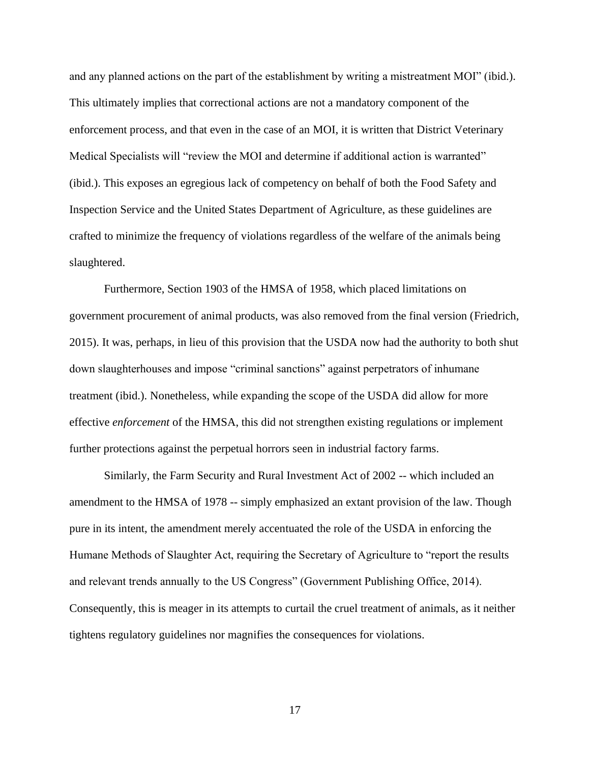and any planned actions on the part of the establishment by writing a mistreatment MOI" (ibid.). This ultimately implies that correctional actions are not a mandatory component of the enforcement process, and that even in the case of an MOI, it is written that District Veterinary Medical Specialists will "review the MOI and determine if additional action is warranted" (ibid.). This exposes an egregious lack of competency on behalf of both the Food Safety and Inspection Service and the United States Department of Agriculture, as these guidelines are crafted to minimize the frequency of violations regardless of the welfare of the animals being slaughtered.

Furthermore, Section 1903 of the HMSA of 1958, which placed limitations on government procurement of animal products, was also removed from the final version (Friedrich, 2015). It was, perhaps, in lieu of this provision that the USDA now had the authority to both shut down slaughterhouses and impose "criminal sanctions" against perpetrators of inhumane treatment (ibid.). Nonetheless, while expanding the scope of the USDA did allow for more effective *enforcement* of the HMSA, this did not strengthen existing regulations or implement further protections against the perpetual horrors seen in industrial factory farms.

Similarly, the Farm Security and Rural Investment Act of 2002 -- which included an amendment to the HMSA of 1978 -- simply emphasized an extant provision of the law. Though pure in its intent, the amendment merely accentuated the role of the USDA in enforcing the Humane Methods of Slaughter Act, requiring the Secretary of Agriculture to "report the results and relevant trends annually to the US Congress" (Government Publishing Office, 2014). Consequently, this is meager in its attempts to curtail the cruel treatment of animals, as it neither tightens regulatory guidelines nor magnifies the consequences for violations.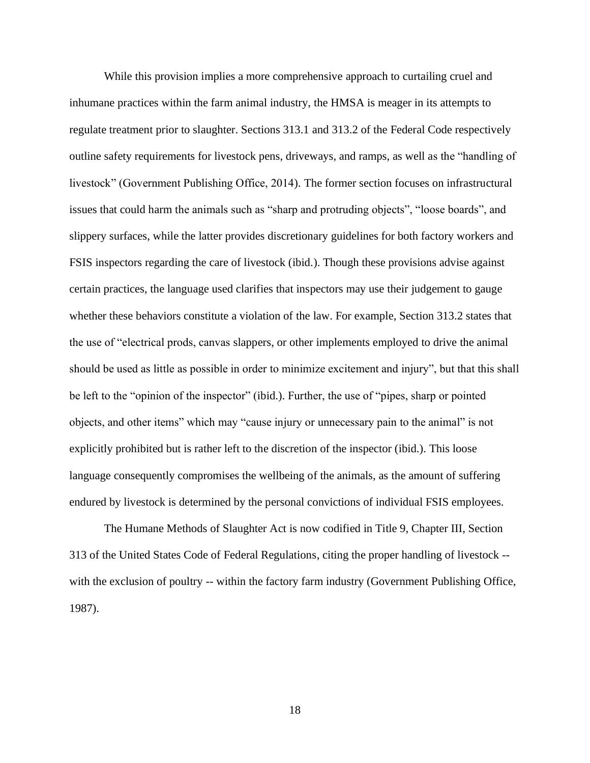While this provision implies a more comprehensive approach to curtailing cruel and inhumane practices within the farm animal industry, the HMSA is meager in its attempts to regulate treatment prior to slaughter. Sections 313.1 and 313.2 of the Federal Code respectively outline safety requirements for livestock pens, driveways, and ramps, as well as the "handling of livestock" (Government Publishing Office, 2014). The former section focuses on infrastructural issues that could harm the animals such as "sharp and protruding objects", "loose boards", and slippery surfaces, while the latter provides discretionary guidelines for both factory workers and FSIS inspectors regarding the care of livestock (ibid.). Though these provisions advise against certain practices, the language used clarifies that inspectors may use their judgement to gauge whether these behaviors constitute a violation of the law. For example, Section 313.2 states that the use of "electrical prods, canvas slappers, or other implements employed to drive the animal should be used as little as possible in order to minimize excitement and injury", but that this shall be left to the "opinion of the inspector" (ibid.). Further, the use of "pipes, sharp or pointed objects, and other items" which may "cause injury or unnecessary pain to the animal" is not explicitly prohibited but is rather left to the discretion of the inspector (ibid.). This loose language consequently compromises the wellbeing of the animals, as the amount of suffering endured by livestock is determined by the personal convictions of individual FSIS employees.

The Humane Methods of Slaughter Act is now codified in Title 9, Chapter III, Section 313 of the United States Code of Federal Regulations, citing the proper handling of livestock - with the exclusion of poultry -- within the factory farm industry (Government Publishing Office, 1987).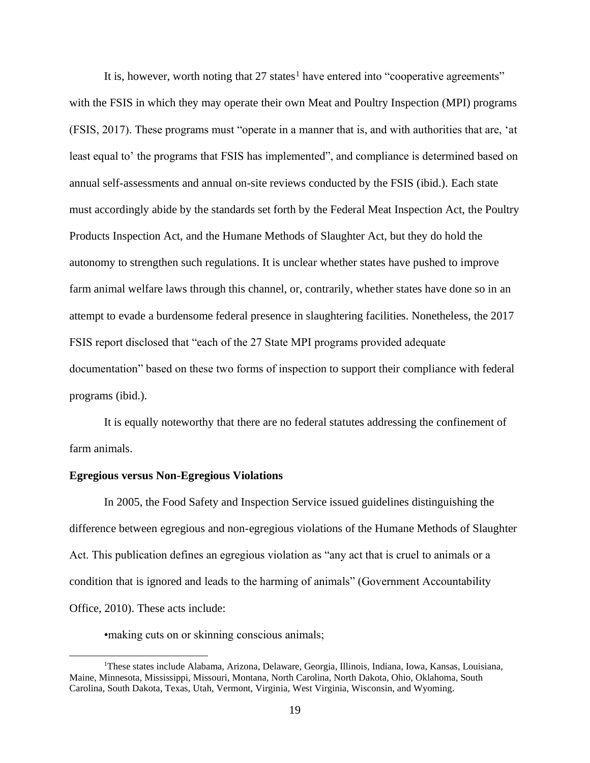It is, however, worth noting that  $27$  states<sup>1</sup> have entered into "cooperative agreements" with the FSIS in which they may operate their own Meat and Poultry Inspection (MPI) programs (FSIS, 2017). These programs must "operate in a manner that is, and with authorities that are, 'at least equal to' the programs that FSIS has implemented", and compliance is determined based on annual self-assessments and annual on-site reviews conducted by the FSIS (ibid.). Each state must accordingly abide by the standards set forth by the Federal Meat Inspection Act, the Poultry Products Inspection Act, and the Humane Methods of Slaughter Act, but they do hold the autonomy to strengthen such regulations. It is unclear whether states have pushed to improve farm animal welfare laws through this channel, or, contrarily, whether states have done so in an attempt to evade a burdensome federal presence in slaughtering facilities. Nonetheless, the 2017 FSIS report disclosed that "each of the 27 State MPI programs provided adequate documentation" based on these two forms of inspection to support their compliance with federal programs (ibid.).

It is equally noteworthy that there are no federal statutes addressing the confinement of farm animals.

#### **Egregious versus Non-Egregious Violations**

In 2005, the Food Safety and Inspection Service issued guidelines distinguishing the difference between egregious and non-egregious violations of the Humane Methods of Slaughter Act. This publication defines an egregious violation as "any act that is cruel to animals or a condition that is ignored and leads to the harming of animals" (Government Accountability Office, 2010). These acts include:

•making cuts on or skinning conscious animals;

<sup>1</sup>These states include Alabama, Arizona, Delaware, Georgia, Illinois, Indiana, Iowa, Kansas, Louisiana, Maine, Minnesota, Mississippi, Missouri, Montana, North Carolina, North Dakota, Ohio, Oklahoma, South Carolina, South Dakota, Texas, Utah, Vermont, Virginia, West Virginia, Wisconsin, and Wyoming.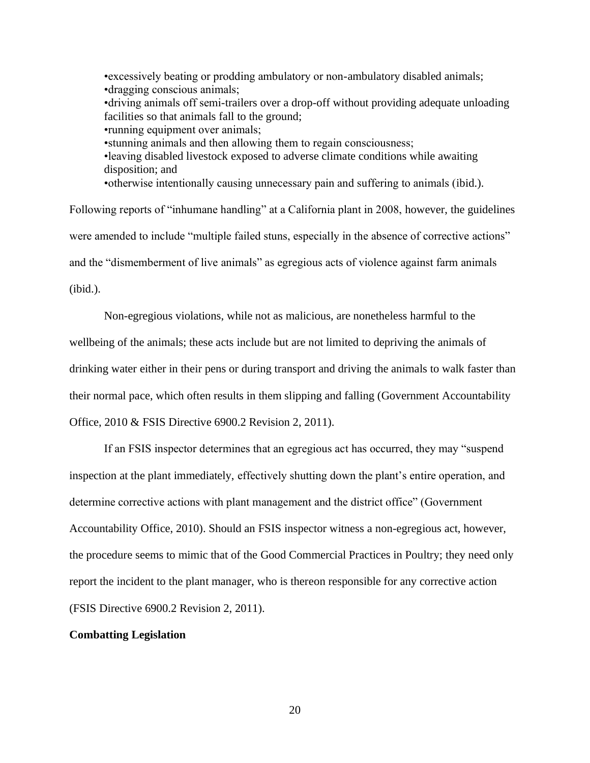•excessively beating or prodding ambulatory or non-ambulatory disabled animals; •dragging conscious animals; •driving animals off semi-trailers over a drop-off without providing adequate unloading facilities so that animals fall to the ground; •running equipment over animals; •stunning animals and then allowing them to regain consciousness; •leaving disabled livestock exposed to adverse climate conditions while awaiting disposition; and •otherwise intentionally causing unnecessary pain and suffering to animals (ibid.).

Following reports of "inhumane handling" at a California plant in 2008, however, the guidelines were amended to include "multiple failed stuns, especially in the absence of corrective actions" and the "dismemberment of live animals" as egregious acts of violence against farm animals (ibid.).

Non-egregious violations, while not as malicious, are nonetheless harmful to the wellbeing of the animals; these acts include but are not limited to depriving the animals of drinking water either in their pens or during transport and driving the animals to walk faster than their normal pace, which often results in them slipping and falling (Government Accountability Office, 2010 & FSIS Directive 6900.2 Revision 2, 2011).

If an FSIS inspector determines that an egregious act has occurred, they may "suspend inspection at the plant immediately, effectively shutting down the plant's entire operation, and determine corrective actions with plant management and the district office" (Government Accountability Office, 2010). Should an FSIS inspector witness a non-egregious act, however, the procedure seems to mimic that of the Good Commercial Practices in Poultry; they need only report the incident to the plant manager, who is thereon responsible for any corrective action (FSIS Directive 6900.2 Revision 2, 2011).

## **Combatting Legislation**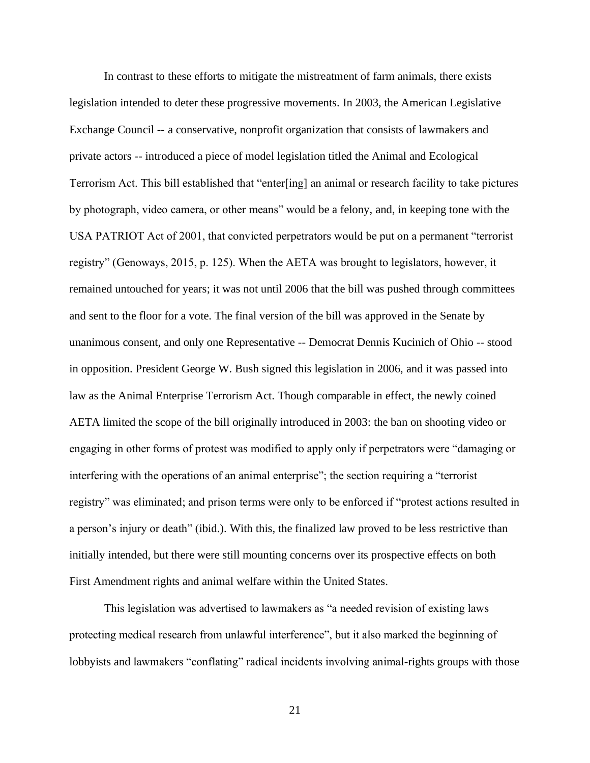In contrast to these efforts to mitigate the mistreatment of farm animals, there exists legislation intended to deter these progressive movements. In 2003, the American Legislative Exchange Council -- a conservative, nonprofit organization that consists of lawmakers and private actors -- introduced a piece of model legislation titled the Animal and Ecological Terrorism Act. This bill established that "enter[ing] an animal or research facility to take pictures by photograph, video camera, or other means" would be a felony, and, in keeping tone with the USA PATRIOT Act of 2001, that convicted perpetrators would be put on a permanent "terrorist registry" (Genoways, 2015, p. 125). When the AETA was brought to legislators, however, it remained untouched for years; it was not until 2006 that the bill was pushed through committees and sent to the floor for a vote. The final version of the bill was approved in the Senate by unanimous consent, and only one Representative -- Democrat Dennis Kucinich of Ohio -- stood in opposition. President George W. Bush signed this legislation in 2006, and it was passed into law as the Animal Enterprise Terrorism Act. Though comparable in effect, the newly coined AETA limited the scope of the bill originally introduced in 2003: the ban on shooting video or engaging in other forms of protest was modified to apply only if perpetrators were "damaging or interfering with the operations of an animal enterprise"; the section requiring a "terrorist registry" was eliminated; and prison terms were only to be enforced if "protest actions resulted in a person's injury or death" (ibid.). With this, the finalized law proved to be less restrictive than initially intended, but there were still mounting concerns over its prospective effects on both First Amendment rights and animal welfare within the United States.

This legislation was advertised to lawmakers as "a needed revision of existing laws protecting medical research from unlawful interference", but it also marked the beginning of lobbyists and lawmakers "conflating" radical incidents involving animal-rights groups with those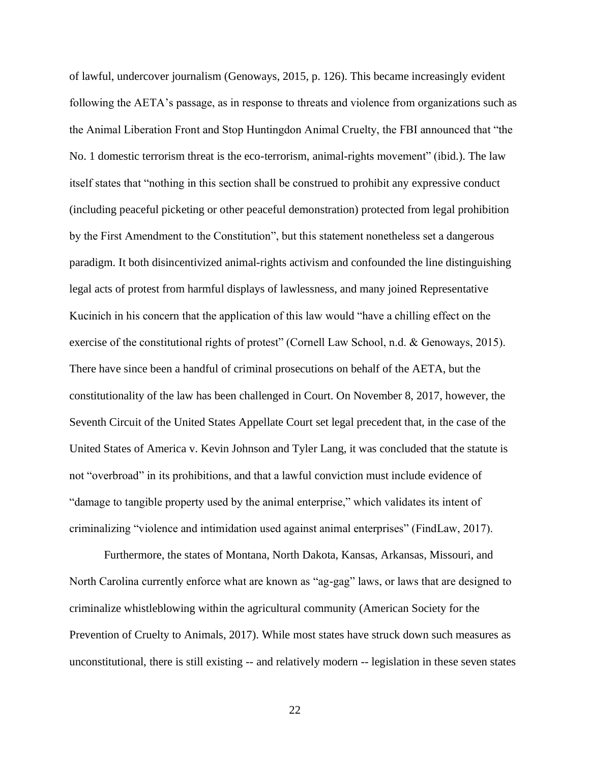of lawful, undercover journalism (Genoways, 2015, p. 126). This became increasingly evident following the AETA's passage, as in response to threats and violence from organizations such as the Animal Liberation Front and Stop Huntingdon Animal Cruelty, the FBI announced that "the No. 1 domestic terrorism threat is the eco-terrorism, animal-rights movement" (ibid.). The law itself states that "nothing in this section shall be construed to prohibit any expressive conduct (including peaceful picketing or other peaceful demonstration) protected from legal prohibition by the First Amendment to the Constitution", but this statement nonetheless set a dangerous paradigm. It both disincentivized animal-rights activism and confounded the line distinguishing legal acts of protest from harmful displays of lawlessness, and many joined Representative Kucinich in his concern that the application of this law would "have a chilling effect on the exercise of the constitutional rights of protest" (Cornell Law School, n.d. & Genoways, 2015). There have since been a handful of criminal prosecutions on behalf of the AETA, but the constitutionality of the law has been challenged in Court. On November 8, 2017, however, the Seventh Circuit of the United States Appellate Court set legal precedent that, in the case of the United States of America v. Kevin Johnson and Tyler Lang, it was concluded that the statute is not "overbroad" in its prohibitions, and that a lawful conviction must include evidence of "damage to tangible property used by the animal enterprise," which validates its intent of criminalizing "violence and intimidation used against animal enterprises" (FindLaw, 2017).

Furthermore, the states of Montana, North Dakota, Kansas, Arkansas, Missouri, and North Carolina currently enforce what are known as "ag-gag" laws, or laws that are designed to criminalize whistleblowing within the agricultural community (American Society for the Prevention of Cruelty to Animals, 2017). While most states have struck down such measures as unconstitutional, there is still existing -- and relatively modern -- legislation in these seven states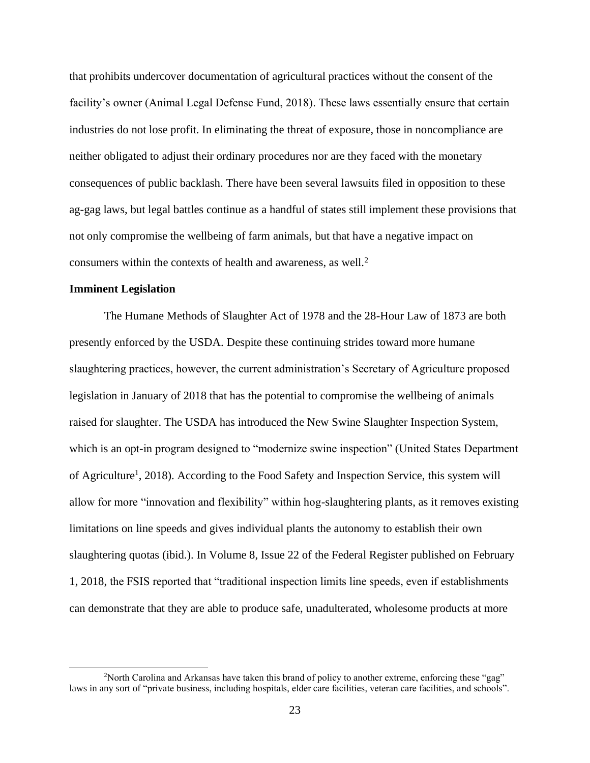that prohibits undercover documentation of agricultural practices without the consent of the facility's owner (Animal Legal Defense Fund, 2018). These laws essentially ensure that certain industries do not lose profit. In eliminating the threat of exposure, those in noncompliance are neither obligated to adjust their ordinary procedures nor are they faced with the monetary consequences of public backlash. There have been several lawsuits filed in opposition to these ag-gag laws, but legal battles continue as a handful of states still implement these provisions that not only compromise the wellbeing of farm animals, but that have a negative impact on consumers within the contexts of health and awareness, as well.<sup>2</sup>

## **Imminent Legislation**

The Humane Methods of Slaughter Act of 1978 and the 28-Hour Law of 1873 are both presently enforced by the USDA. Despite these continuing strides toward more humane slaughtering practices, however, the current administration's Secretary of Agriculture proposed legislation in January of 2018 that has the potential to compromise the wellbeing of animals raised for slaughter. The USDA has introduced the New Swine Slaughter Inspection System, which is an opt-in program designed to "modernize swine inspection" (United States Department of Agriculture<sup>1</sup>, 2018). According to the Food Safety and Inspection Service, this system will allow for more "innovation and flexibility" within hog-slaughtering plants, as it removes existing limitations on line speeds and gives individual plants the autonomy to establish their own slaughtering quotas (ibid.). In Volume 8, Issue 22 of the Federal Register published on February 1, 2018, the FSIS reported that "traditional inspection limits line speeds, even if establishments can demonstrate that they are able to produce safe, unadulterated, wholesome products at more

<sup>&</sup>lt;sup>2</sup>North Carolina and Arkansas have taken this brand of policy to another extreme, enforcing these "gag" laws in any sort of "private business, including hospitals, elder care facilities, veteran care facilities, and schools".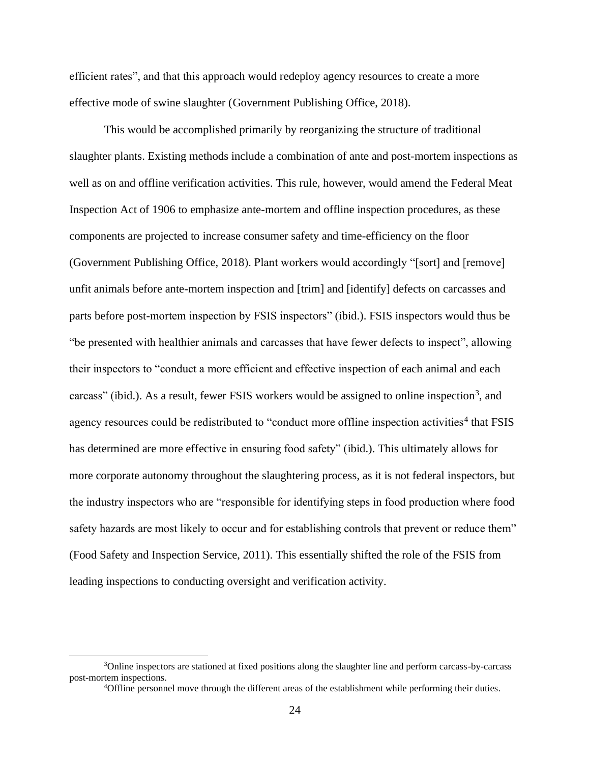efficient rates", and that this approach would redeploy agency resources to create a more effective mode of swine slaughter (Government Publishing Office, 2018).

This would be accomplished primarily by reorganizing the structure of traditional slaughter plants. Existing methods include a combination of ante and post-mortem inspections as well as on and offline verification activities. This rule, however, would amend the Federal Meat Inspection Act of 1906 to emphasize ante-mortem and offline inspection procedures, as these components are projected to increase consumer safety and time-efficiency on the floor (Government Publishing Office, 2018). Plant workers would accordingly "[sort] and [remove] unfit animals before ante-mortem inspection and [trim] and [identify] defects on carcasses and parts before post-mortem inspection by FSIS inspectors" (ibid.). FSIS inspectors would thus be "be presented with healthier animals and carcasses that have fewer defects to inspect", allowing their inspectors to "conduct a more efficient and effective inspection of each animal and each carcass" (ibid.). As a result, fewer FSIS workers would be assigned to online inspection<sup>3</sup>, and agency resources could be redistributed to "conduct more offline inspection activities<sup>4</sup> that FSIS has determined are more effective in ensuring food safety" (ibid.). This ultimately allows for more corporate autonomy throughout the slaughtering process, as it is not federal inspectors, but the industry inspectors who are "responsible for identifying steps in food production where food safety hazards are most likely to occur and for establishing controls that prevent or reduce them" (Food Safety and Inspection Service, 2011). This essentially shifted the role of the FSIS from leading inspections to conducting oversight and verification activity.

<sup>3</sup>Online inspectors are stationed at fixed positions along the slaughter line and perform carcass-by-carcass post-mortem inspections.

<sup>4</sup>Offline personnel move through the different areas of the establishment while performing their duties.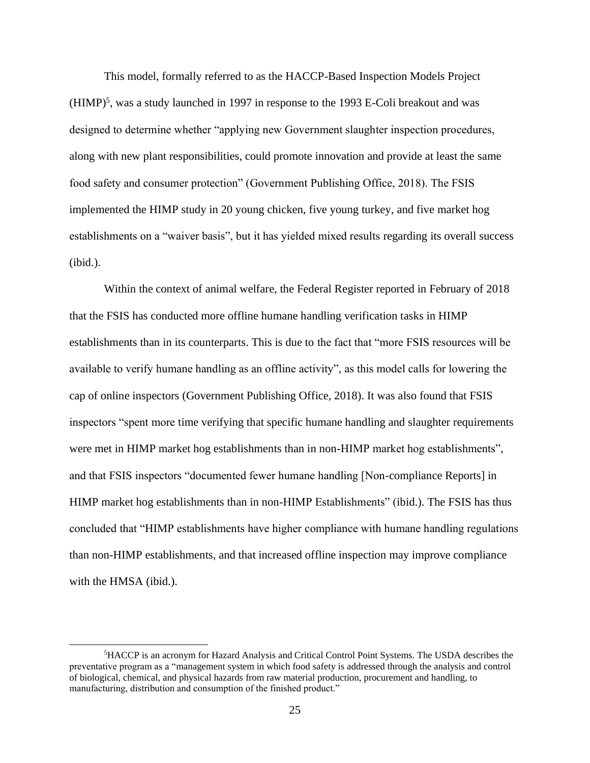This model, formally referred to as the HACCP-Based Inspection Models Project  $(HIMP)^5$ , was a study launched in 1997 in response to the 1993 E-Coli breakout and was designed to determine whether "applying new Government slaughter inspection procedures, along with new plant responsibilities, could promote innovation and provide at least the same food safety and consumer protection" (Government Publishing Office, 2018). The FSIS implemented the HIMP study in 20 young chicken, five young turkey, and five market hog establishments on a "waiver basis", but it has yielded mixed results regarding its overall success (ibid.).

Within the context of animal welfare, the Federal Register reported in February of 2018 that the FSIS has conducted more offline humane handling verification tasks in HIMP establishments than in its counterparts. This is due to the fact that "more FSIS resources will be available to verify humane handling as an offline activity", as this model calls for lowering the cap of online inspectors (Government Publishing Office, 2018). It was also found that FSIS inspectors "spent more time verifying that specific humane handling and slaughter requirements were met in HIMP market hog establishments than in non-HIMP market hog establishments", and that FSIS inspectors "documented fewer humane handling [Non-compliance Reports] in HIMP market hog establishments than in non-HIMP Establishments" (ibid.). The FSIS has thus concluded that "HIMP establishments have higher compliance with humane handling regulations than non-HIMP establishments, and that increased offline inspection may improve compliance with the HMSA (ibid.).

<sup>5</sup>HACCP is an acronym for Hazard Analysis and Critical Control Point Systems. The USDA describes the preventative program as a "management system in which food safety is addressed through the analysis and control of biological, chemical, and physical hazards from raw material production, procurement and handling, to manufacturing, distribution and consumption of the finished product."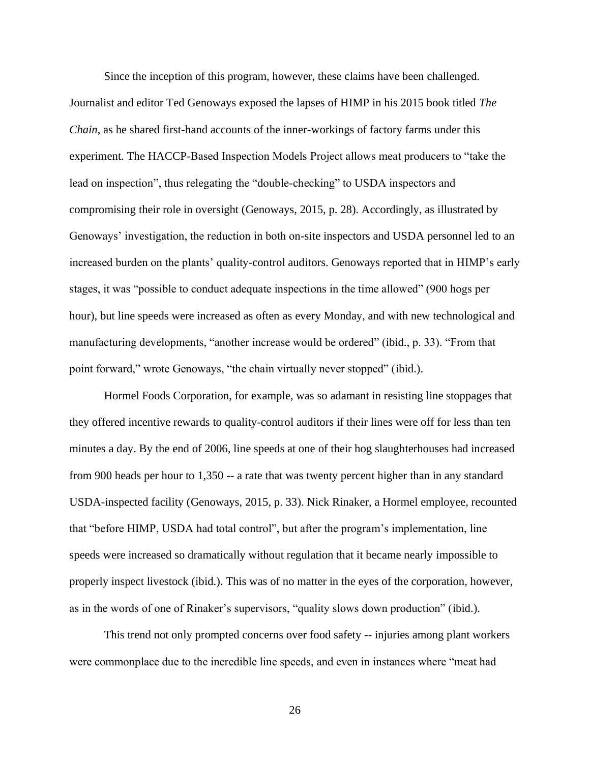Since the inception of this program, however, these claims have been challenged. Journalist and editor Ted Genoways exposed the lapses of HIMP in his 2015 book titled *The Chain*, as he shared first-hand accounts of the inner-workings of factory farms under this experiment. The HACCP-Based Inspection Models Project allows meat producers to "take the lead on inspection", thus relegating the "double-checking" to USDA inspectors and compromising their role in oversight (Genoways, 2015, p. 28). Accordingly, as illustrated by Genoways' investigation, the reduction in both on-site inspectors and USDA personnel led to an increased burden on the plants' quality-control auditors. Genoways reported that in HIMP's early stages, it was "possible to conduct adequate inspections in the time allowed" (900 hogs per hour), but line speeds were increased as often as every Monday, and with new technological and manufacturing developments, "another increase would be ordered" (ibid., p. 33). "From that point forward," wrote Genoways, "the chain virtually never stopped" (ibid.).

Hormel Foods Corporation, for example, was so adamant in resisting line stoppages that they offered incentive rewards to quality-control auditors if their lines were off for less than ten minutes a day. By the end of 2006, line speeds at one of their hog slaughterhouses had increased from 900 heads per hour to 1,350 -- a rate that was twenty percent higher than in any standard USDA-inspected facility (Genoways, 2015, p. 33). Nick Rinaker, a Hormel employee, recounted that "before HIMP, USDA had total control", but after the program's implementation, line speeds were increased so dramatically without regulation that it became nearly impossible to properly inspect livestock (ibid.). This was of no matter in the eyes of the corporation, however, as in the words of one of Rinaker's supervisors, "quality slows down production" (ibid.).

This trend not only prompted concerns over food safety -- injuries among plant workers were commonplace due to the incredible line speeds, and even in instances where "meat had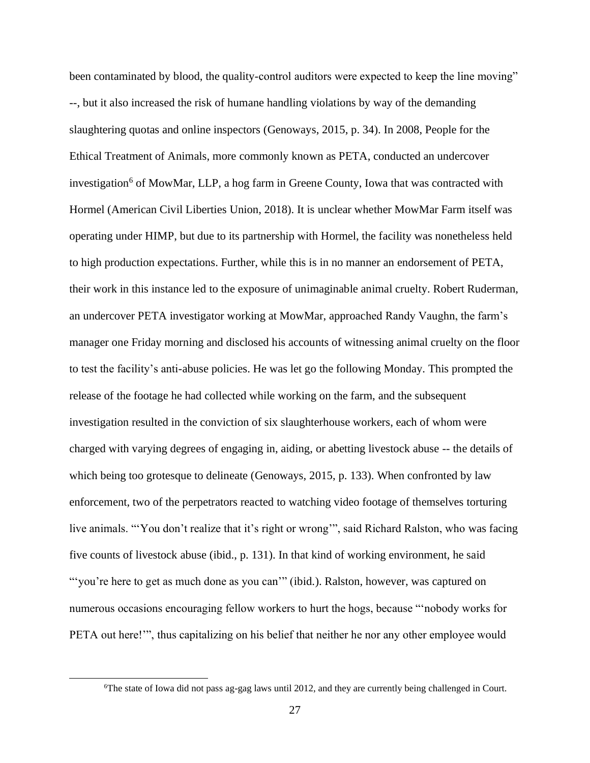been contaminated by blood, the quality-control auditors were expected to keep the line moving" --, but it also increased the risk of humane handling violations by way of the demanding slaughtering quotas and online inspectors (Genoways, 2015, p. 34). In 2008, People for the Ethical Treatment of Animals, more commonly known as PETA, conducted an undercover investigation<sup>6</sup> of MowMar, LLP, a hog farm in Greene County, Iowa that was contracted with Hormel (American Civil Liberties Union, 2018). It is unclear whether MowMar Farm itself was operating under HIMP, but due to its partnership with Hormel, the facility was nonetheless held to high production expectations. Further, while this is in no manner an endorsement of PETA, their work in this instance led to the exposure of unimaginable animal cruelty. Robert Ruderman, an undercover PETA investigator working at MowMar, approached Randy Vaughn, the farm's manager one Friday morning and disclosed his accounts of witnessing animal cruelty on the floor to test the facility's anti-abuse policies. He was let go the following Monday. This prompted the release of the footage he had collected while working on the farm, and the subsequent investigation resulted in the conviction of six slaughterhouse workers, each of whom were charged with varying degrees of engaging in, aiding, or abetting livestock abuse -- the details of which being too grotesque to delineate (Genoways, 2015, p. 133). When confronted by law enforcement, two of the perpetrators reacted to watching video footage of themselves torturing live animals. "'You don't realize that it's right or wrong'", said Richard Ralston, who was facing five counts of livestock abuse (ibid., p. 131). In that kind of working environment, he said "'you're here to get as much done as you can'" (ibid.). Ralston, however, was captured on numerous occasions encouraging fellow workers to hurt the hogs, because "'nobody works for PETA out here!"", thus capitalizing on his belief that neither he nor any other employee would

<sup>6</sup>The state of Iowa did not pass ag-gag laws until 2012, and they are currently being challenged in Court.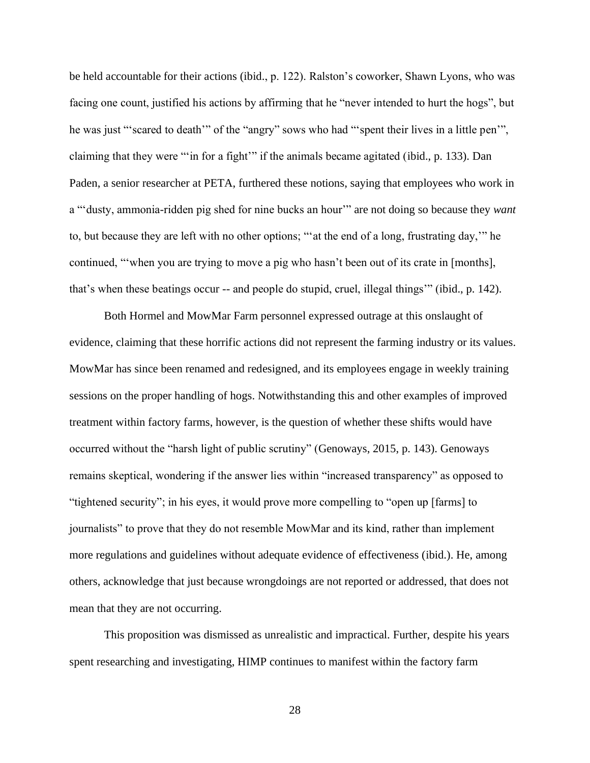be held accountable for their actions (ibid., p. 122). Ralston's coworker, Shawn Lyons, who was facing one count, justified his actions by affirming that he "never intended to hurt the hogs", but he was just "'scared to death'" of the "angry" sows who had "'spent their lives in a little pen'", claiming that they were "'in for a fight'" if the animals became agitated (ibid., p. 133). Dan Paden, a senior researcher at PETA, furthered these notions, saying that employees who work in a "'dusty, ammonia-ridden pig shed for nine bucks an hour'" are not doing so because they *want* to, but because they are left with no other options; "'at the end of a long, frustrating day,'" he continued, "'when you are trying to move a pig who hasn't been out of its crate in [months], that's when these beatings occur -- and people do stupid, cruel, illegal things'" (ibid., p. 142).

Both Hormel and MowMar Farm personnel expressed outrage at this onslaught of evidence, claiming that these horrific actions did not represent the farming industry or its values. MowMar has since been renamed and redesigned, and its employees engage in weekly training sessions on the proper handling of hogs. Notwithstanding this and other examples of improved treatment within factory farms, however, is the question of whether these shifts would have occurred without the "harsh light of public scrutiny" (Genoways, 2015, p. 143). Genoways remains skeptical, wondering if the answer lies within "increased transparency" as opposed to "tightened security"; in his eyes, it would prove more compelling to "open up [farms] to journalists" to prove that they do not resemble MowMar and its kind, rather than implement more regulations and guidelines without adequate evidence of effectiveness (ibid.). He, among others, acknowledge that just because wrongdoings are not reported or addressed, that does not mean that they are not occurring.

This proposition was dismissed as unrealistic and impractical. Further, despite his years spent researching and investigating, HIMP continues to manifest within the factory farm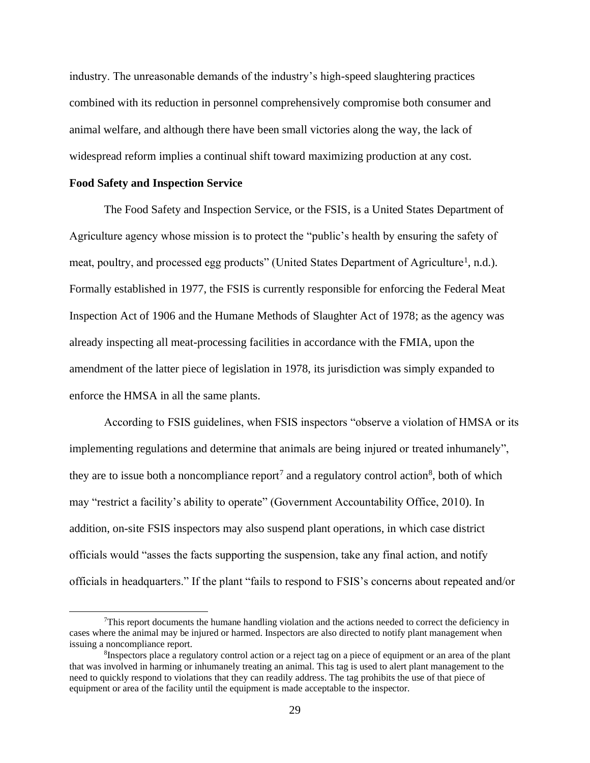industry. The unreasonable demands of the industry's high-speed slaughtering practices combined with its reduction in personnel comprehensively compromise both consumer and animal welfare, and although there have been small victories along the way, the lack of widespread reform implies a continual shift toward maximizing production at any cost.

#### **Food Safety and Inspection Service**

The Food Safety and Inspection Service, or the FSIS, is a United States Department of Agriculture agency whose mission is to protect the "public's health by ensuring the safety of meat, poultry, and processed egg products" (United States Department of Agriculture<sup>1</sup>, n.d.). Formally established in 1977, the FSIS is currently responsible for enforcing the Federal Meat Inspection Act of 1906 and the Humane Methods of Slaughter Act of 1978; as the agency was already inspecting all meat-processing facilities in accordance with the FMIA, upon the amendment of the latter piece of legislation in 1978, its jurisdiction was simply expanded to enforce the HMSA in all the same plants.

According to FSIS guidelines, when FSIS inspectors "observe a violation of HMSA or its implementing regulations and determine that animals are being injured or treated inhumanely", they are to issue both a noncompliance report<sup>7</sup> and a regulatory control action<sup>8</sup>, both of which may "restrict a facility's ability to operate" (Government Accountability Office, 2010). In addition, on-site FSIS inspectors may also suspend plant operations, in which case district officials would "asses the facts supporting the suspension, take any final action, and notify officials in headquarters." If the plant "fails to respond to FSIS's concerns about repeated and/or

 $<sup>7</sup>$ This report documents the humane handling violation and the actions needed to correct the deficiency in</sup> cases where the animal may be injured or harmed. Inspectors are also directed to notify plant management when issuing a noncompliance report.

<sup>&</sup>lt;sup>8</sup>Inspectors place a regulatory control action or a reject tag on a piece of equipment or an area of the plant that was involved in harming or inhumanely treating an animal. This tag is used to alert plant management to the need to quickly respond to violations that they can readily address. The tag prohibits the use of that piece of equipment or area of the facility until the equipment is made acceptable to the inspector.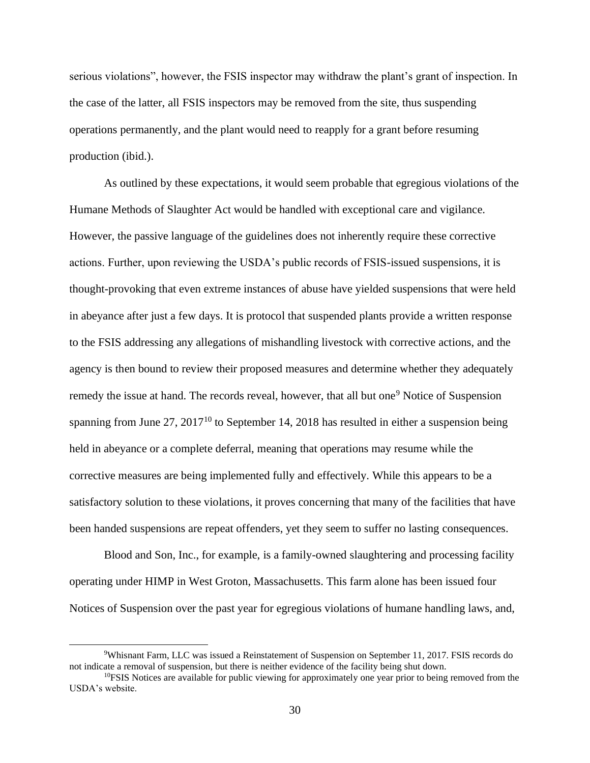serious violations", however, the FSIS inspector may withdraw the plant's grant of inspection. In the case of the latter, all FSIS inspectors may be removed from the site, thus suspending operations permanently, and the plant would need to reapply for a grant before resuming production (ibid.).

As outlined by these expectations, it would seem probable that egregious violations of the Humane Methods of Slaughter Act would be handled with exceptional care and vigilance. However, the passive language of the guidelines does not inherently require these corrective actions. Further, upon reviewing the USDA's public records of FSIS-issued suspensions, it is thought-provoking that even extreme instances of abuse have yielded suspensions that were held in abeyance after just a few days. It is protocol that suspended plants provide a written response to the FSIS addressing any allegations of mishandling livestock with corrective actions, and the agency is then bound to review their proposed measures and determine whether they adequately remedy the issue at hand. The records reveal, however, that all but one<sup>9</sup> Notice of Suspension spanning from June  $27$ ,  $2017^{10}$  to September 14, 2018 has resulted in either a suspension being held in abeyance or a complete deferral, meaning that operations may resume while the corrective measures are being implemented fully and effectively. While this appears to be a satisfactory solution to these violations, it proves concerning that many of the facilities that have been handed suspensions are repeat offenders, yet they seem to suffer no lasting consequences.

Blood and Son, Inc., for example, is a family-owned slaughtering and processing facility operating under HIMP in West Groton, Massachusetts. This farm alone has been issued four Notices of Suspension over the past year for egregious violations of humane handling laws, and,

<sup>9</sup>Whisnant Farm, LLC was issued a Reinstatement of Suspension on September 11, 2017. FSIS records do not indicate a removal of suspension, but there is neither evidence of the facility being shut down.

 $10$ FSIS Notices are available for public viewing for approximately one year prior to being removed from the USDA's website.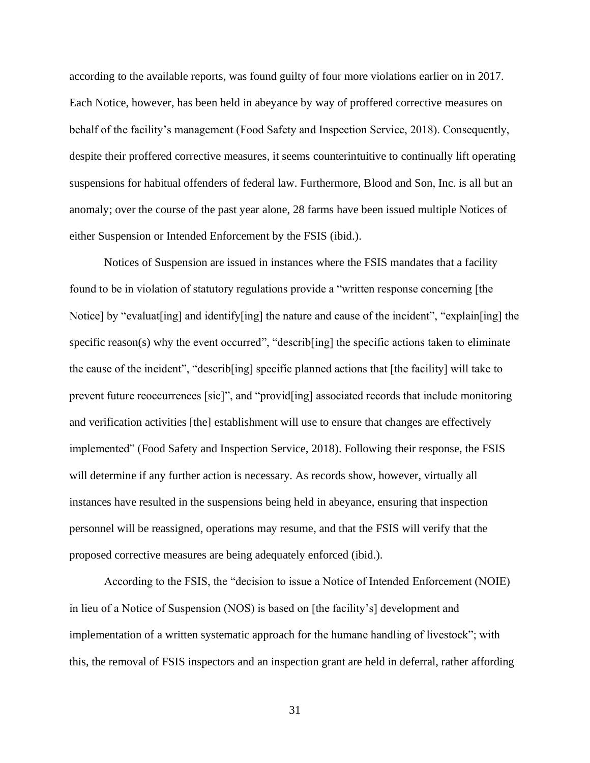according to the available reports, was found guilty of four more violations earlier on in 2017. Each Notice, however, has been held in abeyance by way of proffered corrective measures on behalf of the facility's management (Food Safety and Inspection Service, 2018). Consequently, despite their proffered corrective measures, it seems counterintuitive to continually lift operating suspensions for habitual offenders of federal law. Furthermore, Blood and Son, Inc. is all but an anomaly; over the course of the past year alone, 28 farms have been issued multiple Notices of either Suspension or Intended Enforcement by the FSIS (ibid.).

Notices of Suspension are issued in instances where the FSIS mandates that a facility found to be in violation of statutory regulations provide a "written response concerning [the Notice] by "evaluat[ing] and identify[ing] the nature and cause of the incident", "explain[ing] the specific reason(s) why the event occurred", "describ[ing] the specific actions taken to eliminate the cause of the incident", "describ[ing] specific planned actions that [the facility] will take to prevent future reoccurrences [sic]", and "provid[ing] associated records that include monitoring and verification activities [the] establishment will use to ensure that changes are effectively implemented" (Food Safety and Inspection Service, 2018). Following their response, the FSIS will determine if any further action is necessary. As records show, however, virtually all instances have resulted in the suspensions being held in abeyance, ensuring that inspection personnel will be reassigned, operations may resume, and that the FSIS will verify that the proposed corrective measures are being adequately enforced (ibid.).

According to the FSIS, the "decision to issue a Notice of Intended Enforcement (NOIE) in lieu of a Notice of Suspension (NOS) is based on [the facility's] development and implementation of a written systematic approach for the humane handling of livestock"; with this, the removal of FSIS inspectors and an inspection grant are held in deferral, rather affording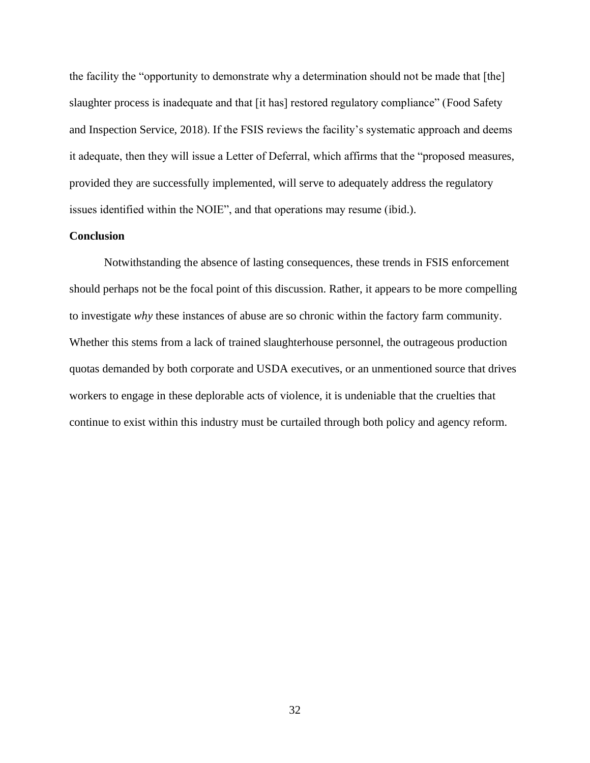the facility the "opportunity to demonstrate why a determination should not be made that [the] slaughter process is inadequate and that [it has] restored regulatory compliance" (Food Safety and Inspection Service, 2018). If the FSIS reviews the facility's systematic approach and deems it adequate, then they will issue a Letter of Deferral, which affirms that the "proposed measures, provided they are successfully implemented, will serve to adequately address the regulatory issues identified within the NOIE", and that operations may resume (ibid.).

## **Conclusion**

Notwithstanding the absence of lasting consequences, these trends in FSIS enforcement should perhaps not be the focal point of this discussion. Rather, it appears to be more compelling to investigate *why* these instances of abuse are so chronic within the factory farm community. Whether this stems from a lack of trained slaughterhouse personnel, the outrageous production quotas demanded by both corporate and USDA executives, or an unmentioned source that drives workers to engage in these deplorable acts of violence, it is undeniable that the cruelties that continue to exist within this industry must be curtailed through both policy and agency reform.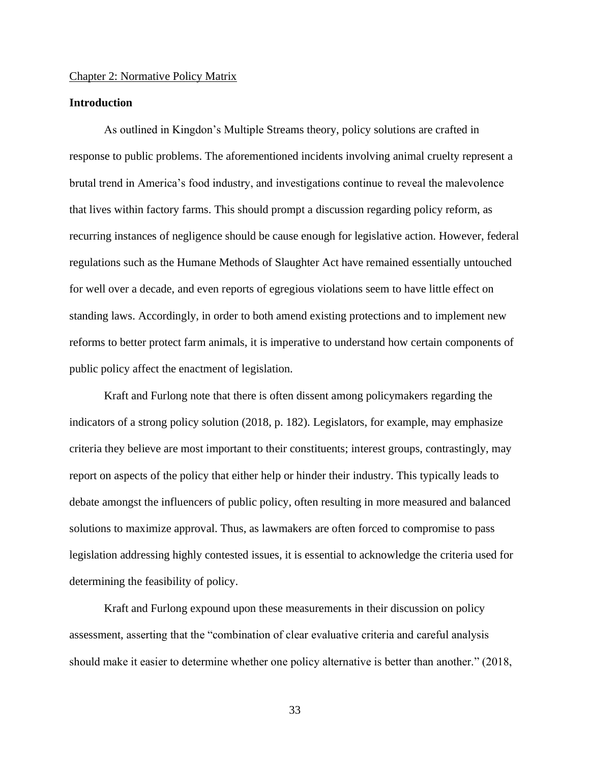#### Chapter 2: Normative Policy Matrix

## **Introduction**

As outlined in Kingdon's Multiple Streams theory, policy solutions are crafted in response to public problems. The aforementioned incidents involving animal cruelty represent a brutal trend in America's food industry, and investigations continue to reveal the malevolence that lives within factory farms. This should prompt a discussion regarding policy reform, as recurring instances of negligence should be cause enough for legislative action. However, federal regulations such as the Humane Methods of Slaughter Act have remained essentially untouched for well over a decade, and even reports of egregious violations seem to have little effect on standing laws. Accordingly, in order to both amend existing protections and to implement new reforms to better protect farm animals, it is imperative to understand how certain components of public policy affect the enactment of legislation.

Kraft and Furlong note that there is often dissent among policymakers regarding the indicators of a strong policy solution (2018, p. 182). Legislators, for example, may emphasize criteria they believe are most important to their constituents; interest groups, contrastingly, may report on aspects of the policy that either help or hinder their industry. This typically leads to debate amongst the influencers of public policy, often resulting in more measured and balanced solutions to maximize approval. Thus, as lawmakers are often forced to compromise to pass legislation addressing highly contested issues, it is essential to acknowledge the criteria used for determining the feasibility of policy.

Kraft and Furlong expound upon these measurements in their discussion on policy assessment, asserting that the "combination of clear evaluative criteria and careful analysis should make it easier to determine whether one policy alternative is better than another." (2018,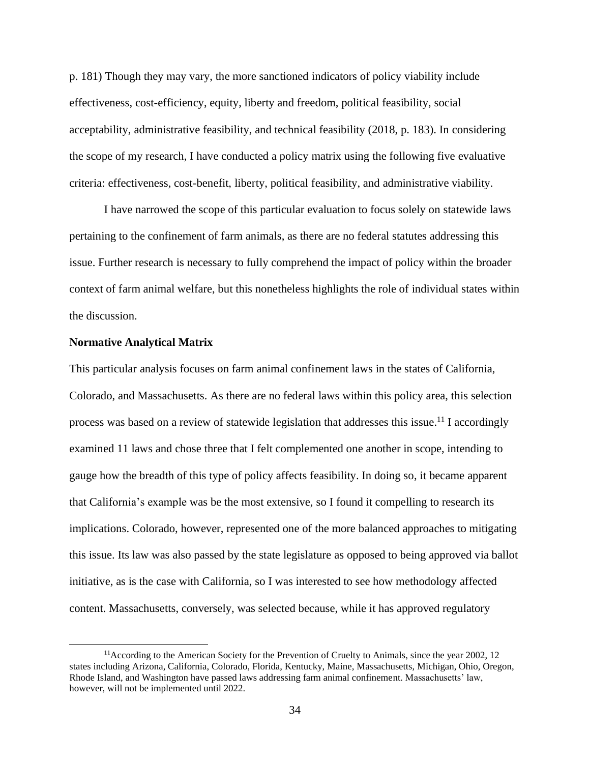p. 181) Though they may vary, the more sanctioned indicators of policy viability include effectiveness, cost-efficiency, equity, liberty and freedom, political feasibility, social acceptability, administrative feasibility, and technical feasibility (2018, p. 183). In considering the scope of my research, I have conducted a policy matrix using the following five evaluative criteria: effectiveness, cost-benefit, liberty, political feasibility, and administrative viability.

I have narrowed the scope of this particular evaluation to focus solely on statewide laws pertaining to the confinement of farm animals, as there are no federal statutes addressing this issue. Further research is necessary to fully comprehend the impact of policy within the broader context of farm animal welfare, but this nonetheless highlights the role of individual states within the discussion.

#### **Normative Analytical Matrix**

This particular analysis focuses on farm animal confinement laws in the states of California, Colorado, and Massachusetts. As there are no federal laws within this policy area, this selection process was based on a review of statewide legislation that addresses this issue.<sup>11</sup> I accordingly examined 11 laws and chose three that I felt complemented one another in scope, intending to gauge how the breadth of this type of policy affects feasibility. In doing so, it became apparent that California's example was be the most extensive, so I found it compelling to research its implications. Colorado, however, represented one of the more balanced approaches to mitigating this issue. Its law was also passed by the state legislature as opposed to being approved via ballot initiative, as is the case with California, so I was interested to see how methodology affected content. Massachusetts, conversely, was selected because, while it has approved regulatory

<sup>&</sup>lt;sup>11</sup> According to the American Society for the Prevention of Cruelty to Animals, since the year 2002, 12 states including Arizona, California, Colorado, Florida, Kentucky, Maine, Massachusetts, Michigan, Ohio, Oregon, Rhode Island, and Washington have passed laws addressing farm animal confinement. Massachusetts' law, however, will not be implemented until 2022.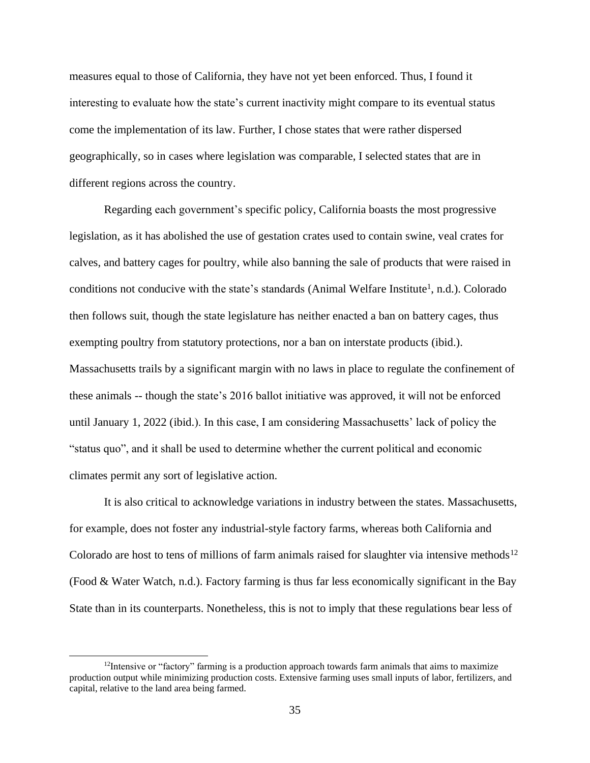measures equal to those of California, they have not yet been enforced. Thus, I found it interesting to evaluate how the state's current inactivity might compare to its eventual status come the implementation of its law. Further, I chose states that were rather dispersed geographically, so in cases where legislation was comparable, I selected states that are in different regions across the country.

Regarding each government's specific policy, California boasts the most progressive legislation, as it has abolished the use of gestation crates used to contain swine, veal crates for calves, and battery cages for poultry, while also banning the sale of products that were raised in conditions not conducive with the state's standards (Animal Welfare Institute<sup>1</sup>, n.d.). Colorado then follows suit, though the state legislature has neither enacted a ban on battery cages, thus exempting poultry from statutory protections, nor a ban on interstate products (ibid.). Massachusetts trails by a significant margin with no laws in place to regulate the confinement of these animals -- though the state's 2016 ballot initiative was approved, it will not be enforced until January 1, 2022 (ibid.). In this case, I am considering Massachusetts' lack of policy the "status quo", and it shall be used to determine whether the current political and economic climates permit any sort of legislative action.

It is also critical to acknowledge variations in industry between the states. Massachusetts, for example, does not foster any industrial-style factory farms, whereas both California and Colorado are host to tens of millions of farm animals raised for slaughter via intensive methods<sup>12</sup> (Food & Water Watch, n.d.). Factory farming is thus far less economically significant in the Bay State than in its counterparts. Nonetheless, this is not to imply that these regulations bear less of

 $12$ Intensive or "factory" farming is a production approach towards farm animals that aims to maximize production output while minimizing production costs. Extensive farming uses small inputs of labor, fertilizers, and capital, relative to the land area being farmed.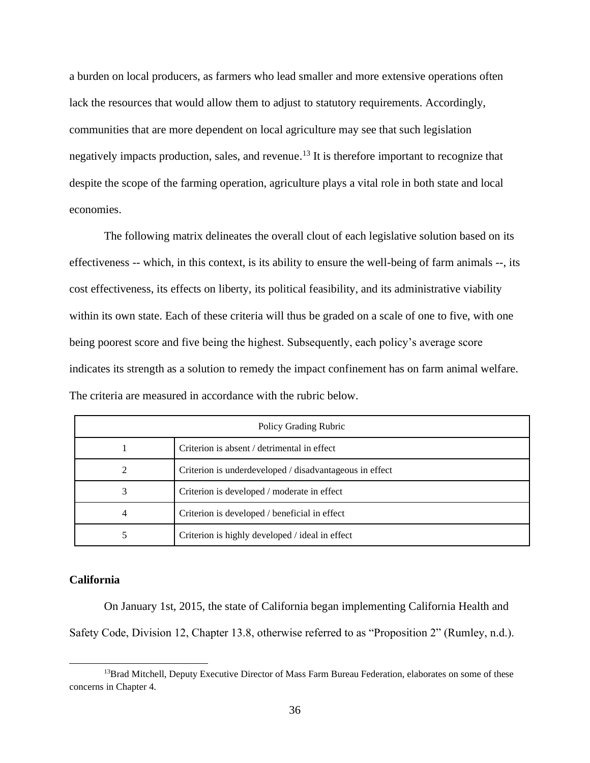a burden on local producers, as farmers who lead smaller and more extensive operations often lack the resources that would allow them to adjust to statutory requirements. Accordingly, communities that are more dependent on local agriculture may see that such legislation negatively impacts production, sales, and revenue.<sup>13</sup> It is therefore important to recognize that despite the scope of the farming operation, agriculture plays a vital role in both state and local economies.

The following matrix delineates the overall clout of each legislative solution based on its effectiveness -- which, in this context, is its ability to ensure the well-being of farm animals --, its cost effectiveness, its effects on liberty, its political feasibility, and its administrative viability within its own state. Each of these criteria will thus be graded on a scale of one to five, with one being poorest score and five being the highest. Subsequently, each policy's average score indicates its strength as a solution to remedy the impact confinement has on farm animal welfare. The criteria are measured in accordance with the rubric below.

| Policy Grading Rubric |                                                         |
|-----------------------|---------------------------------------------------------|
|                       | Criterion is absent / detrimental in effect             |
| 2                     | Criterion is underdeveloped / disadvantageous in effect |
| 3                     | Criterion is developed / moderate in effect             |
| 4                     | Criterion is developed / beneficial in effect           |
|                       | Criterion is highly developed / ideal in effect         |

## **California**

On January 1st, 2015, the state of California began implementing California Health and Safety Code, Division 12, Chapter 13.8, otherwise referred to as "Proposition 2" (Rumley, n.d.).

<sup>&</sup>lt;sup>13</sup>Brad Mitchell, Deputy Executive Director of Mass Farm Bureau Federation, elaborates on some of these concerns in Chapter 4.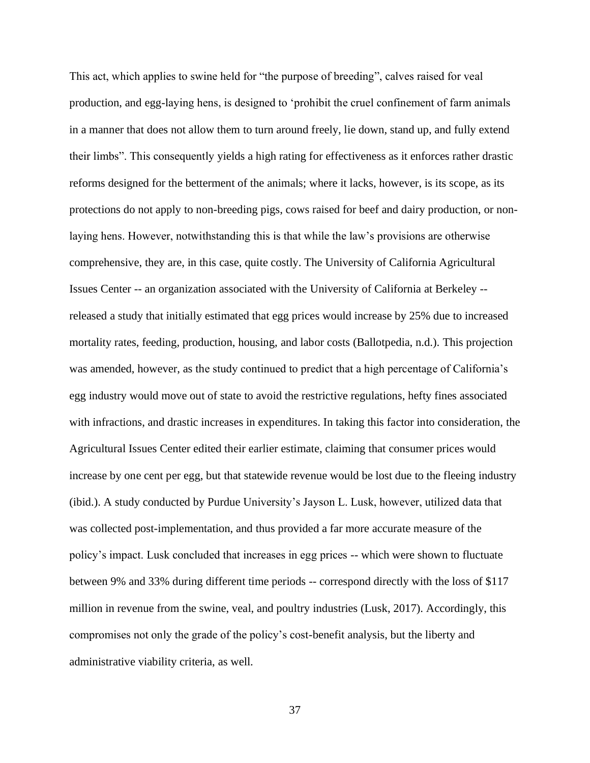This act, which applies to swine held for "the purpose of breeding", calves raised for veal production, and egg-laying hens, is designed to 'prohibit the cruel confinement of farm animals in a manner that does not allow them to turn around freely, lie down, stand up, and fully extend their limbs". This consequently yields a high rating for effectiveness as it enforces rather drastic reforms designed for the betterment of the animals; where it lacks, however, is its scope, as its protections do not apply to non-breeding pigs, cows raised for beef and dairy production, or nonlaying hens. However, notwithstanding this is that while the law's provisions are otherwise comprehensive, they are, in this case, quite costly. The University of California Agricultural Issues Center -- an organization associated with the University of California at Berkeley - released a study that initially estimated that egg prices would increase by 25% due to increased mortality rates, feeding, production, housing, and labor costs (Ballotpedia, n.d.). This projection was amended, however, as the study continued to predict that a high percentage of California's egg industry would move out of state to avoid the restrictive regulations, hefty fines associated with infractions, and drastic increases in expenditures. In taking this factor into consideration, the Agricultural Issues Center edited their earlier estimate, claiming that consumer prices would increase by one cent per egg, but that statewide revenue would be lost due to the fleeing industry (ibid.). A study conducted by Purdue University's Jayson L. Lusk, however, utilized data that was collected post-implementation, and thus provided a far more accurate measure of the policy's impact. Lusk concluded that increases in egg prices -- which were shown to fluctuate between 9% and 33% during different time periods -- correspond directly with the loss of \$117 million in revenue from the swine, veal, and poultry industries (Lusk, 2017). Accordingly, this compromises not only the grade of the policy's cost-benefit analysis, but the liberty and administrative viability criteria, as well.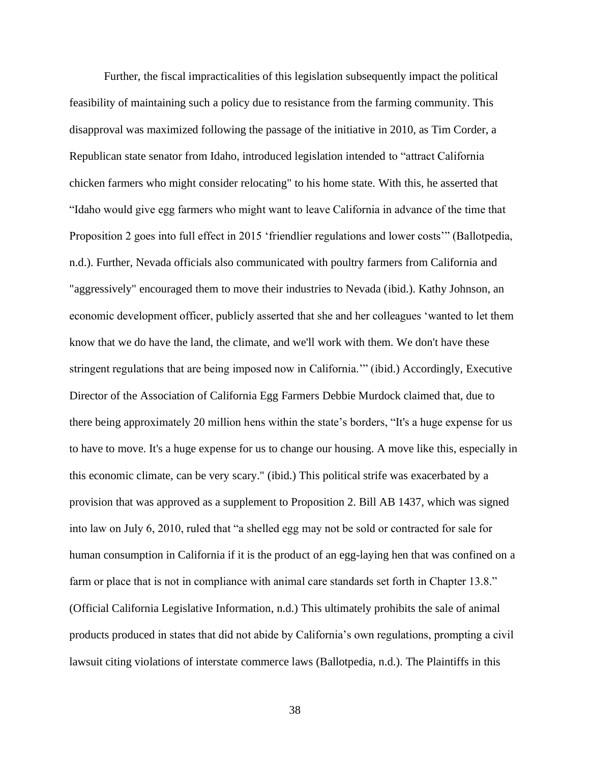Further, the fiscal impracticalities of this legislation subsequently impact the political feasibility of maintaining such a policy due to resistance from the farming community. This disapproval was maximized following the passage of the initiative in 2010, as Tim Corder, a Republican state senator from Idaho, introduced legislation intended to "attract California chicken farmers who might consider relocating" to his home state. With this, he asserted that "Idaho would give egg farmers who might want to leave California in advance of the time that Proposition 2 goes into full effect in 2015 'friendlier regulations and lower costs'" (Ballotpedia, n.d.). Further, Nevada officials also communicated with poultry farmers from California and "aggressively" encouraged them to move their industries to Nevada (ibid.). Kathy Johnson, an economic development officer, publicly asserted that she and her colleagues 'wanted to let them know that we do have the land, the climate, and we'll work with them. We don't have these stringent regulations that are being imposed now in California.'" (ibid.) Accordingly, Executive Director of the Association of California Egg Farmers Debbie Murdock claimed that, due to there being approximately 20 million hens within the state's borders, "It's a huge expense for us to have to move. It's a huge expense for us to change our housing. A move like this, especially in this economic climate, can be very scary." (ibid.) This political strife was exacerbated by a provision that was approved as a supplement to Proposition 2. Bill AB 1437, which was signed into law on July 6, 2010, ruled that "a shelled egg may not be sold or contracted for sale for human consumption in California if it is the product of an egg-laying hen that was confined on a farm or place that is not in compliance with animal care standards set forth in Chapter 13.8." (Official California Legislative Information, n.d.) This ultimately prohibits the sale of animal products produced in states that did not abide by California's own regulations, prompting a civil lawsuit citing violations of interstate commerce laws (Ballotpedia, n.d.). The Plaintiffs in this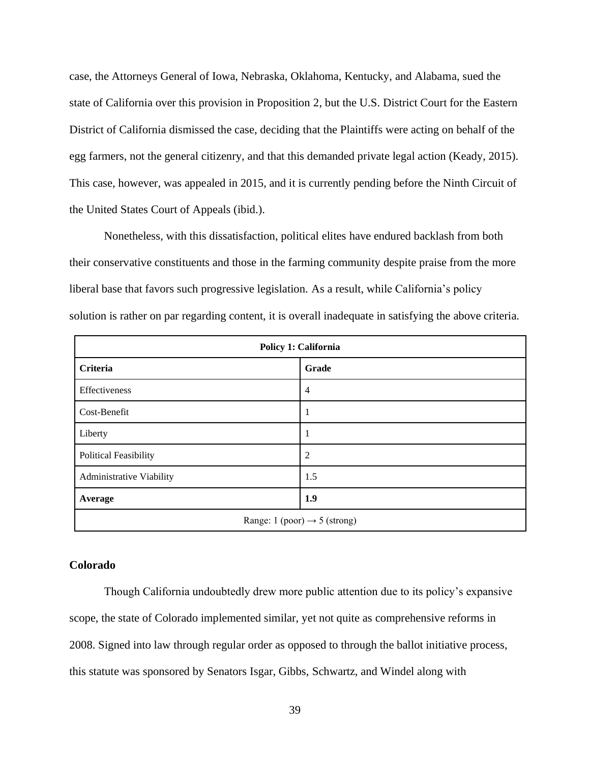case, the Attorneys General of Iowa, Nebraska, Oklahoma, Kentucky, and Alabama, sued the state of California over this provision in Proposition 2, but the U.S. District Court for the Eastern District of California dismissed the case, deciding that the Plaintiffs were acting on behalf of the egg farmers, not the general citizenry, and that this demanded private legal action (Keady, 2015). This case, however, was appealed in 2015, and it is currently pending before the Ninth Circuit of the United States Court of Appeals (ibid.).

Nonetheless, with this dissatisfaction, political elites have endured backlash from both their conservative constituents and those in the farming community despite praise from the more liberal base that favors such progressive legislation. As a result, while California's policy solution is rather on par regarding content, it is overall inadequate in satisfying the above criteria.

| Policy 1: California                     |                |  |
|------------------------------------------|----------------|--|
| <b>Criteria</b>                          | Grade          |  |
| Effectiveness                            | $\overline{4}$ |  |
| Cost-Benefit                             |                |  |
| Liberty                                  |                |  |
| <b>Political Feasibility</b>             | $\overline{2}$ |  |
| Administrative Viability                 | 1.5            |  |
| Average                                  | 1.9            |  |
| Range: 1 (poor) $\rightarrow$ 5 (strong) |                |  |

### **Colorado**

Though California undoubtedly drew more public attention due to its policy's expansive scope, the state of Colorado implemented similar, yet not quite as comprehensive reforms in 2008. Signed into law through regular order as opposed to through the ballot initiative process, this statute was sponsored by Senators Isgar, Gibbs, Schwartz, and Windel along with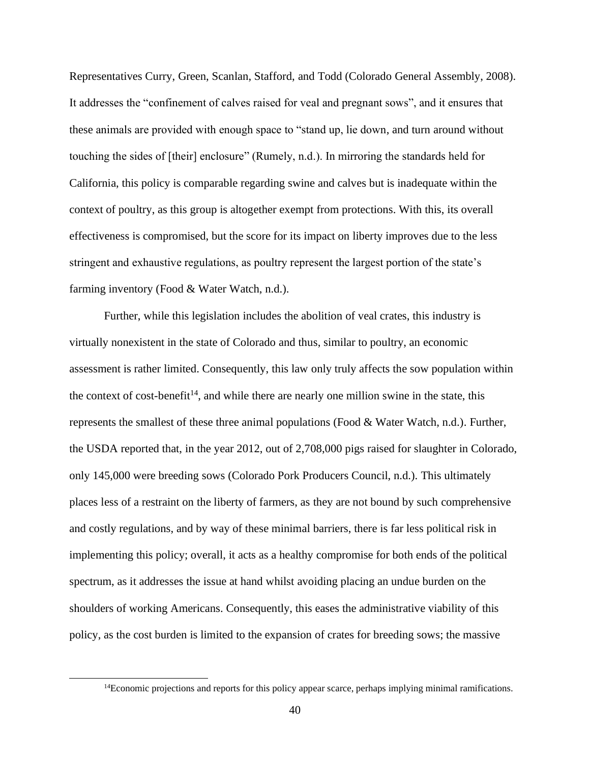Representatives Curry, Green, Scanlan, Stafford, and Todd (Colorado General Assembly, 2008). It addresses the "confinement of calves raised for veal and pregnant sows", and it ensures that these animals are provided with enough space to "stand up, lie down, and turn around without touching the sides of [their] enclosure" (Rumely, n.d.). In mirroring the standards held for California, this policy is comparable regarding swine and calves but is inadequate within the context of poultry, as this group is altogether exempt from protections. With this, its overall effectiveness is compromised, but the score for its impact on liberty improves due to the less stringent and exhaustive regulations, as poultry represent the largest portion of the state's farming inventory (Food & Water Watch, n.d.).

Further, while this legislation includes the abolition of veal crates, this industry is virtually nonexistent in the state of Colorado and thus, similar to poultry, an economic assessment is rather limited. Consequently, this law only truly affects the sow population within the context of cost-benefit<sup>14</sup>, and while there are nearly one million swine in the state, this represents the smallest of these three animal populations (Food & Water Watch, n.d.). Further, the USDA reported that, in the year 2012, out of 2,708,000 pigs raised for slaughter in Colorado, only 145,000 were breeding sows (Colorado Pork Producers Council, n.d.). This ultimately places less of a restraint on the liberty of farmers, as they are not bound by such comprehensive and costly regulations, and by way of these minimal barriers, there is far less political risk in implementing this policy; overall, it acts as a healthy compromise for both ends of the political spectrum, as it addresses the issue at hand whilst avoiding placing an undue burden on the shoulders of working Americans. Consequently, this eases the administrative viability of this policy, as the cost burden is limited to the expansion of crates for breeding sows; the massive

 $14$ Economic projections and reports for this policy appear scarce, perhaps implying minimal ramifications.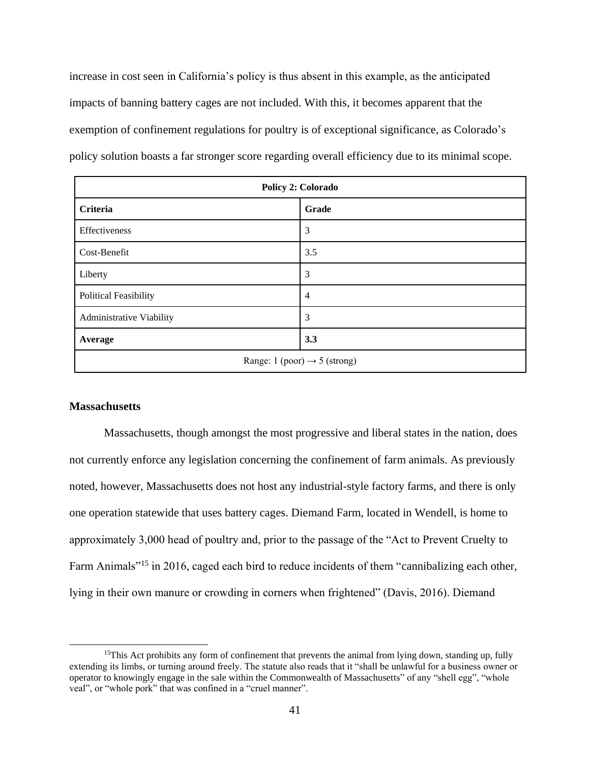increase in cost seen in California's policy is thus absent in this example, as the anticipated impacts of banning battery cages are not included. With this, it becomes apparent that the exemption of confinement regulations for poultry is of exceptional significance, as Colorado's policy solution boasts a far stronger score regarding overall efficiency due to its minimal scope.

| Policy 2: Colorado                       |                |  |
|------------------------------------------|----------------|--|
| Criteria                                 | Grade          |  |
| Effectiveness                            | 3              |  |
| Cost-Benefit                             | 3.5            |  |
| Liberty                                  | 3              |  |
| <b>Political Feasibility</b>             | $\overline{4}$ |  |
| Administrative Viability                 | 3              |  |
| Average                                  | 3.3            |  |
| Range: 1 (poor) $\rightarrow$ 5 (strong) |                |  |

### **Massachusetts**

Massachusetts, though amongst the most progressive and liberal states in the nation, does not currently enforce any legislation concerning the confinement of farm animals. As previously noted, however, Massachusetts does not host any industrial-style factory farms, and there is only one operation statewide that uses battery cages. Diemand Farm, located in Wendell, is home to approximately 3,000 head of poultry and, prior to the passage of the "Act to Prevent Cruelty to Farm Animals"<sup>15</sup> in 2016, caged each bird to reduce incidents of them "cannibalizing each other, lying in their own manure or crowding in corners when frightened" (Davis, 2016). Diemand

<sup>&</sup>lt;sup>15</sup>This Act prohibits any form of confinement that prevents the animal from lying down, standing up, fully extending its limbs, or turning around freely. The statute also reads that it "shall be unlawful for a business owner or operator to knowingly engage in the sale within the Commonwealth of Massachusetts" of any "shell egg", "whole veal", or "whole pork" that was confined in a "cruel manner".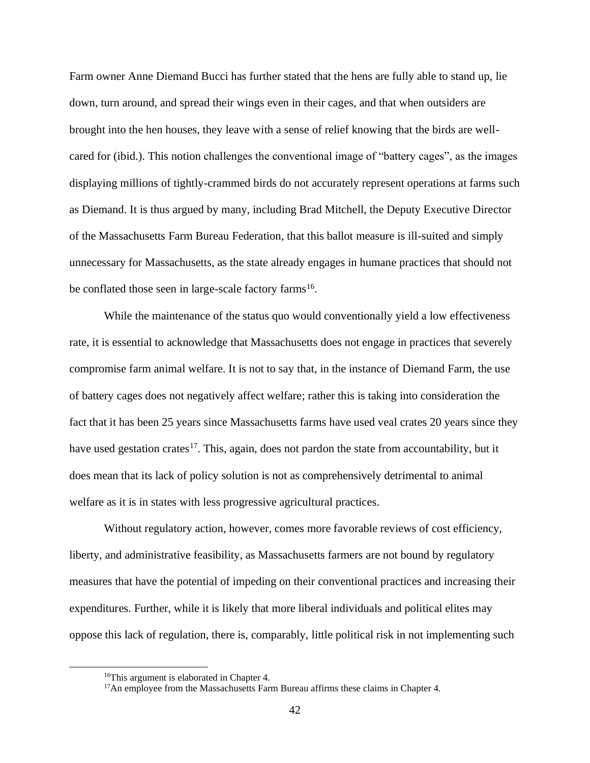Farm owner Anne Diemand Bucci has further stated that the hens are fully able to stand up, lie down, turn around, and spread their wings even in their cages, and that when outsiders are brought into the hen houses, they leave with a sense of relief knowing that the birds are wellcared for (ibid.). This notion challenges the conventional image of "battery cages", as the images displaying millions of tightly-crammed birds do not accurately represent operations at farms such as Diemand. It is thus argued by many, including Brad Mitchell, the Deputy Executive Director of the Massachusetts Farm Bureau Federation, that this ballot measure is ill-suited and simply unnecessary for Massachusetts, as the state already engages in humane practices that should not be conflated those seen in large-scale factory farms<sup>16</sup>.

While the maintenance of the status quo would conventionally yield a low effectiveness rate, it is essential to acknowledge that Massachusetts does not engage in practices that severely compromise farm animal welfare. It is not to say that, in the instance of Diemand Farm, the use of battery cages does not negatively affect welfare; rather this is taking into consideration the fact that it has been 25 years since Massachusetts farms have used veal crates 20 years since they have used gestation crates<sup>17</sup>. This, again, does not pardon the state from accountability, but it does mean that its lack of policy solution is not as comprehensively detrimental to animal welfare as it is in states with less progressive agricultural practices.

Without regulatory action, however, comes more favorable reviews of cost efficiency, liberty, and administrative feasibility, as Massachusetts farmers are not bound by regulatory measures that have the potential of impeding on their conventional practices and increasing their expenditures. Further, while it is likely that more liberal individuals and political elites may oppose this lack of regulation, there is, comparably, little political risk in not implementing such

<sup>&</sup>lt;sup>16</sup>This argument is elaborated in Chapter 4.

<sup>&</sup>lt;sup>17</sup>An employee from the Massachusetts Farm Bureau affirms these claims in Chapter 4.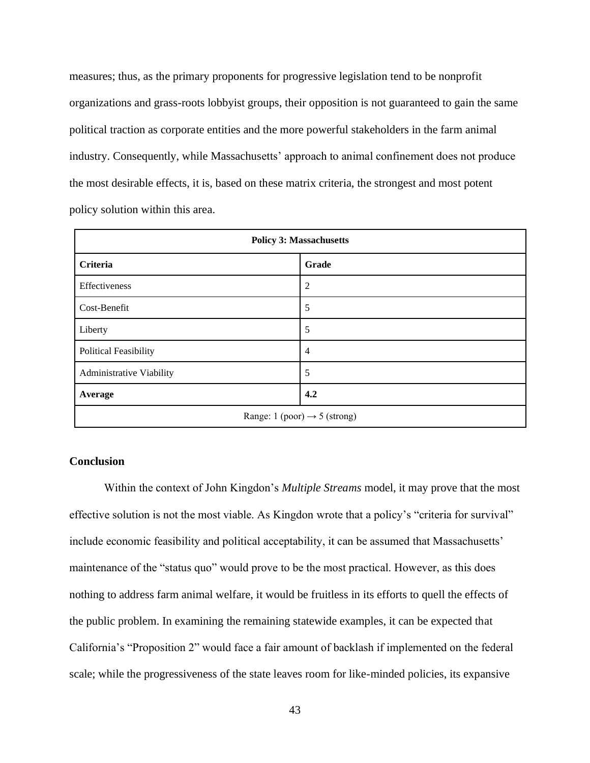measures; thus, as the primary proponents for progressive legislation tend to be nonprofit organizations and grass-roots lobbyist groups, their opposition is not guaranteed to gain the same political traction as corporate entities and the more powerful stakeholders in the farm animal industry. Consequently, while Massachusetts' approach to animal confinement does not produce the most desirable effects, it is, based on these matrix criteria, the strongest and most potent policy solution within this area.

| <b>Policy 3: Massachusetts</b>           |                |  |
|------------------------------------------|----------------|--|
| Criteria                                 | Grade          |  |
| Effectiveness                            | $\overline{2}$ |  |
| Cost-Benefit                             | 5              |  |
| Liberty                                  | 5              |  |
| <b>Political Feasibility</b>             | $\overline{4}$ |  |
| Administrative Viability                 | 5              |  |
| Average                                  | 4.2            |  |
| Range: 1 (poor) $\rightarrow$ 5 (strong) |                |  |

## **Conclusion**

Within the context of John Kingdon's *Multiple Streams* model, it may prove that the most effective solution is not the most viable. As Kingdon wrote that a policy's "criteria for survival" include economic feasibility and political acceptability, it can be assumed that Massachusetts' maintenance of the "status quo" would prove to be the most practical. However, as this does nothing to address farm animal welfare, it would be fruitless in its efforts to quell the effects of the public problem. In examining the remaining statewide examples, it can be expected that California's "Proposition 2" would face a fair amount of backlash if implemented on the federal scale; while the progressiveness of the state leaves room for like-minded policies, its expansive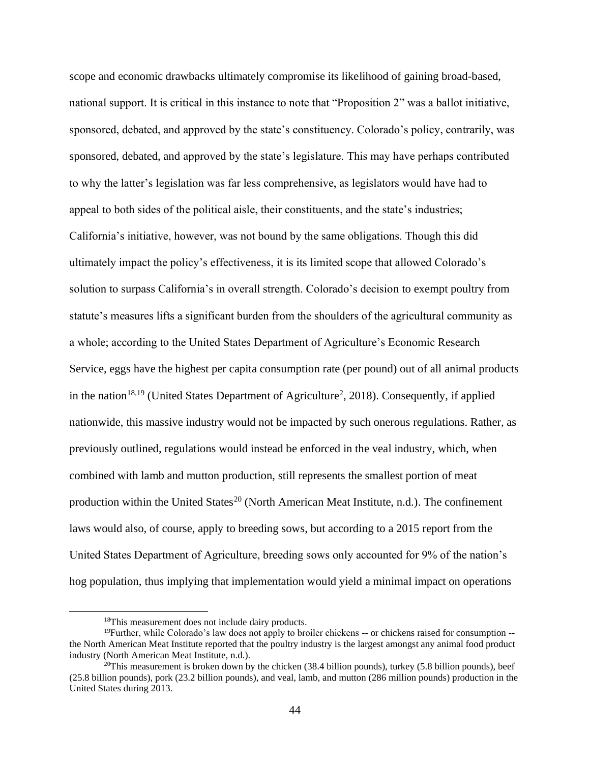scope and economic drawbacks ultimately compromise its likelihood of gaining broad-based, national support. It is critical in this instance to note that "Proposition 2" was a ballot initiative, sponsored, debated, and approved by the state's constituency. Colorado's policy, contrarily, was sponsored, debated, and approved by the state's legislature. This may have perhaps contributed to why the latter's legislation was far less comprehensive, as legislators would have had to appeal to both sides of the political aisle, their constituents, and the state's industries; California's initiative, however, was not bound by the same obligations. Though this did ultimately impact the policy's effectiveness, it is its limited scope that allowed Colorado's solution to surpass California's in overall strength. Colorado's decision to exempt poultry from statute's measures lifts a significant burden from the shoulders of the agricultural community as a whole; according to the United States Department of Agriculture's Economic Research Service, eggs have the highest per capita consumption rate (per pound) out of all animal products in the nation<sup>18,19</sup> (United States Department of Agriculture<sup>2</sup>, 2018). Consequently, if applied nationwide, this massive industry would not be impacted by such onerous regulations. Rather, as previously outlined, regulations would instead be enforced in the veal industry, which, when combined with lamb and mutton production, still represents the smallest portion of meat production within the United States<sup>20</sup> (North American Meat Institute, n.d.). The confinement laws would also, of course, apply to breeding sows, but according to a 2015 report from the United States Department of Agriculture, breeding sows only accounted for 9% of the nation's hog population, thus implying that implementation would yield a minimal impact on operations

<sup>&</sup>lt;sup>18</sup>This measurement does not include dairy products.

 $19$ Further, while Colorado's law does not apply to broiler chickens  $-$  or chickens raised for consumption  $$ the North American Meat Institute reported that the poultry industry is the largest amongst any animal food product industry (North American Meat Institute, n.d.).

<sup>&</sup>lt;sup>20</sup>This measurement is broken down by the chicken  $(38.4 \text{ billion pounds})$ , turkey  $(5.8 \text{ billion pounds})$ , beef (25.8 billion pounds), pork (23.2 billion pounds), and veal, lamb, and mutton (286 million pounds) production in the United States during 2013.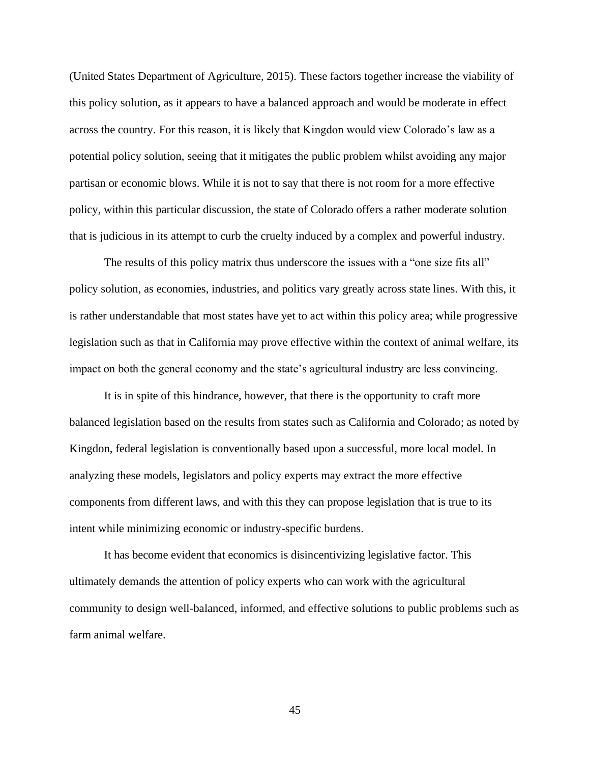(United States Department of Agriculture, 2015). These factors together increase the viability of this policy solution, as it appears to have a balanced approach and would be moderate in effect across the country. For this reason, it is likely that Kingdon would view Colorado's law as a potential policy solution, seeing that it mitigates the public problem whilst avoiding any major partisan or economic blows. While it is not to say that there is not room for a more effective policy, within this particular discussion, the state of Colorado offers a rather moderate solution that is judicious in its attempt to curb the cruelty induced by a complex and powerful industry.

The results of this policy matrix thus underscore the issues with a "one size fits all" policy solution, as economies, industries, and politics vary greatly across state lines. With this, it is rather understandable that most states have yet to act within this policy area; while progressive legislation such as that in California may prove effective within the context of animal welfare, its impact on both the general economy and the state's agricultural industry are less convincing.

It is in spite of this hindrance, however, that there is the opportunity to craft more balanced legislation based on the results from states such as California and Colorado; as noted by Kingdon, federal legislation is conventionally based upon a successful, more local model. In analyzing these models, legislators and policy experts may extract the more effective components from different laws, and with this they can propose legislation that is true to its intent while minimizing economic or industry-specific burdens.

It has become evident that economics is disincentivizing legislative factor. This ultimately demands the attention of policy experts who can work with the agricultural community to design well-balanced, informed, and effective solutions to public problems such as farm animal welfare.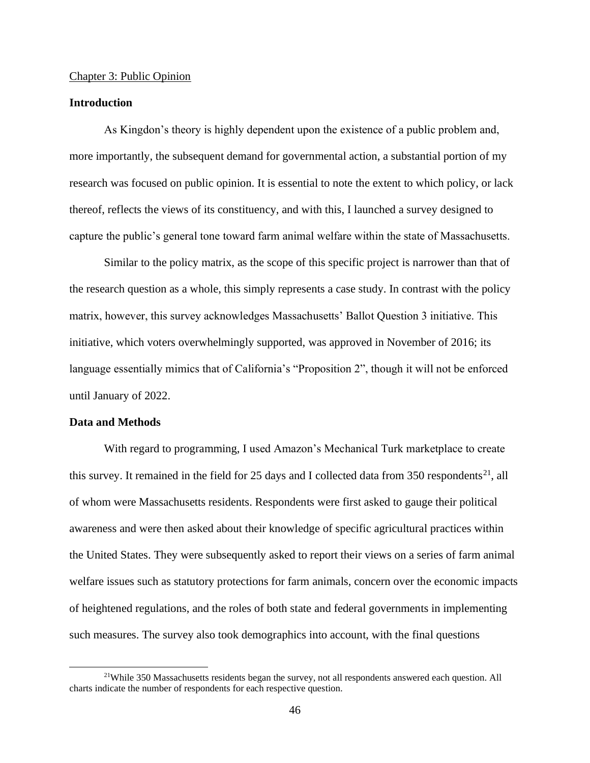### Chapter 3: Public Opinion

### **Introduction**

As Kingdon's theory is highly dependent upon the existence of a public problem and, more importantly, the subsequent demand for governmental action, a substantial portion of my research was focused on public opinion. It is essential to note the extent to which policy, or lack thereof, reflects the views of its constituency, and with this, I launched a survey designed to capture the public's general tone toward farm animal welfare within the state of Massachusetts.

Similar to the policy matrix, as the scope of this specific project is narrower than that of the research question as a whole, this simply represents a case study. In contrast with the policy matrix, however, this survey acknowledges Massachusetts' Ballot Question 3 initiative. This initiative, which voters overwhelmingly supported, was approved in November of 2016; its language essentially mimics that of California's "Proposition 2", though it will not be enforced until January of 2022.

#### **Data and Methods**

With regard to programming, I used Amazon's Mechanical Turk marketplace to create this survey. It remained in the field for 25 days and I collected data from 350 respondents<sup>21</sup>, all of whom were Massachusetts residents. Respondents were first asked to gauge their political awareness and were then asked about their knowledge of specific agricultural practices within the United States. They were subsequently asked to report their views on a series of farm animal welfare issues such as statutory protections for farm animals, concern over the economic impacts of heightened regulations, and the roles of both state and federal governments in implementing such measures. The survey also took demographics into account, with the final questions

<sup>21</sup>While 350 Massachusetts residents began the survey, not all respondents answered each question. All charts indicate the number of respondents for each respective question.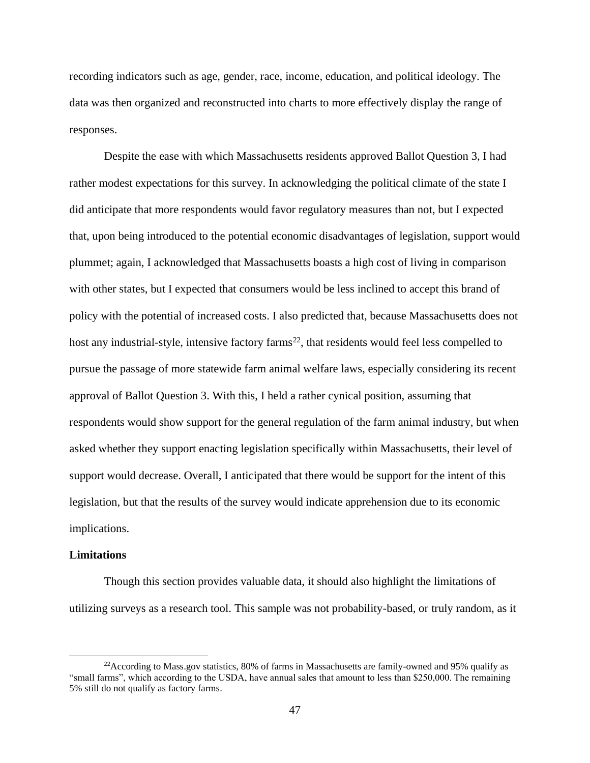recording indicators such as age, gender, race, income, education, and political ideology. The data was then organized and reconstructed into charts to more effectively display the range of responses.

Despite the ease with which Massachusetts residents approved Ballot Question 3, I had rather modest expectations for this survey. In acknowledging the political climate of the state I did anticipate that more respondents would favor regulatory measures than not, but I expected that, upon being introduced to the potential economic disadvantages of legislation, support would plummet; again, I acknowledged that Massachusetts boasts a high cost of living in comparison with other states, but I expected that consumers would be less inclined to accept this brand of policy with the potential of increased costs. I also predicted that, because Massachusetts does not host any industrial-style, intensive factory farms<sup>22</sup>, that residents would feel less compelled to pursue the passage of more statewide farm animal welfare laws, especially considering its recent approval of Ballot Question 3. With this, I held a rather cynical position, assuming that respondents would show support for the general regulation of the farm animal industry, but when asked whether they support enacting legislation specifically within Massachusetts, their level of support would decrease. Overall, I anticipated that there would be support for the intent of this legislation, but that the results of the survey would indicate apprehension due to its economic implications.

### **Limitations**

Though this section provides valuable data, it should also highlight the limitations of utilizing surveys as a research tool. This sample was not probability-based, or truly random, as it

 $22$ According to Mass.gov statistics, 80% of farms in Massachusetts are family-owned and 95% qualify as "small farms", which according to the USDA, have annual sales that amount to less than \$250,000. The remaining 5% still do not qualify as factory farms.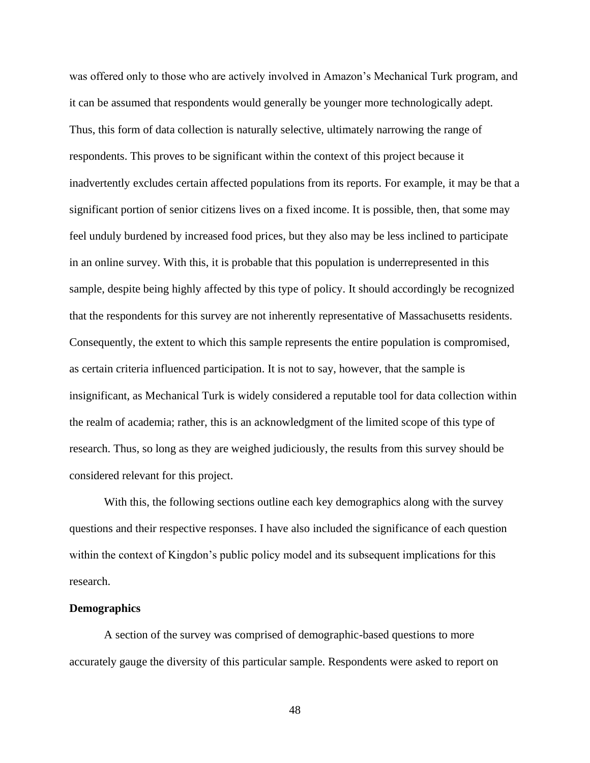was offered only to those who are actively involved in Amazon's Mechanical Turk program, and it can be assumed that respondents would generally be younger more technologically adept. Thus, this form of data collection is naturally selective, ultimately narrowing the range of respondents. This proves to be significant within the context of this project because it inadvertently excludes certain affected populations from its reports. For example, it may be that a significant portion of senior citizens lives on a fixed income. It is possible, then, that some may feel unduly burdened by increased food prices, but they also may be less inclined to participate in an online survey. With this, it is probable that this population is underrepresented in this sample, despite being highly affected by this type of policy. It should accordingly be recognized that the respondents for this survey are not inherently representative of Massachusetts residents. Consequently, the extent to which this sample represents the entire population is compromised, as certain criteria influenced participation. It is not to say, however, that the sample is insignificant, as Mechanical Turk is widely considered a reputable tool for data collection within the realm of academia; rather, this is an acknowledgment of the limited scope of this type of research. Thus, so long as they are weighed judiciously, the results from this survey should be considered relevant for this project.

With this, the following sections outline each key demographics along with the survey questions and their respective responses. I have also included the significance of each question within the context of Kingdon's public policy model and its subsequent implications for this research.

### **Demographics**

A section of the survey was comprised of demographic-based questions to more accurately gauge the diversity of this particular sample. Respondents were asked to report on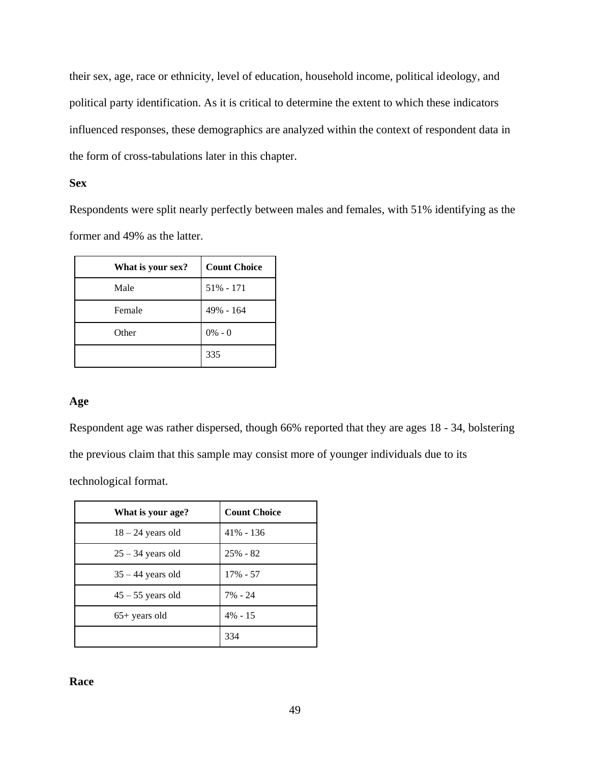their sex, age, race or ethnicity, level of education, household income, political ideology, and political party identification. As it is critical to determine the extent to which these indicators influenced responses, these demographics are analyzed within the context of respondent data in the form of cross-tabulations later in this chapter.

# **Sex**

Respondents were split nearly perfectly between males and females, with 51% identifying as the former and 49% as the latter.

| What is your sex? | <b>Count Choice</b> |
|-------------------|---------------------|
| Male              | $51\% - 171$        |
| Female            | 49% - 164           |
| Other             | $0\% - 0$           |
|                   | 335                 |

## **Age**

Respondent age was rather dispersed, though 66% reported that they are ages 18 - 34, bolstering the previous claim that this sample may consist more of younger individuals due to its technological format.

| What is your age?   | <b>Count Choice</b> |
|---------------------|---------------------|
| $18 - 24$ years old | $41\% - 136$        |
| $25 - 34$ years old | $25% - 82$          |
| $35 - 44$ years old | $17\% - 57$         |
| $45 - 55$ years old | 7% - 24             |
| $65+$ years old     | $4\% - 15$          |
|                     | 334                 |

### **Race**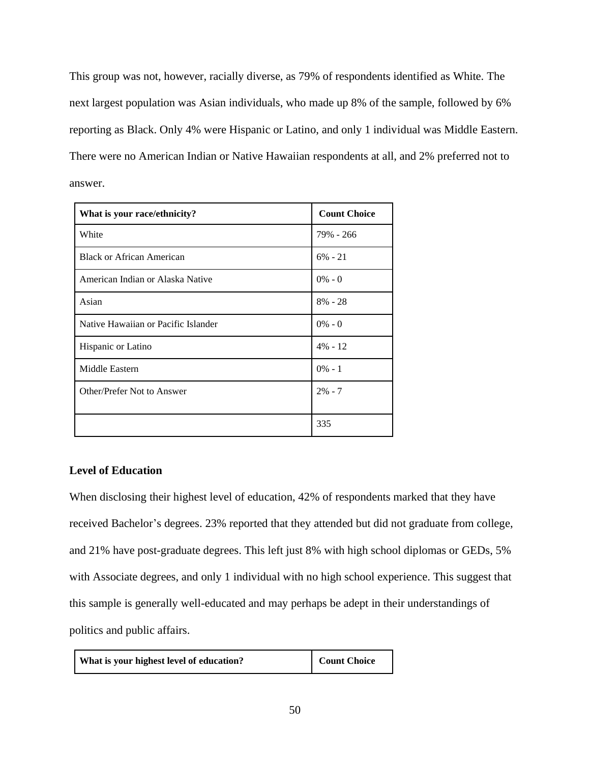This group was not, however, racially diverse, as 79% of respondents identified as White. The next largest population was Asian individuals, who made up 8% of the sample, followed by 6% reporting as Black. Only 4% were Hispanic or Latino, and only 1 individual was Middle Eastern. There were no American Indian or Native Hawaiian respondents at all, and 2% preferred not to answer.

| What is your race/ethnicity?        | <b>Count Choice</b> |
|-------------------------------------|---------------------|
| White                               | 79% - 266           |
| <b>Black or African American</b>    | $6\% - 21$          |
| American Indian or Alaska Native    | $0\% - 0$           |
| Asian                               | $8\% - 28$          |
| Native Hawaiian or Pacific Islander | $0\% - 0$           |
| Hispanic or Latino                  | $4\% - 12$          |
| Middle Eastern                      | $0\% - 1$           |
| Other/Prefer Not to Answer          | $2\% - 7$           |
|                                     |                     |
|                                     | 335                 |

# **Level of Education**

When disclosing their highest level of education, 42% of respondents marked that they have received Bachelor's degrees. 23% reported that they attended but did not graduate from college, and 21% have post-graduate degrees. This left just 8% with high school diplomas or GEDs, 5% with Associate degrees, and only 1 individual with no high school experience. This suggest that this sample is generally well-educated and may perhaps be adept in their understandings of politics and public affairs.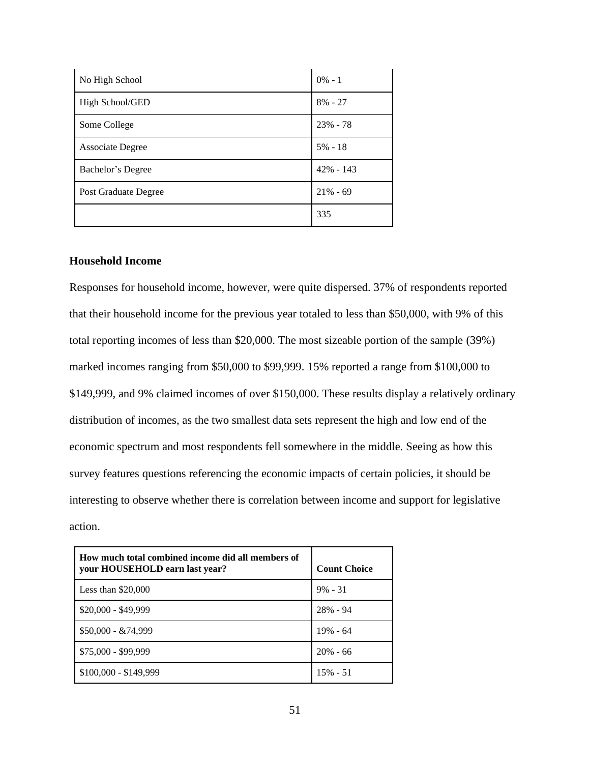| No High School       | $0\% - 1$    |
|----------------------|--------------|
| High School/GED      | $8\% - 27$   |
| Some College         | $23% - 78$   |
| Associate Degree     | $5\% - 18$   |
| Bachelor's Degree    | $42\% - 143$ |
| Post Graduate Degree | $21\% - 69$  |
|                      | 335          |

## **Household Income**

Responses for household income, however, were quite dispersed. 37% of respondents reported that their household income for the previous year totaled to less than \$50,000, with 9% of this total reporting incomes of less than \$20,000. The most sizeable portion of the sample (39%) marked incomes ranging from \$50,000 to \$99,999. 15% reported a range from \$100,000 to \$149,999, and 9% claimed incomes of over \$150,000. These results display a relatively ordinary distribution of incomes, as the two smallest data sets represent the high and low end of the economic spectrum and most respondents fell somewhere in the middle. Seeing as how this survey features questions referencing the economic impacts of certain policies, it should be interesting to observe whether there is correlation between income and support for legislative action.

| How much total combined income did all members of<br>your HOUSEHOLD earn last year? | <b>Count Choice</b> |
|-------------------------------------------------------------------------------------|---------------------|
| Less than $$20,000$                                                                 | $9\% - 31$          |
| $$20,000 - $49,999$                                                                 | 28% - 94            |
| $$50,000 - & 74,999$                                                                | $19\% - 64$         |
| \$75,000 - \$99,999                                                                 | $20% - 66$          |
| $$100,000 - $149,999$                                                               | $15\% - 51$         |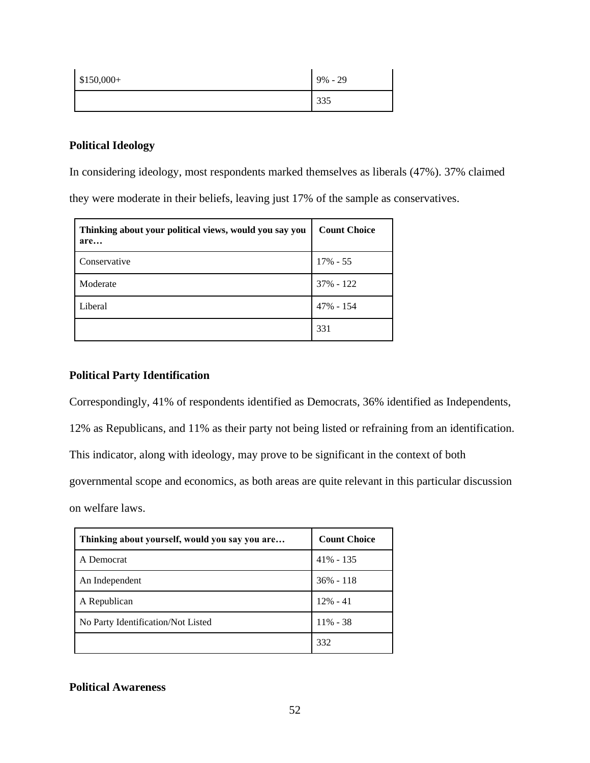| $$150,000+$ | $9\% - 29$ |
|-------------|------------|
|             | 335        |

# **Political Ideology**

In considering ideology, most respondents marked themselves as liberals (47%). 37% claimed

they were moderate in their beliefs, leaving just 17% of the sample as conservatives.

| Thinking about your political views, would you say you<br>are | <b>Count Choice</b> |
|---------------------------------------------------------------|---------------------|
| Conservative                                                  | 17% - 55            |
| Moderate                                                      | 37% - 122           |
| Liberal                                                       | 47% - 154           |
|                                                               | 331                 |

# **Political Party Identification**

Correspondingly, 41% of respondents identified as Democrats, 36% identified as Independents,

12% as Republicans, and 11% as their party not being listed or refraining from an identification.

This indicator, along with ideology, may prove to be significant in the context of both

governmental scope and economics, as both areas are quite relevant in this particular discussion

on welfare laws.

| Thinking about yourself, would you say you are | <b>Count Choice</b> |
|------------------------------------------------|---------------------|
| A Democrat                                     | $41\% - 135$        |
| An Independent                                 | $36\% - 118$        |
| A Republican                                   | $12\% - 41$         |
| No Party Identification/Not Listed             | $11\% - 38$         |
|                                                | 332                 |

# **Political Awareness**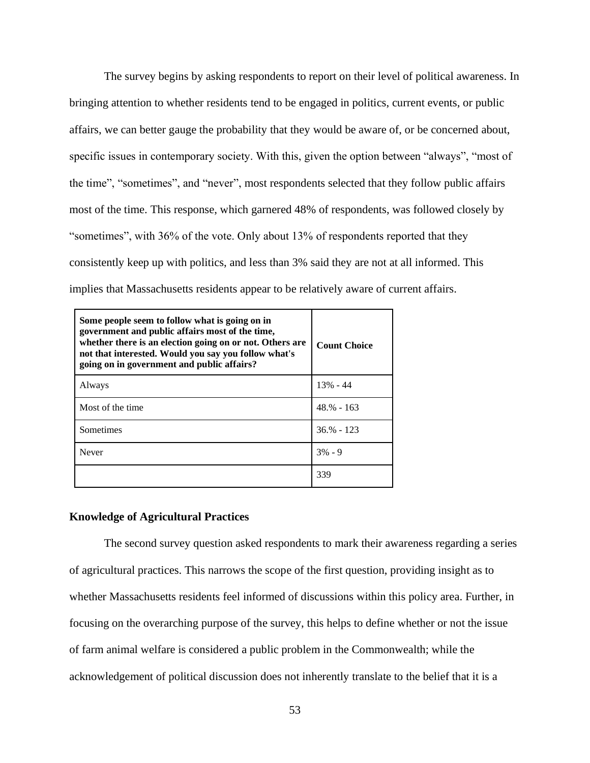The survey begins by asking respondents to report on their level of political awareness. In bringing attention to whether residents tend to be engaged in politics, current events, or public affairs, we can better gauge the probability that they would be aware of, or be concerned about, specific issues in contemporary society. With this, given the option between "always", "most of the time", "sometimes", and "never", most respondents selected that they follow public affairs most of the time. This response, which garnered 48% of respondents, was followed closely by "sometimes", with 36% of the vote. Only about 13% of respondents reported that they consistently keep up with politics, and less than 3% said they are not at all informed. This implies that Massachusetts residents appear to be relatively aware of current affairs.

| Some people seem to follow what is going on in<br>government and public affairs most of the time,<br>whether there is an election going on or not. Others are<br>not that interested. Would you say you follow what's<br>going on in government and public affairs? | <b>Count Choice</b> |
|---------------------------------------------------------------------------------------------------------------------------------------------------------------------------------------------------------------------------------------------------------------------|---------------------|
| Always                                                                                                                                                                                                                                                              | $13\% - 44$         |
| Most of the time.                                                                                                                                                                                                                                                   | $48.% - 163$        |
| Sometimes                                                                                                                                                                                                                                                           | $36.% - 123$        |
| Never                                                                                                                                                                                                                                                               | $3\% - 9$           |
|                                                                                                                                                                                                                                                                     | 339                 |

### **Knowledge of Agricultural Practices**

The second survey question asked respondents to mark their awareness regarding a series of agricultural practices. This narrows the scope of the first question, providing insight as to whether Massachusetts residents feel informed of discussions within this policy area. Further, in focusing on the overarching purpose of the survey, this helps to define whether or not the issue of farm animal welfare is considered a public problem in the Commonwealth; while the acknowledgement of political discussion does not inherently translate to the belief that it is a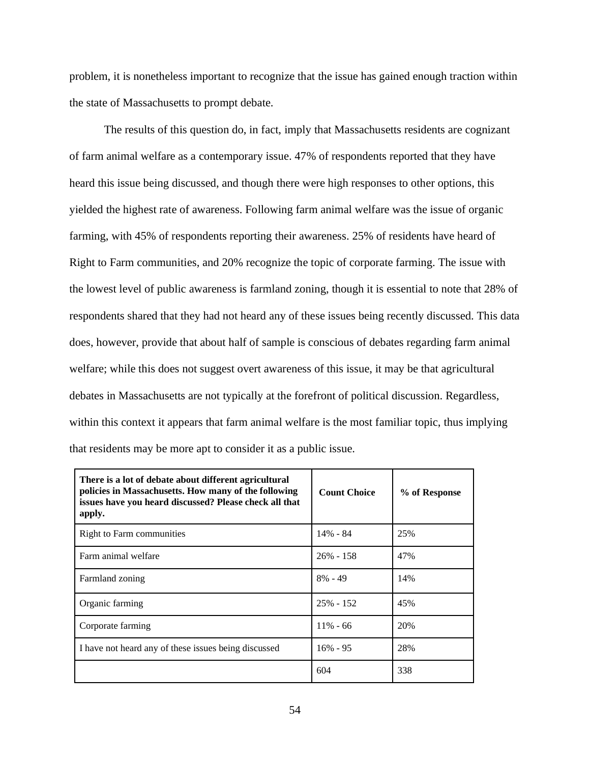problem, it is nonetheless important to recognize that the issue has gained enough traction within the state of Massachusetts to prompt debate.

The results of this question do, in fact, imply that Massachusetts residents are cognizant of farm animal welfare as a contemporary issue. 47% of respondents reported that they have heard this issue being discussed, and though there were high responses to other options, this yielded the highest rate of awareness. Following farm animal welfare was the issue of organic farming, with 45% of respondents reporting their awareness. 25% of residents have heard of Right to Farm communities, and 20% recognize the topic of corporate farming. The issue with the lowest level of public awareness is farmland zoning, though it is essential to note that 28% of respondents shared that they had not heard any of these issues being recently discussed. This data does, however, provide that about half of sample is conscious of debates regarding farm animal welfare; while this does not suggest overt awareness of this issue, it may be that agricultural debates in Massachusetts are not typically at the forefront of political discussion. Regardless, within this context it appears that farm animal welfare is the most familiar topic, thus implying that residents may be more apt to consider it as a public issue.

| There is a lot of debate about different agricultural<br>policies in Massachusetts. How many of the following<br>issues have you heard discussed? Please check all that<br>apply. | <b>Count Choice</b> | % of Response |
|-----------------------------------------------------------------------------------------------------------------------------------------------------------------------------------|---------------------|---------------|
| Right to Farm communities                                                                                                                                                         | $14\% - 84$         | 25%           |
| Farm animal welfare                                                                                                                                                               | $26\% - 158$        | 47%           |
| Farmland zoning                                                                                                                                                                   | $8\% - 49$          | 14%           |
| Organic farming                                                                                                                                                                   | $25\% - 152$        | 45%           |
| Corporate farming                                                                                                                                                                 | $11\% - 66$         | 20%           |
| I have not heard any of these issues being discussed                                                                                                                              | $16\% - 95$         | 28%           |
|                                                                                                                                                                                   | 604                 | 338           |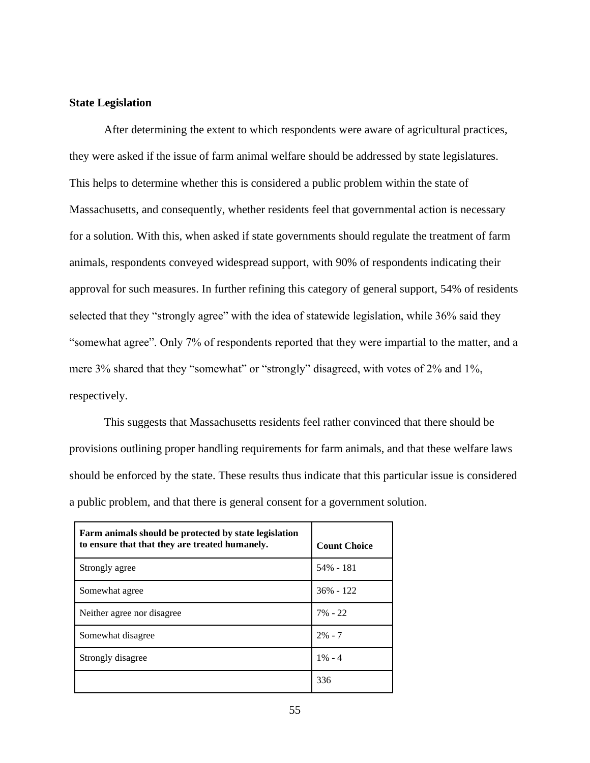## **State Legislation**

After determining the extent to which respondents were aware of agricultural practices, they were asked if the issue of farm animal welfare should be addressed by state legislatures. This helps to determine whether this is considered a public problem within the state of Massachusetts, and consequently, whether residents feel that governmental action is necessary for a solution. With this, when asked if state governments should regulate the treatment of farm animals, respondents conveyed widespread support, with 90% of respondents indicating their approval for such measures. In further refining this category of general support, 54% of residents selected that they "strongly agree" with the idea of statewide legislation, while 36% said they "somewhat agree". Only 7% of respondents reported that they were impartial to the matter, and a mere 3% shared that they "somewhat" or "strongly" disagreed, with votes of 2% and 1%, respectively.

This suggests that Massachusetts residents feel rather convinced that there should be provisions outlining proper handling requirements for farm animals, and that these welfare laws should be enforced by the state. These results thus indicate that this particular issue is considered a public problem, and that there is general consent for a government solution.

| Farm animals should be protected by state legislation<br>to ensure that that they are treated humanely. | <b>Count Choice</b> |
|---------------------------------------------------------------------------------------------------------|---------------------|
| Strongly agree                                                                                          | 54% - 181           |
| Somewhat agree                                                                                          | $36\% - 122$        |
| Neither agree nor disagree.                                                                             | $7\% - 22$          |
| Somewhat disagree                                                                                       | $2\% - 7$           |
| Strongly disagree                                                                                       | $1\% - 4$           |
|                                                                                                         | 336                 |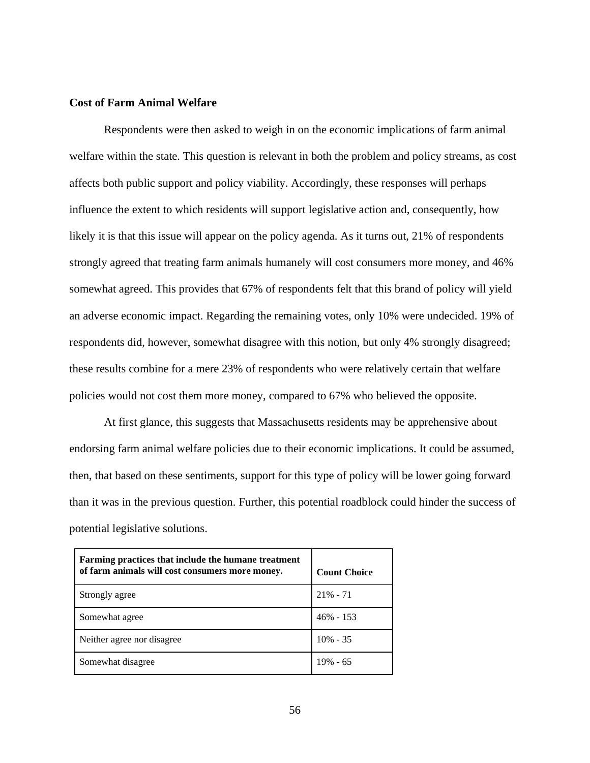### **Cost of Farm Animal Welfare**

Respondents were then asked to weigh in on the economic implications of farm animal welfare within the state. This question is relevant in both the problem and policy streams, as cost affects both public support and policy viability. Accordingly, these responses will perhaps influence the extent to which residents will support legislative action and, consequently, how likely it is that this issue will appear on the policy agenda. As it turns out, 21% of respondents strongly agreed that treating farm animals humanely will cost consumers more money, and 46% somewhat agreed. This provides that 67% of respondents felt that this brand of policy will yield an adverse economic impact. Regarding the remaining votes, only 10% were undecided. 19% of respondents did, however, somewhat disagree with this notion, but only 4% strongly disagreed; these results combine for a mere 23% of respondents who were relatively certain that welfare policies would not cost them more money, compared to 67% who believed the opposite.

At first glance, this suggests that Massachusetts residents may be apprehensive about endorsing farm animal welfare policies due to their economic implications. It could be assumed, then, that based on these sentiments, support for this type of policy will be lower going forward than it was in the previous question. Further, this potential roadblock could hinder the success of potential legislative solutions.

| Farming practices that include the humane treatment<br>of farm animals will cost consumers more money. | <b>Count Choice</b> |
|--------------------------------------------------------------------------------------------------------|---------------------|
| Strongly agree                                                                                         | $21\% - 71$         |
| Somewhat agree                                                                                         | $46\% - 153$        |
| Neither agree nor disagree.                                                                            | $10\% - 35$         |
| Somewhat disagree                                                                                      | $19\% - 65$         |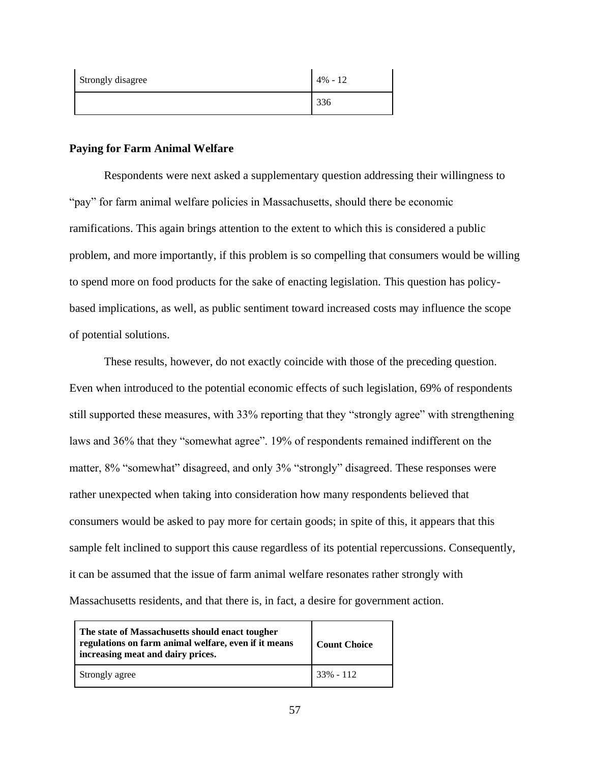| Strongly disagree | $4\% - 12$ |
|-------------------|------------|
|                   | 336        |

## **Paying for Farm Animal Welfare**

Respondents were next asked a supplementary question addressing their willingness to "pay" for farm animal welfare policies in Massachusetts, should there be economic ramifications. This again brings attention to the extent to which this is considered a public problem, and more importantly, if this problem is so compelling that consumers would be willing to spend more on food products for the sake of enacting legislation. This question has policybased implications, as well, as public sentiment toward increased costs may influence the scope of potential solutions.

These results, however, do not exactly coincide with those of the preceding question. Even when introduced to the potential economic effects of such legislation, 69% of respondents still supported these measures, with 33% reporting that they "strongly agree" with strengthening laws and 36% that they "somewhat agree". 19% of respondents remained indifferent on the matter, 8% "somewhat" disagreed, and only 3% "strongly" disagreed. These responses were rather unexpected when taking into consideration how many respondents believed that consumers would be asked to pay more for certain goods; in spite of this, it appears that this sample felt inclined to support this cause regardless of its potential repercussions. Consequently, it can be assumed that the issue of farm animal welfare resonates rather strongly with Massachusetts residents, and that there is, in fact, a desire for government action.

| The state of Massachusetts should enact tougher<br>regulations on farm animal welfare, even if it means<br>increasing meat and dairy prices. | <b>Count Choice</b> |
|----------------------------------------------------------------------------------------------------------------------------------------------|---------------------|
| Strongly agree                                                                                                                               | $33\% - 112$        |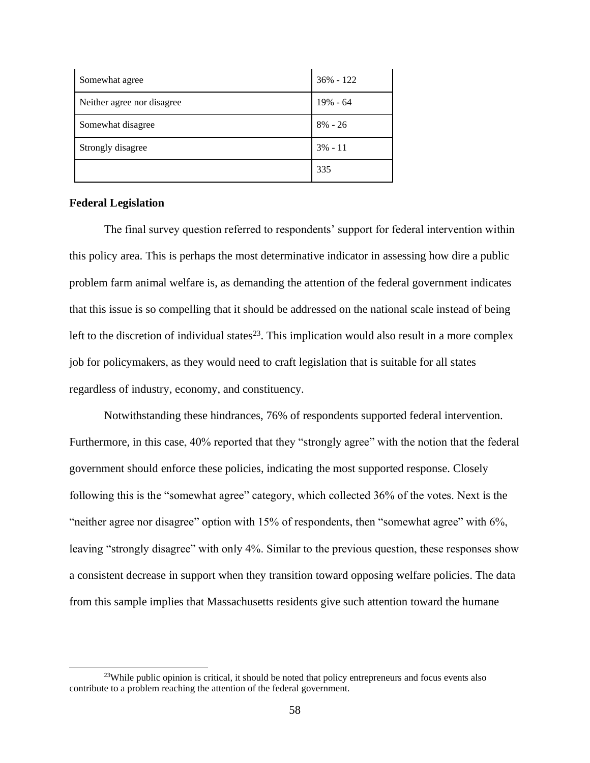| Somewhat agree             | $36\% - 122$ |
|----------------------------|--------------|
| Neither agree nor disagree | 19% - 64     |
| Somewhat disagree          | $8\% - 26$   |
| Strongly disagree          | $3\% - 11$   |
|                            | 335          |

### **Federal Legislation**

The final survey question referred to respondents' support for federal intervention within this policy area. This is perhaps the most determinative indicator in assessing how dire a public problem farm animal welfare is, as demanding the attention of the federal government indicates that this issue is so compelling that it should be addressed on the national scale instead of being left to the discretion of individual states<sup>23</sup>. This implication would also result in a more complex job for policymakers, as they would need to craft legislation that is suitable for all states regardless of industry, economy, and constituency.

Notwithstanding these hindrances, 76% of respondents supported federal intervention. Furthermore, in this case, 40% reported that they "strongly agree" with the notion that the federal government should enforce these policies, indicating the most supported response. Closely following this is the "somewhat agree" category, which collected 36% of the votes. Next is the "neither agree nor disagree" option with 15% of respondents, then "somewhat agree" with 6%, leaving "strongly disagree" with only 4%. Similar to the previous question, these responses show a consistent decrease in support when they transition toward opposing welfare policies. The data from this sample implies that Massachusetts residents give such attention toward the humane

<sup>&</sup>lt;sup>23</sup>While public opinion is critical, it should be noted that policy entrepreneurs and focus events also contribute to a problem reaching the attention of the federal government.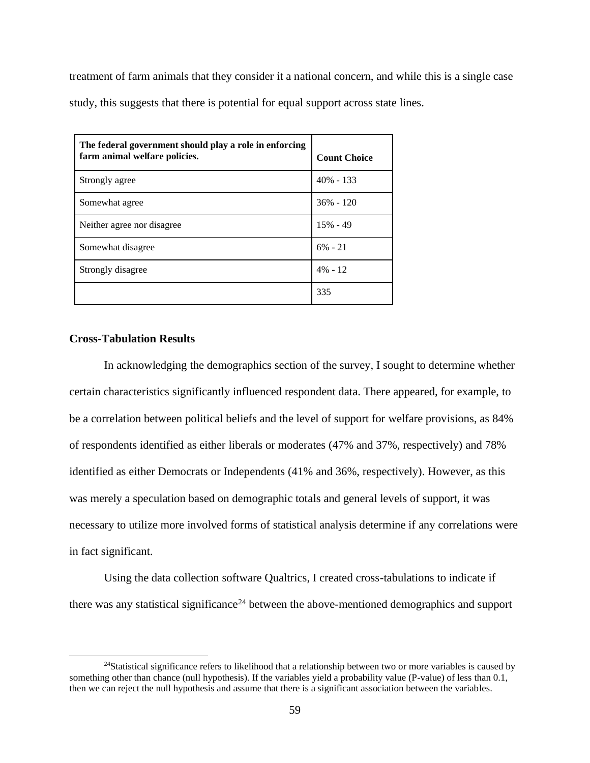treatment of farm animals that they consider it a national concern, and while this is a single case study, this suggests that there is potential for equal support across state lines.

| The federal government should play a role in enforcing<br>farm animal welfare policies. | <b>Count Choice</b> |
|-----------------------------------------------------------------------------------------|---------------------|
| Strongly agree                                                                          | $40\% - 133$        |
| Somewhat agree                                                                          | $36\% - 120$        |
| Neither agree nor disagree.                                                             | $15% - 49$          |
| Somewhat disagree                                                                       | $6\% - 21$          |
| Strongly disagree                                                                       | $4\% - 12$          |
|                                                                                         | 335                 |

# **Cross-Tabulation Results**

In acknowledging the demographics section of the survey, I sought to determine whether certain characteristics significantly influenced respondent data. There appeared, for example, to be a correlation between political beliefs and the level of support for welfare provisions, as 84% of respondents identified as either liberals or moderates (47% and 37%, respectively) and 78% identified as either Democrats or Independents (41% and 36%, respectively). However, as this was merely a speculation based on demographic totals and general levels of support, it was necessary to utilize more involved forms of statistical analysis determine if any correlations were in fact significant.

Using the data collection software Qualtrics, I created cross-tabulations to indicate if there was any statistical significance<sup>24</sup> between the above-mentioned demographics and support

<sup>&</sup>lt;sup>24</sup>Statistical significance refers to likelihood that a relationship between two or more variables is caused by something other than chance (null hypothesis). If the variables yield a probability value (P-value) of less than 0.1, then we can reject the null hypothesis and assume that there is a significant association between the variables.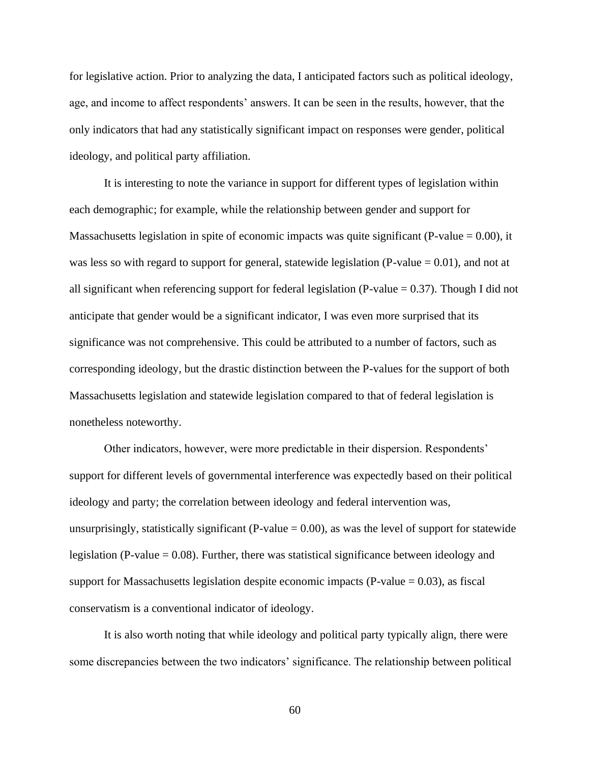for legislative action. Prior to analyzing the data, I anticipated factors such as political ideology, age, and income to affect respondents' answers. It can be seen in the results, however, that the only indicators that had any statistically significant impact on responses were gender, political ideology, and political party affiliation.

It is interesting to note the variance in support for different types of legislation within each demographic; for example, while the relationship between gender and support for Massachusetts legislation in spite of economic impacts was quite significant (P-value  $= 0.00$ ), it was less so with regard to support for general, statewide legislation (P-value  $= 0.01$ ), and not at all significant when referencing support for federal legislation (P-value  $= 0.37$ ). Though I did not anticipate that gender would be a significant indicator, I was even more surprised that its significance was not comprehensive. This could be attributed to a number of factors, such as corresponding ideology, but the drastic distinction between the P-values for the support of both Massachusetts legislation and statewide legislation compared to that of federal legislation is nonetheless noteworthy.

Other indicators, however, were more predictable in their dispersion. Respondents' support for different levels of governmental interference was expectedly based on their political ideology and party; the correlation between ideology and federal intervention was, unsurprisingly, statistically significant (P-value  $= 0.00$ ), as was the level of support for statewide legislation (P-value  $= 0.08$ ). Further, there was statistical significance between ideology and support for Massachusetts legislation despite economic impacts (P-value  $= 0.03$ ), as fiscal conservatism is a conventional indicator of ideology.

It is also worth noting that while ideology and political party typically align, there were some discrepancies between the two indicators' significance. The relationship between political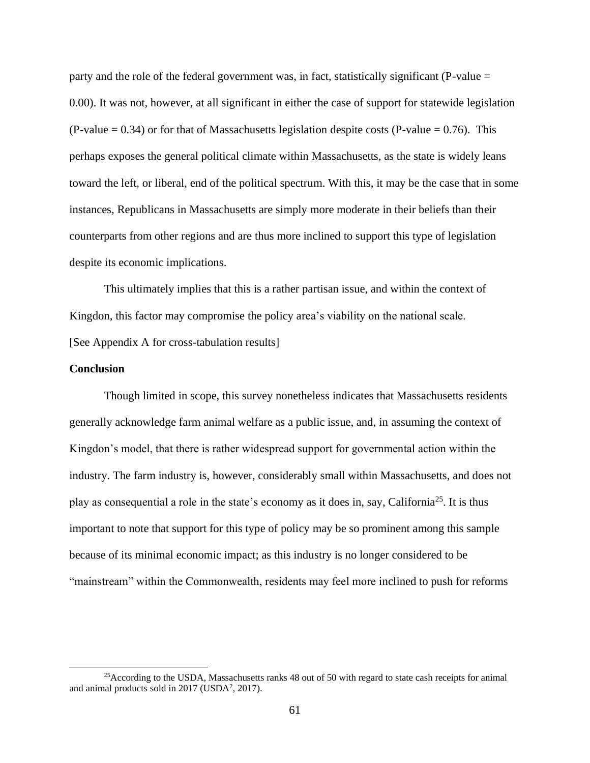party and the role of the federal government was, in fact, statistically significant (P-value = 0.00). It was not, however, at all significant in either the case of support for statewide legislation (P-value  $= 0.34$ ) or for that of Massachusetts legislation despite costs (P-value  $= 0.76$ ). This perhaps exposes the general political climate within Massachusetts, as the state is widely leans toward the left, or liberal, end of the political spectrum. With this, it may be the case that in some instances, Republicans in Massachusetts are simply more moderate in their beliefs than their counterparts from other regions and are thus more inclined to support this type of legislation despite its economic implications.

This ultimately implies that this is a rather partisan issue, and within the context of Kingdon, this factor may compromise the policy area's viability on the national scale. [See Appendix A for cross-tabulation results]

### **Conclusion**

Though limited in scope, this survey nonetheless indicates that Massachusetts residents generally acknowledge farm animal welfare as a public issue, and, in assuming the context of Kingdon's model, that there is rather widespread support for governmental action within the industry. The farm industry is, however, considerably small within Massachusetts, and does not play as consequential a role in the state's economy as it does in, say, California<sup>25</sup>. It is thus important to note that support for this type of policy may be so prominent among this sample because of its minimal economic impact; as this industry is no longer considered to be "mainstream" within the Commonwealth, residents may feel more inclined to push for reforms

<sup>&</sup>lt;sup>25</sup>According to the USDA, Massachusetts ranks 48 out of 50 with regard to state cash receipts for animal and animal products sold in  $2017$  (USDA<sup>2</sup>, 2017).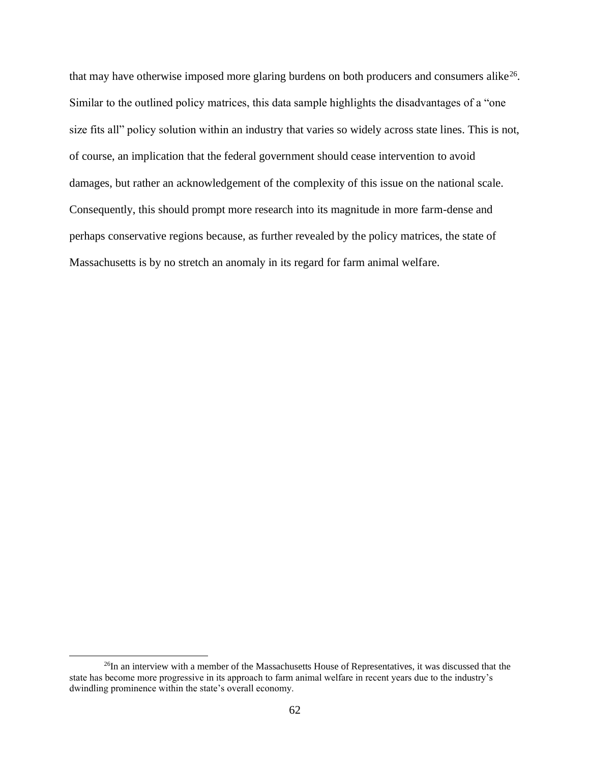that may have otherwise imposed more glaring burdens on both producers and consumers alike<sup>26</sup>. Similar to the outlined policy matrices, this data sample highlights the disadvantages of a "one size fits all" policy solution within an industry that varies so widely across state lines. This is not, of course, an implication that the federal government should cease intervention to avoid damages, but rather an acknowledgement of the complexity of this issue on the national scale. Consequently, this should prompt more research into its magnitude in more farm-dense and perhaps conservative regions because, as further revealed by the policy matrices, the state of Massachusetts is by no stretch an anomaly in its regard for farm animal welfare.

<sup>&</sup>lt;sup>26</sup>In an interview with a member of the Massachusetts House of Representatives, it was discussed that the state has become more progressive in its approach to farm animal welfare in recent years due to the industry's dwindling prominence within the state's overall economy.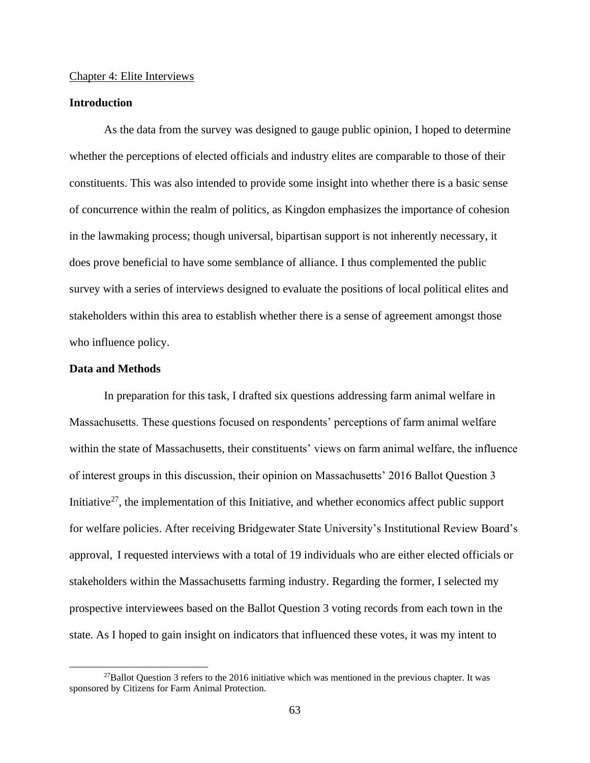#### Chapter 4: Elite Interviews

### **Introduction**

As the data from the survey was designed to gauge public opinion, I hoped to determine whether the perceptions of elected officials and industry elites are comparable to those of their constituents. This was also intended to provide some insight into whether there is a basic sense of concurrence within the realm of politics, as Kingdon emphasizes the importance of cohesion in the lawmaking process; though universal, bipartisan support is not inherently necessary, it does prove beneficial to have some semblance of alliance. I thus complemented the public survey with a series of interviews designed to evaluate the positions of local political elites and stakeholders within this area to establish whether there is a sense of agreement amongst those who influence policy.

### **Data and Methods**

In preparation for this task, I drafted six questions addressing farm animal welfare in Massachusetts. These questions focused on respondents' perceptions of farm animal welfare within the state of Massachusetts, their constituents' views on farm animal welfare, the influence of interest groups in this discussion, their opinion on Massachusetts' 2016 Ballot Question 3 Initiative<sup>27</sup>, the implementation of this Initiative, and whether economics affect public support for welfare policies. After receiving Bridgewater State University's Institutional Review Board's approval, I requested interviews with a total of 19 individuals who are either elected officials or stakeholders within the Massachusetts farming industry. Regarding the former, I selected my prospective interviewees based on the Ballot Question 3 voting records from each town in the state. As I hoped to gain insight on indicators that influenced these votes, it was my intent to

 $^{27}$ Ballot Question 3 refers to the 2016 initiative which was mentioned in the previous chapter. It was sponsored by Citizens for Farm Animal Protection.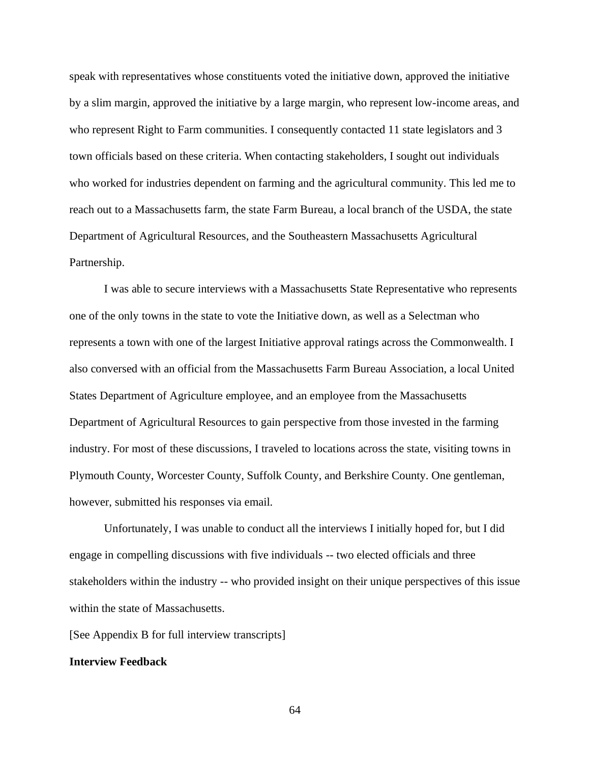speak with representatives whose constituents voted the initiative down, approved the initiative by a slim margin, approved the initiative by a large margin, who represent low-income areas, and who represent Right to Farm communities. I consequently contacted 11 state legislators and 3 town officials based on these criteria. When contacting stakeholders, I sought out individuals who worked for industries dependent on farming and the agricultural community. This led me to reach out to a Massachusetts farm, the state Farm Bureau, a local branch of the USDA, the state Department of Agricultural Resources, and the Southeastern Massachusetts Agricultural Partnership.

I was able to secure interviews with a Massachusetts State Representative who represents one of the only towns in the state to vote the Initiative down, as well as a Selectman who represents a town with one of the largest Initiative approval ratings across the Commonwealth. I also conversed with an official from the Massachusetts Farm Bureau Association, a local United States Department of Agriculture employee, and an employee from the Massachusetts Department of Agricultural Resources to gain perspective from those invested in the farming industry. For most of these discussions, I traveled to locations across the state, visiting towns in Plymouth County, Worcester County, Suffolk County, and Berkshire County. One gentleman, however, submitted his responses via email.

Unfortunately, I was unable to conduct all the interviews I initially hoped for, but I did engage in compelling discussions with five individuals -- two elected officials and three stakeholders within the industry -- who provided insight on their unique perspectives of this issue within the state of Massachusetts.

[See Appendix B for full interview transcripts]

### **Interview Feedback**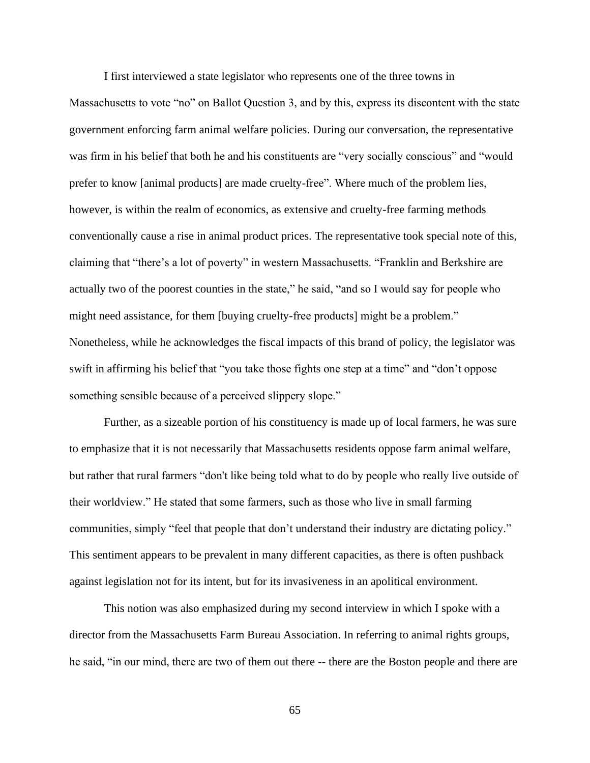I first interviewed a state legislator who represents one of the three towns in

Massachusetts to vote "no" on Ballot Question 3, and by this, express its discontent with the state government enforcing farm animal welfare policies. During our conversation, the representative was firm in his belief that both he and his constituents are "very socially conscious" and "would prefer to know [animal products] are made cruelty-free". Where much of the problem lies, however, is within the realm of economics, as extensive and cruelty-free farming methods conventionally cause a rise in animal product prices. The representative took special note of this, claiming that "there's a lot of poverty" in western Massachusetts. "Franklin and Berkshire are actually two of the poorest counties in the state," he said, "and so I would say for people who might need assistance, for them [buying cruelty-free products] might be a problem." Nonetheless, while he acknowledges the fiscal impacts of this brand of policy, the legislator was swift in affirming his belief that "you take those fights one step at a time" and "don't oppose something sensible because of a perceived slippery slope."

Further, as a sizeable portion of his constituency is made up of local farmers, he was sure to emphasize that it is not necessarily that Massachusetts residents oppose farm animal welfare, but rather that rural farmers "don't like being told what to do by people who really live outside of their worldview." He stated that some farmers, such as those who live in small farming communities, simply "feel that people that don't understand their industry are dictating policy." This sentiment appears to be prevalent in many different capacities, as there is often pushback against legislation not for its intent, but for its invasiveness in an apolitical environment.

This notion was also emphasized during my second interview in which I spoke with a director from the Massachusetts Farm Bureau Association. In referring to animal rights groups, he said, "in our mind, there are two of them out there -- there are the Boston people and there are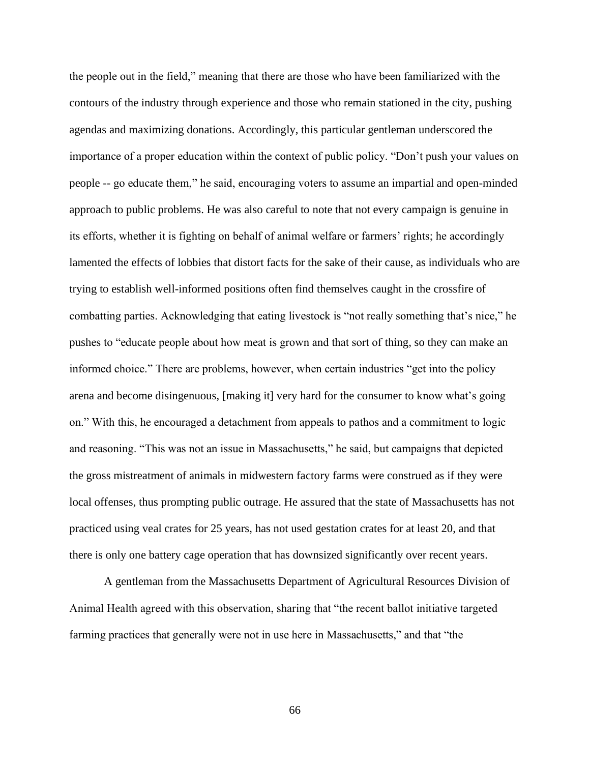the people out in the field," meaning that there are those who have been familiarized with the contours of the industry through experience and those who remain stationed in the city, pushing agendas and maximizing donations. Accordingly, this particular gentleman underscored the importance of a proper education within the context of public policy. "Don't push your values on people -- go educate them," he said, encouraging voters to assume an impartial and open-minded approach to public problems. He was also careful to note that not every campaign is genuine in its efforts, whether it is fighting on behalf of animal welfare or farmers' rights; he accordingly lamented the effects of lobbies that distort facts for the sake of their cause, as individuals who are trying to establish well-informed positions often find themselves caught in the crossfire of combatting parties. Acknowledging that eating livestock is "not really something that's nice," he pushes to "educate people about how meat is grown and that sort of thing, so they can make an informed choice." There are problems, however, when certain industries "get into the policy arena and become disingenuous, [making it] very hard for the consumer to know what's going on." With this, he encouraged a detachment from appeals to pathos and a commitment to logic and reasoning. "This was not an issue in Massachusetts," he said, but campaigns that depicted the gross mistreatment of animals in midwestern factory farms were construed as if they were local offenses, thus prompting public outrage. He assured that the state of Massachusetts has not practiced using veal crates for 25 years, has not used gestation crates for at least 20, and that there is only one battery cage operation that has downsized significantly over recent years.

A gentleman from the Massachusetts Department of Agricultural Resources Division of Animal Health agreed with this observation, sharing that "the recent ballot initiative targeted farming practices that generally were not in use here in Massachusetts," and that "the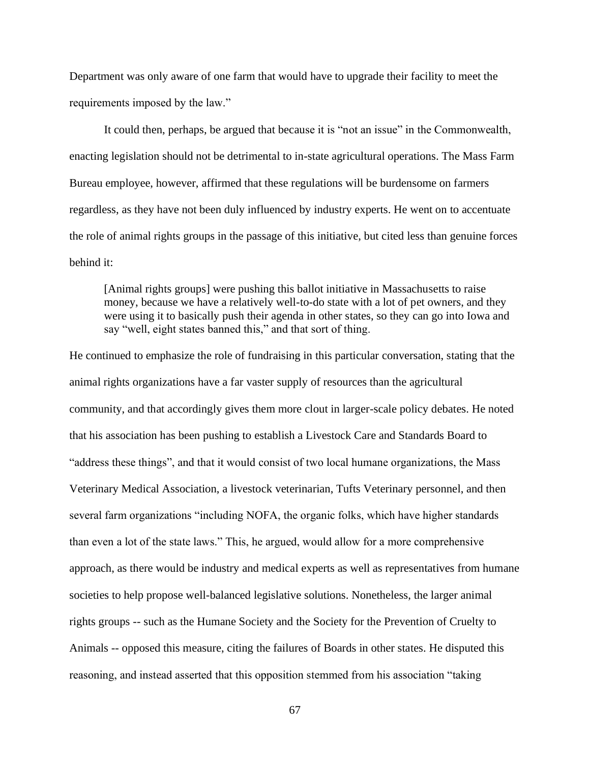Department was only aware of one farm that would have to upgrade their facility to meet the requirements imposed by the law."

It could then, perhaps, be argued that because it is "not an issue" in the Commonwealth, enacting legislation should not be detrimental to in-state agricultural operations. The Mass Farm Bureau employee, however, affirmed that these regulations will be burdensome on farmers regardless, as they have not been duly influenced by industry experts. He went on to accentuate the role of animal rights groups in the passage of this initiative, but cited less than genuine forces behind it:

[Animal rights groups] were pushing this ballot initiative in Massachusetts to raise money, because we have a relatively well-to-do state with a lot of pet owners, and they were using it to basically push their agenda in other states, so they can go into Iowa and say "well, eight states banned this," and that sort of thing.

He continued to emphasize the role of fundraising in this particular conversation, stating that the animal rights organizations have a far vaster supply of resources than the agricultural community, and that accordingly gives them more clout in larger-scale policy debates. He noted that his association has been pushing to establish a Livestock Care and Standards Board to "address these things", and that it would consist of two local humane organizations, the Mass Veterinary Medical Association, a livestock veterinarian, Tufts Veterinary personnel, and then several farm organizations "including NOFA, the organic folks, which have higher standards than even a lot of the state laws." This, he argued, would allow for a more comprehensive approach, as there would be industry and medical experts as well as representatives from humane societies to help propose well-balanced legislative solutions. Nonetheless, the larger animal rights groups -- such as the Humane Society and the Society for the Prevention of Cruelty to Animals -- opposed this measure, citing the failures of Boards in other states. He disputed this reasoning, and instead asserted that this opposition stemmed from his association "taking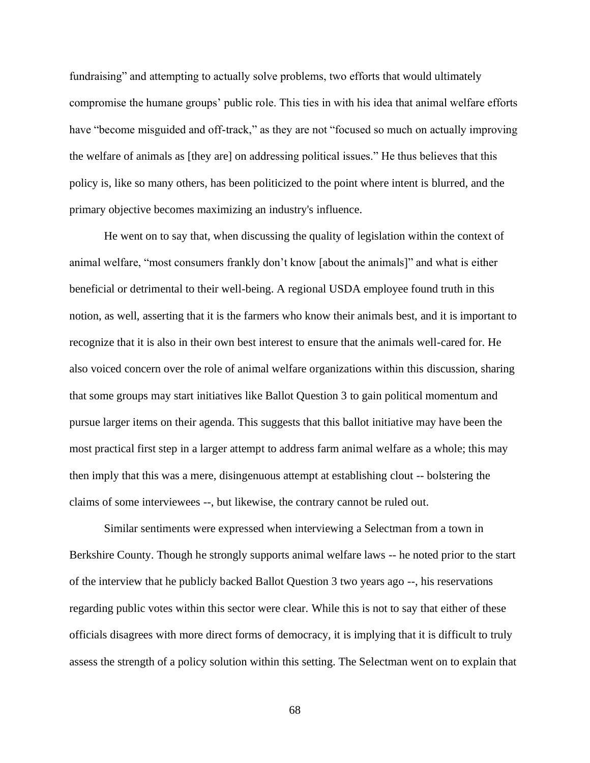fundraising" and attempting to actually solve problems, two efforts that would ultimately compromise the humane groups' public role. This ties in with his idea that animal welfare efforts have "become misguided and off-track," as they are not "focused so much on actually improving the welfare of animals as [they are] on addressing political issues." He thus believes that this policy is, like so many others, has been politicized to the point where intent is blurred, and the primary objective becomes maximizing an industry's influence.

He went on to say that, when discussing the quality of legislation within the context of animal welfare, "most consumers frankly don't know [about the animals]" and what is either beneficial or detrimental to their well-being. A regional USDA employee found truth in this notion, as well, asserting that it is the farmers who know their animals best, and it is important to recognize that it is also in their own best interest to ensure that the animals well-cared for. He also voiced concern over the role of animal welfare organizations within this discussion, sharing that some groups may start initiatives like Ballot Question 3 to gain political momentum and pursue larger items on their agenda. This suggests that this ballot initiative may have been the most practical first step in a larger attempt to address farm animal welfare as a whole; this may then imply that this was a mere, disingenuous attempt at establishing clout -- bolstering the claims of some interviewees --, but likewise, the contrary cannot be ruled out.

Similar sentiments were expressed when interviewing a Selectman from a town in Berkshire County. Though he strongly supports animal welfare laws -- he noted prior to the start of the interview that he publicly backed Ballot Question 3 two years ago --, his reservations regarding public votes within this sector were clear. While this is not to say that either of these officials disagrees with more direct forms of democracy, it is implying that it is difficult to truly assess the strength of a policy solution within this setting. The Selectman went on to explain that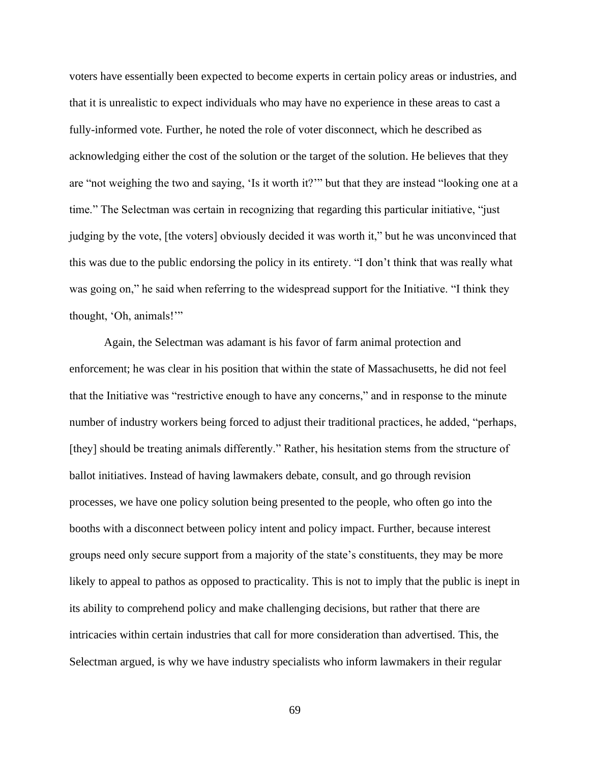voters have essentially been expected to become experts in certain policy areas or industries, and that it is unrealistic to expect individuals who may have no experience in these areas to cast a fully-informed vote. Further, he noted the role of voter disconnect, which he described as acknowledging either the cost of the solution or the target of the solution. He believes that they are "not weighing the two and saying, 'Is it worth it?'" but that they are instead "looking one at a time." The Selectman was certain in recognizing that regarding this particular initiative, "just judging by the vote, [the voters] obviously decided it was worth it," but he was unconvinced that this was due to the public endorsing the policy in its entirety. "I don't think that was really what was going on," he said when referring to the widespread support for the Initiative. "I think they thought, 'Oh, animals!'"

Again, the Selectman was adamant is his favor of farm animal protection and enforcement; he was clear in his position that within the state of Massachusetts, he did not feel that the Initiative was "restrictive enough to have any concerns," and in response to the minute number of industry workers being forced to adjust their traditional practices, he added, "perhaps, [they] should be treating animals differently." Rather, his hesitation stems from the structure of ballot initiatives. Instead of having lawmakers debate, consult, and go through revision processes, we have one policy solution being presented to the people, who often go into the booths with a disconnect between policy intent and policy impact. Further, because interest groups need only secure support from a majority of the state's constituents, they may be more likely to appeal to pathos as opposed to practicality. This is not to imply that the public is inept in its ability to comprehend policy and make challenging decisions, but rather that there are intricacies within certain industries that call for more consideration than advertised. This, the Selectman argued, is why we have industry specialists who inform lawmakers in their regular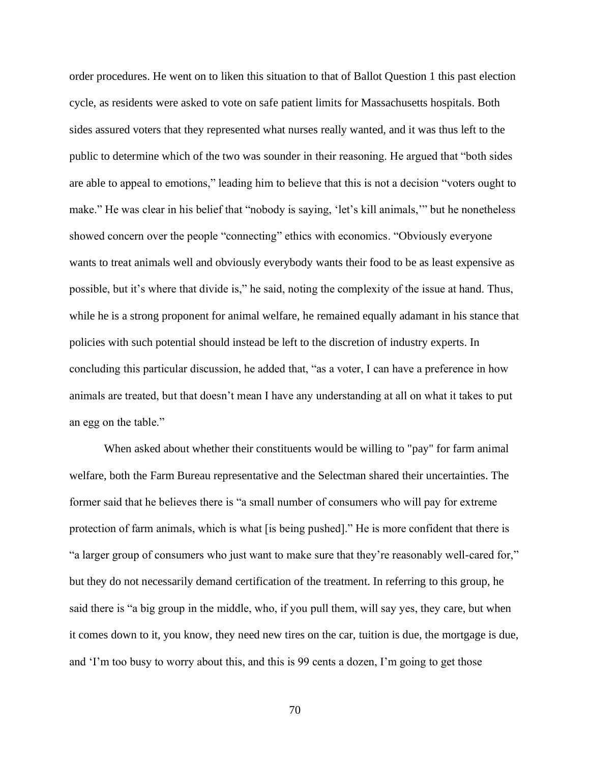order procedures. He went on to liken this situation to that of Ballot Question 1 this past election cycle, as residents were asked to vote on safe patient limits for Massachusetts hospitals. Both sides assured voters that they represented what nurses really wanted, and it was thus left to the public to determine which of the two was sounder in their reasoning. He argued that "both sides are able to appeal to emotions," leading him to believe that this is not a decision "voters ought to make." He was clear in his belief that "nobody is saying, 'let's kill animals,'" but he nonetheless showed concern over the people "connecting" ethics with economics. "Obviously everyone wants to treat animals well and obviously everybody wants their food to be as least expensive as possible, but it's where that divide is," he said, noting the complexity of the issue at hand. Thus, while he is a strong proponent for animal welfare, he remained equally adamant in his stance that policies with such potential should instead be left to the discretion of industry experts. In concluding this particular discussion, he added that, "as a voter, I can have a preference in how animals are treated, but that doesn't mean I have any understanding at all on what it takes to put an egg on the table."

When asked about whether their constituents would be willing to "pay" for farm animal welfare, both the Farm Bureau representative and the Selectman shared their uncertainties. The former said that he believes there is "a small number of consumers who will pay for extreme protection of farm animals, which is what [is being pushed]." He is more confident that there is "a larger group of consumers who just want to make sure that they're reasonably well-cared for," but they do not necessarily demand certification of the treatment. In referring to this group, he said there is "a big group in the middle, who, if you pull them, will say yes, they care, but when it comes down to it, you know, they need new tires on the car, tuition is due, the mortgage is due, and 'I'm too busy to worry about this, and this is 99 cents a dozen, I'm going to get those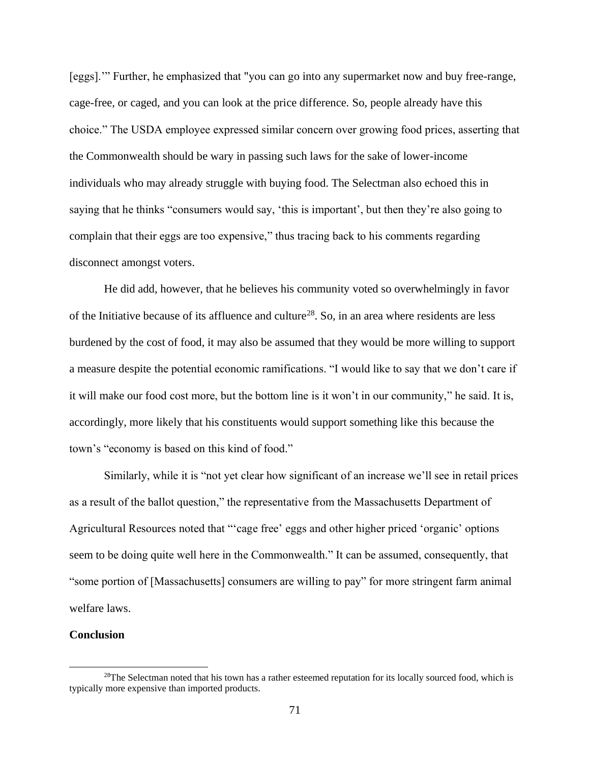[eggs].'" Further, he emphasized that "you can go into any supermarket now and buy free-range, cage-free, or caged, and you can look at the price difference. So, people already have this choice." The USDA employee expressed similar concern over growing food prices, asserting that the Commonwealth should be wary in passing such laws for the sake of lower-income individuals who may already struggle with buying food. The Selectman also echoed this in saying that he thinks "consumers would say, 'this is important', but then they're also going to complain that their eggs are too expensive," thus tracing back to his comments regarding disconnect amongst voters.

He did add, however, that he believes his community voted so overwhelmingly in favor of the Initiative because of its affluence and culture<sup>28</sup>. So, in an area where residents are less burdened by the cost of food, it may also be assumed that they would be more willing to support a measure despite the potential economic ramifications. "I would like to say that we don't care if it will make our food cost more, but the bottom line is it won't in our community," he said. It is, accordingly, more likely that his constituents would support something like this because the town's "economy is based on this kind of food."

Similarly, while it is "not yet clear how significant of an increase we'll see in retail prices as a result of the ballot question," the representative from the Massachusetts Department of Agricultural Resources noted that "'cage free' eggs and other higher priced 'organic' options seem to be doing quite well here in the Commonwealth." It can be assumed, consequently, that "some portion of [Massachusetts] consumers are willing to pay" for more stringent farm animal welfare laws.

#### **Conclusion**

<sup>&</sup>lt;sup>28</sup>The Selectman noted that his town has a rather esteemed reputation for its locally sourced food, which is typically more expensive than imported products.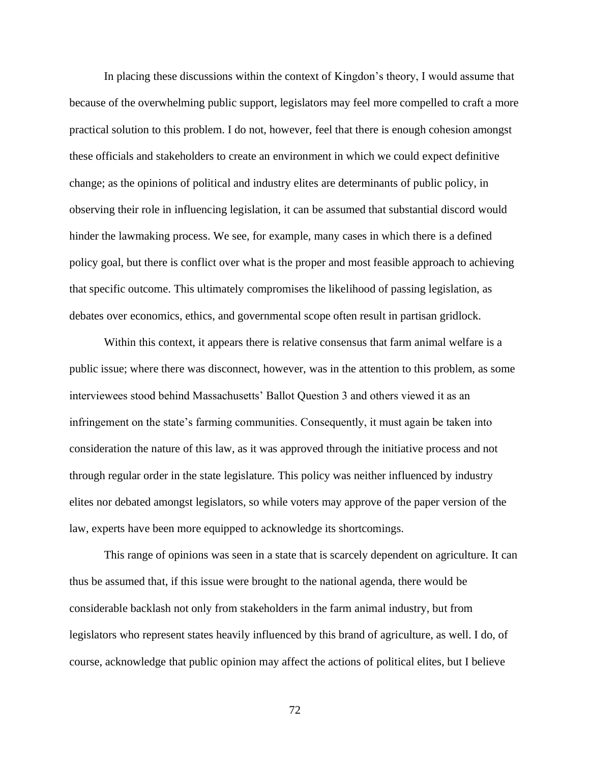In placing these discussions within the context of Kingdon's theory, I would assume that because of the overwhelming public support, legislators may feel more compelled to craft a more practical solution to this problem. I do not, however, feel that there is enough cohesion amongst these officials and stakeholders to create an environment in which we could expect definitive change; as the opinions of political and industry elites are determinants of public policy, in observing their role in influencing legislation, it can be assumed that substantial discord would hinder the lawmaking process. We see, for example, many cases in which there is a defined policy goal, but there is conflict over what is the proper and most feasible approach to achieving that specific outcome. This ultimately compromises the likelihood of passing legislation, as debates over economics, ethics, and governmental scope often result in partisan gridlock.

Within this context, it appears there is relative consensus that farm animal welfare is a public issue; where there was disconnect, however, was in the attention to this problem, as some interviewees stood behind Massachusetts' Ballot Question 3 and others viewed it as an infringement on the state's farming communities. Consequently, it must again be taken into consideration the nature of this law, as it was approved through the initiative process and not through regular order in the state legislature. This policy was neither influenced by industry elites nor debated amongst legislators, so while voters may approve of the paper version of the law, experts have been more equipped to acknowledge its shortcomings.

This range of opinions was seen in a state that is scarcely dependent on agriculture. It can thus be assumed that, if this issue were brought to the national agenda, there would be considerable backlash not only from stakeholders in the farm animal industry, but from legislators who represent states heavily influenced by this brand of agriculture, as well. I do, of course, acknowledge that public opinion may affect the actions of political elites, but I believe

72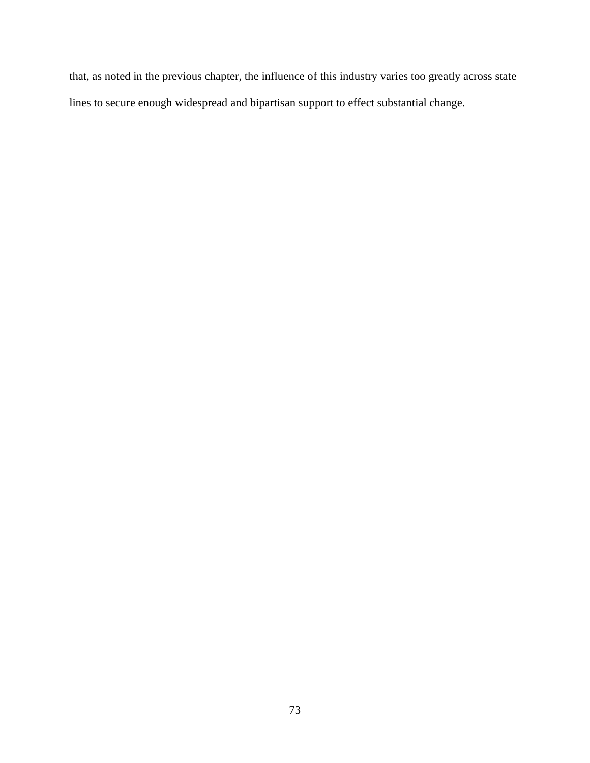that, as noted in the previous chapter, the influence of this industry varies too greatly across state lines to secure enough widespread and bipartisan support to effect substantial change.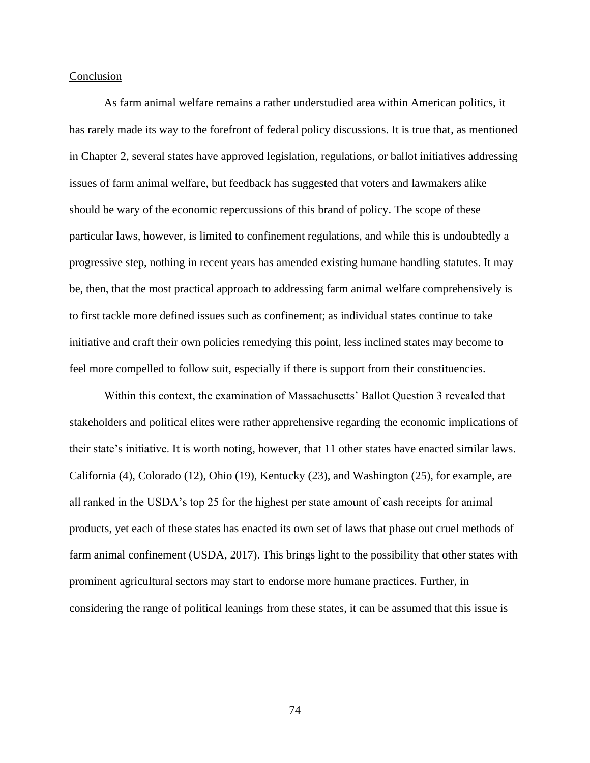#### Conclusion

As farm animal welfare remains a rather understudied area within American politics, it has rarely made its way to the forefront of federal policy discussions. It is true that, as mentioned in Chapter 2, several states have approved legislation, regulations, or ballot initiatives addressing issues of farm animal welfare, but feedback has suggested that voters and lawmakers alike should be wary of the economic repercussions of this brand of policy. The scope of these particular laws, however, is limited to confinement regulations, and while this is undoubtedly a progressive step, nothing in recent years has amended existing humane handling statutes. It may be, then, that the most practical approach to addressing farm animal welfare comprehensively is to first tackle more defined issues such as confinement; as individual states continue to take initiative and craft their own policies remedying this point, less inclined states may become to feel more compelled to follow suit, especially if there is support from their constituencies.

Within this context, the examination of Massachusetts' Ballot Question 3 revealed that stakeholders and political elites were rather apprehensive regarding the economic implications of their state's initiative. It is worth noting, however, that 11 other states have enacted similar laws. California (4), Colorado (12), Ohio (19), Kentucky (23), and Washington (25), for example, are all ranked in the USDA's top 25 for the highest per state amount of cash receipts for animal products, yet each of these states has enacted its own set of laws that phase out cruel methods of farm animal confinement (USDA, 2017). This brings light to the possibility that other states with prominent agricultural sectors may start to endorse more humane practices. Further, in considering the range of political leanings from these states, it can be assumed that this issue is

74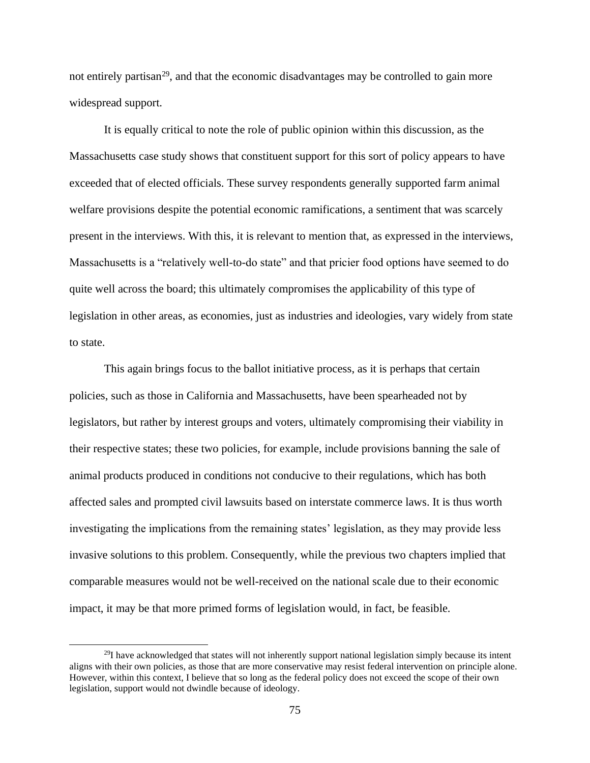not entirely partisan<sup>29</sup>, and that the economic disadvantages may be controlled to gain more widespread support.

It is equally critical to note the role of public opinion within this discussion, as the Massachusetts case study shows that constituent support for this sort of policy appears to have exceeded that of elected officials. These survey respondents generally supported farm animal welfare provisions despite the potential economic ramifications, a sentiment that was scarcely present in the interviews. With this, it is relevant to mention that, as expressed in the interviews, Massachusetts is a "relatively well-to-do state" and that pricier food options have seemed to do quite well across the board; this ultimately compromises the applicability of this type of legislation in other areas, as economies, just as industries and ideologies, vary widely from state to state.

This again brings focus to the ballot initiative process, as it is perhaps that certain policies, such as those in California and Massachusetts, have been spearheaded not by legislators, but rather by interest groups and voters, ultimately compromising their viability in their respective states; these two policies, for example, include provisions banning the sale of animal products produced in conditions not conducive to their regulations, which has both affected sales and prompted civil lawsuits based on interstate commerce laws. It is thus worth investigating the implications from the remaining states' legislation, as they may provide less invasive solutions to this problem. Consequently, while the previous two chapters implied that comparable measures would not be well-received on the national scale due to their economic impact, it may be that more primed forms of legislation would, in fact, be feasible.

 $^{29}$ I have acknowledged that states will not inherently support national legislation simply because its intent aligns with their own policies, as those that are more conservative may resist federal intervention on principle alone. However, within this context, I believe that so long as the federal policy does not exceed the scope of their own legislation, support would not dwindle because of ideology.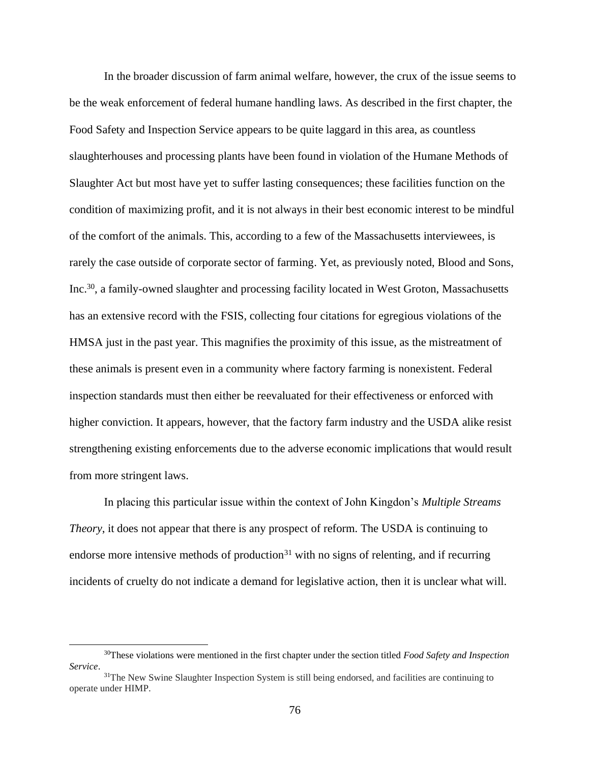In the broader discussion of farm animal welfare, however, the crux of the issue seems to be the weak enforcement of federal humane handling laws. As described in the first chapter, the Food Safety and Inspection Service appears to be quite laggard in this area, as countless slaughterhouses and processing plants have been found in violation of the Humane Methods of Slaughter Act but most have yet to suffer lasting consequences; these facilities function on the condition of maximizing profit, and it is not always in their best economic interest to be mindful of the comfort of the animals. This, according to a few of the Massachusetts interviewees, is rarely the case outside of corporate sector of farming. Yet, as previously noted, Blood and Sons, Inc.<sup>30</sup>, a family-owned slaughter and processing facility located in West Groton, Massachusetts has an extensive record with the FSIS, collecting four citations for egregious violations of the HMSA just in the past year. This magnifies the proximity of this issue, as the mistreatment of these animals is present even in a community where factory farming is nonexistent. Federal inspection standards must then either be reevaluated for their effectiveness or enforced with higher conviction. It appears, however, that the factory farm industry and the USDA alike resist strengthening existing enforcements due to the adverse economic implications that would result from more stringent laws.

In placing this particular issue within the context of John Kingdon's *Multiple Streams Theory*, it does not appear that there is any prospect of reform. The USDA is continuing to endorse more intensive methods of production $31$  with no signs of relenting, and if recurring incidents of cruelty do not indicate a demand for legislative action, then it is unclear what will.

<sup>30</sup>These violations were mentioned in the first chapter under the section titled *Food Safety and Inspection Service*.

<sup>&</sup>lt;sup>31</sup>The New Swine Slaughter Inspection System is still being endorsed, and facilities are continuing to operate under HIMP.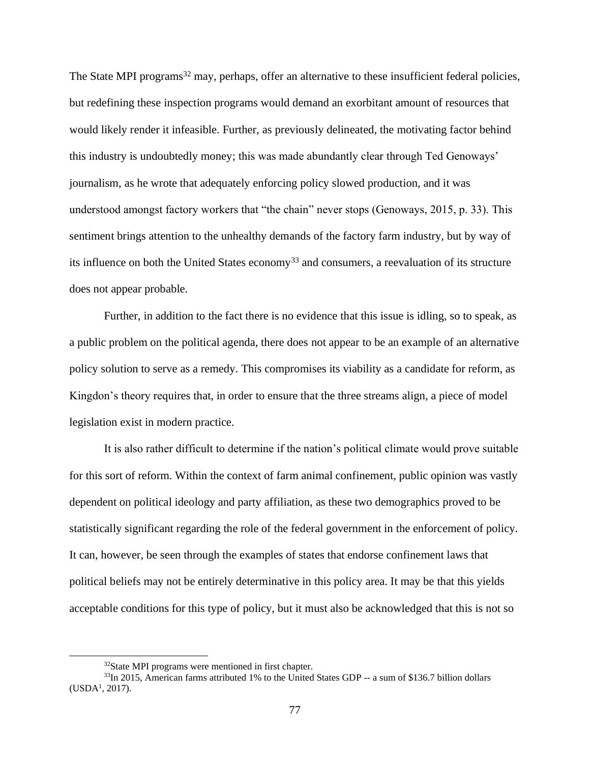The State MPI programs<sup>32</sup> may, perhaps, offer an alternative to these insufficient federal policies, but redefining these inspection programs would demand an exorbitant amount of resources that would likely render it infeasible. Further, as previously delineated, the motivating factor behind this industry is undoubtedly money; this was made abundantly clear through Ted Genoways' journalism, as he wrote that adequately enforcing policy slowed production, and it was understood amongst factory workers that "the chain" never stops (Genoways, 2015, p. 33). This sentiment brings attention to the unhealthy demands of the factory farm industry, but by way of its influence on both the United States economy<sup>33</sup> and consumers, a reevaluation of its structure does not appear probable.

Further, in addition to the fact there is no evidence that this issue is idling, so to speak, as a public problem on the political agenda, there does not appear to be an example of an alternative policy solution to serve as a remedy. This compromises its viability as a candidate for reform, as Kingdon's theory requires that, in order to ensure that the three streams align, a piece of model legislation exist in modern practice.

It is also rather difficult to determine if the nation's political climate would prove suitable for this sort of reform. Within the context of farm animal confinement, public opinion was vastly dependent on political ideology and party affiliation, as these two demographics proved to be statistically significant regarding the role of the federal government in the enforcement of policy. It can, however, be seen through the examples of states that endorse confinement laws that political beliefs may not be entirely determinative in this policy area. It may be that this yields acceptable conditions for this type of policy, but it must also be acknowledged that this is not so

<sup>32</sup>State MPI programs were mentioned in first chapter.

<sup>&</sup>lt;sup>33</sup>In 2015, American farms attributed 1% to the United States GDP -- a sum of \$136.7 billion dollars  $(USDA<sup>1</sup>, 2017).$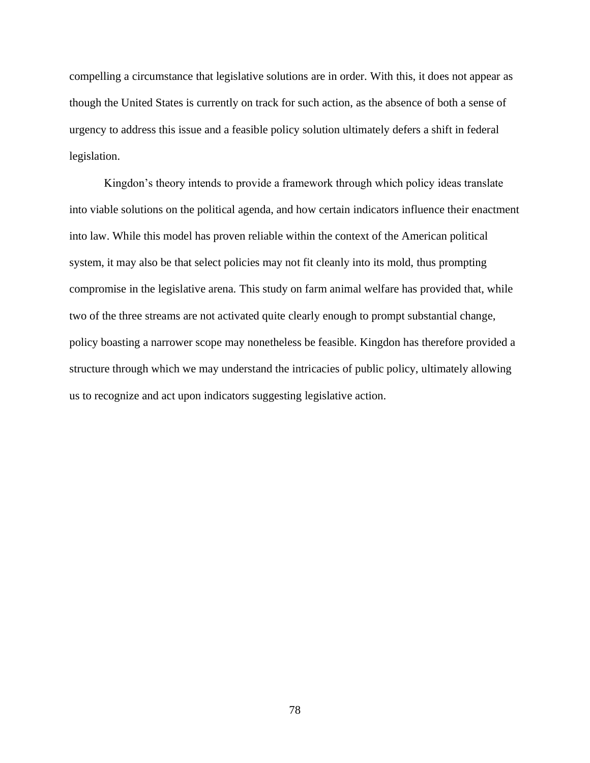compelling a circumstance that legislative solutions are in order. With this, it does not appear as though the United States is currently on track for such action, as the absence of both a sense of urgency to address this issue and a feasible policy solution ultimately defers a shift in federal legislation.

Kingdon's theory intends to provide a framework through which policy ideas translate into viable solutions on the political agenda, and how certain indicators influence their enactment into law. While this model has proven reliable within the context of the American political system, it may also be that select policies may not fit cleanly into its mold, thus prompting compromise in the legislative arena. This study on farm animal welfare has provided that, while two of the three streams are not activated quite clearly enough to prompt substantial change, policy boasting a narrower scope may nonetheless be feasible. Kingdon has therefore provided a structure through which we may understand the intricacies of public policy, ultimately allowing us to recognize and act upon indicators suggesting legislative action.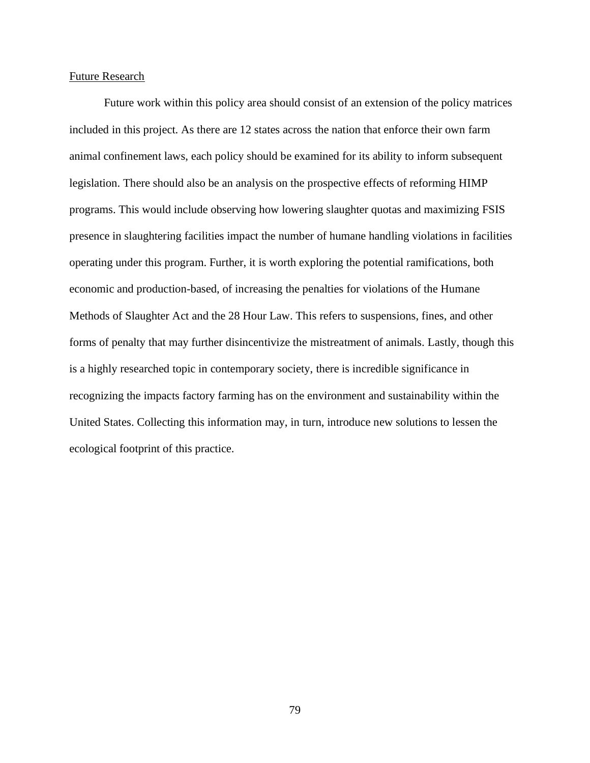#### Future Research

Future work within this policy area should consist of an extension of the policy matrices included in this project. As there are 12 states across the nation that enforce their own farm animal confinement laws, each policy should be examined for its ability to inform subsequent legislation. There should also be an analysis on the prospective effects of reforming HIMP programs. This would include observing how lowering slaughter quotas and maximizing FSIS presence in slaughtering facilities impact the number of humane handling violations in facilities operating under this program. Further, it is worth exploring the potential ramifications, both economic and production-based, of increasing the penalties for violations of the Humane Methods of Slaughter Act and the 28 Hour Law. This refers to suspensions, fines, and other forms of penalty that may further disincentivize the mistreatment of animals. Lastly, though this is a highly researched topic in contemporary society, there is incredible significance in recognizing the impacts factory farming has on the environment and sustainability within the United States. Collecting this information may, in turn, introduce new solutions to lessen the ecological footprint of this practice.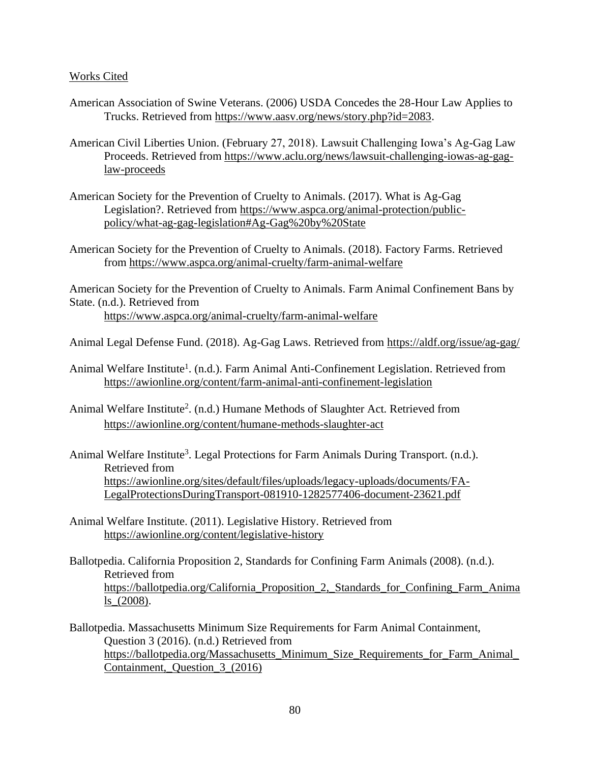#### Works Cited

- American Association of Swine Veterans. (2006) USDA Concedes the 28-Hour Law Applies to Trucks. Retrieved from [https://www.aasv.org/news/story.php?id=2083.](https://www.aasv.org/news/story.php?id=2083)
- American Civil Liberties Union. (February 27, 2018). Lawsuit Challenging Iowa's Ag-Gag Law Proceeds. Retrieved from [https://www.aclu.org/news/lawsuit-challenging-iowas-ag-gag](https://www.aclu.org/news/lawsuit-challenging-iowas-ag-gag-law-proceeds)[law-proceeds](https://www.aclu.org/news/lawsuit-challenging-iowas-ag-gag-law-proceeds)
- American Society for the Prevention of Cruelty to Animals. (2017). What is Ag-Gag Legislation?. Retrieved from [https://www.aspca.org/animal-protection/public](https://www.aspca.org/animal-protection/public-policy/what-ag-gag-legislation#Ag-Gag%20by%20State)[policy/what-ag-gag-legislation#Ag-Gag%20by%20State](https://www.aspca.org/animal-protection/public-policy/what-ag-gag-legislation#Ag-Gag%20by%20State)
- American Society for the Prevention of Cruelty to Animals. (2018). Factory Farms. Retrieved from<https://www.aspca.org/animal-cruelty/farm-animal-welfare>

American Society for the Prevention of Cruelty to Animals. Farm Animal Confinement Bans by State. (n.d.). Retrieved from <https://www.aspca.org/animal-cruelty/farm-animal-welfare>

Animal Legal Defense Fund. (2018). Ag-Gag Laws. Retrieved from<https://aldf.org/issue/ag-gag/>

- Animal Welfare Institute<sup>1</sup>. (n.d.). Farm Animal Anti-Confinement Legislation. Retrieved from <https://awionline.org/content/farm-animal-anti-confinement-legislation>
- Animal Welfare Institute<sup>2</sup>. (n.d.) Humane Methods of Slaughter Act. Retrieved from <https://awionline.org/content/humane-methods-slaughter-act>
- Animal Welfare Institute<sup>3</sup>. Legal Protections for Farm Animals During Transport. (n.d.). Retrieved from [https://awionline.org/sites/default/files/uploads/legacy-uploads/documents/FA-](https://awionline.org/sites/default/files/uploads/legacy-uploads/documents/FA-LegalProtectionsDuringTransport-081910-1282577406-document-23621.pdf)[LegalProtectionsDuringTransport-081910-1282577406-document-23621.pdf](https://awionline.org/sites/default/files/uploads/legacy-uploads/documents/FA-LegalProtectionsDuringTransport-081910-1282577406-document-23621.pdf)
- Animal Welfare Institute. (2011). Legislative History. Retrieved from <https://awionline.org/content/legislative-history>
- Ballotpedia. California Proposition 2, Standards for Confining Farm Animals (2008). (n.d.). Retrieved from [https://ballotpedia.org/California\\_Proposition\\_2,\\_Standards\\_for\\_Confining\\_Farm\\_Anima](https://ballotpedia.org/California_Proposition_2,_Standards_for_Confining_Farm_Animals_(2008)) [ls\\_\(2008\).](https://ballotpedia.org/California_Proposition_2,_Standards_for_Confining_Farm_Animals_(2008))
- Ballotpedia. Massachusetts Minimum Size Requirements for Farm Animal Containment, Question 3 (2016). (n.d.) Retrieved from [https://ballotpedia.org/Massachusetts\\_Minimum\\_Size\\_Requirements\\_for\\_Farm\\_Animal\\_](https://ballotpedia.org/Massachusetts_Minimum_Size_Requirements_for_Farm_Animal_Containment,_Question_3_(2016)) [Containment,\\_Question\\_3\\_\(2016\)](https://ballotpedia.org/Massachusetts_Minimum_Size_Requirements_for_Farm_Animal_Containment,_Question_3_(2016))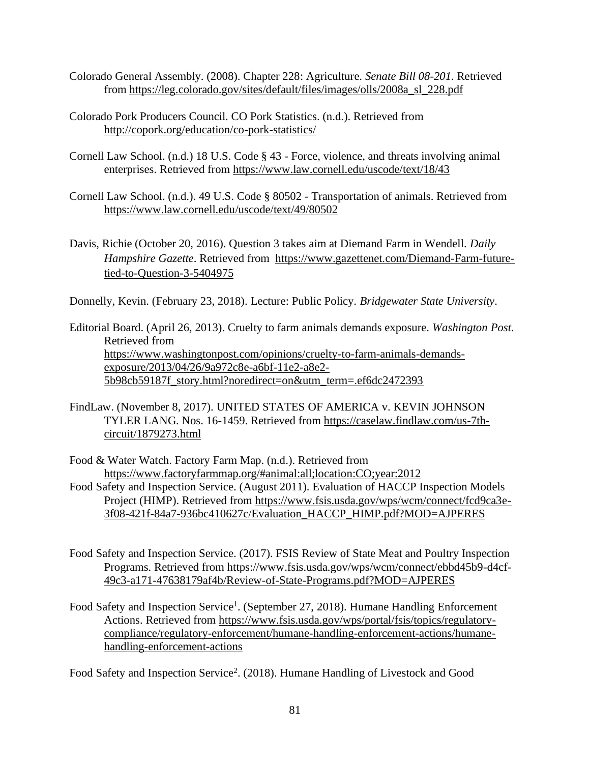- Colorado General Assembly. (2008). Chapter 228: Agriculture. *Senate Bill 08-201*. Retrieved from [https://leg.colorado.gov/sites/default/files/images/olls/2008a\\_sl\\_228.pdf](https://leg.colorado.gov/sites/default/files/images/olls/2008a_sl_228.pdf)
- Colorado Pork Producers Council. CO Pork Statistics. (n.d.). Retrieved from <http://copork.org/education/co-pork-statistics/>
- Cornell Law School. (n.d.) 18 U.S. Code § 43 Force, violence, and threats involving animal enterprises. Retrieved from<https://www.law.cornell.edu/uscode/text/18/43>
- Cornell Law School. (n.d.). 49 U.S. Code § 80502 Transportation of animals. Retrieved from <https://www.law.cornell.edu/uscode/text/49/80502>
- Davis, Richie (October 20, 2016). Question 3 takes aim at Diemand Farm in Wendell. *Daily Hampshire Gazette*. Retrieved from [https://www.gazettenet.com/Diemand-Farm-future](https://www.gazettenet.com/Diemand-Farm-future-tied-to-Question-3-5404975)[tied-to-Question-3-5404975](https://www.gazettenet.com/Diemand-Farm-future-tied-to-Question-3-5404975)

Donnelly, Kevin. (February 23, 2018). Lecture: Public Policy. *Bridgewater State University*.

Editorial Board. (April 26, 2013). Cruelty to farm animals demands exposure. *Washington Post*. Retrieved from [https://www.washingtonpost.com/opinions/cruelty-to-farm-animals-demands](https://www.washingtonpost.com/opinions/cruelty-to-farm-animals-demands-exposure/2013/04/26/9a972c8e-a6bf-11e2-a8e2-5b98cb59187f_story.html?noredirect=on&utm_term=.ef6dc2472393)[exposure/2013/04/26/9a972c8e-a6bf-11e2-a8e2-](https://www.washingtonpost.com/opinions/cruelty-to-farm-animals-demands-exposure/2013/04/26/9a972c8e-a6bf-11e2-a8e2-5b98cb59187f_story.html?noredirect=on&utm_term=.ef6dc2472393) [5b98cb59187f\\_story.html?noredirect=on&utm\\_term=.ef6dc2472393](https://www.washingtonpost.com/opinions/cruelty-to-farm-animals-demands-exposure/2013/04/26/9a972c8e-a6bf-11e2-a8e2-5b98cb59187f_story.html?noredirect=on&utm_term=.ef6dc2472393)

FindLaw. (November 8, 2017). UNITED STATES OF AMERICA v. KEVIN JOHNSON TYLER LANG. Nos. 16-1459. Retrieved from [https://caselaw.findlaw.com/us-7th](https://caselaw.findlaw.com/us-7th-circuit/1879273.html)[circuit/1879273.html](https://caselaw.findlaw.com/us-7th-circuit/1879273.html)

Food & Water Watch. Factory Farm Map. (n.d.). Retrieved from <https://www.factoryfarmmap.org/#animal:all;location:CO;year:2012> Food Safety and Inspection Service. (August 2011). Evaluation of HACCP Inspection Models Project (HIMP). Retrieved from [https://www.fsis.usda.gov/wps/wcm/connect/fcd9ca3e-](https://www.fsis.usda.gov/wps/wcm/connect/fcd9ca3e-3f08-421f-84a7-936bc410627c/Evaluation_HACCP_HIMP.pdf?MOD=AJPERES)[3f08-421f-84a7-936bc410627c/Evaluation\\_HACCP\\_HIMP.pdf?MOD=AJPERES](https://www.fsis.usda.gov/wps/wcm/connect/fcd9ca3e-3f08-421f-84a7-936bc410627c/Evaluation_HACCP_HIMP.pdf?MOD=AJPERES)

- Food Safety and Inspection Service. (2017). FSIS Review of State Meat and Poultry Inspection Programs. Retrieved from [https://www.fsis.usda.gov/wps/wcm/connect/ebbd45b9-d4cf-](https://www.fsis.usda.gov/wps/wcm/connect/ebbd45b9-d4cf-49c3-a171-47638179af4b/Review-of-State-Programs.pdf?MOD=AJPERES)[49c3-a171-47638179af4b/Review-of-State-Programs.pdf?MOD=AJPERES](https://www.fsis.usda.gov/wps/wcm/connect/ebbd45b9-d4cf-49c3-a171-47638179af4b/Review-of-State-Programs.pdf?MOD=AJPERES)
- Food Safety and Inspection Service<sup>1</sup>. (September 27, 2018). Humane Handling Enforcement Actions. Retrieved from [https://www.fsis.usda.gov/wps/portal/fsis/topics/regulatory](https://www.fsis.usda.gov/wps/portal/fsis/topics/regulatory-compliance/regulatory-enforcement/humane-handling-enforcement-actions/humane-handling-enforcement-actions)[compliance/regulatory-enforcement/humane-handling-enforcement-actions/humane](https://www.fsis.usda.gov/wps/portal/fsis/topics/regulatory-compliance/regulatory-enforcement/humane-handling-enforcement-actions/humane-handling-enforcement-actions)[handling-enforcement-actions](https://www.fsis.usda.gov/wps/portal/fsis/topics/regulatory-compliance/regulatory-enforcement/humane-handling-enforcement-actions/humane-handling-enforcement-actions)

Food Safety and Inspection Service<sup>2</sup>. (2018). Humane Handling of Livestock and Good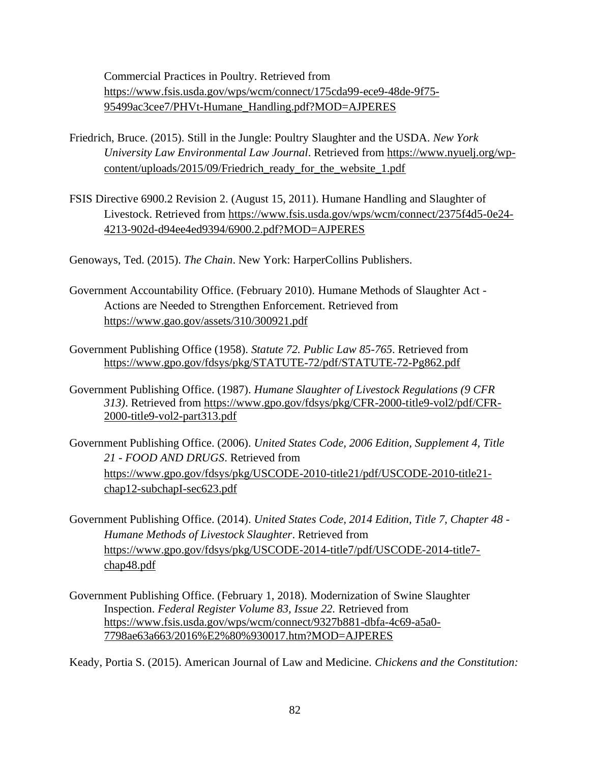Commercial Practices in Poultry. Retrieved from [https://www.fsis.usda.gov/wps/wcm/connect/175cda99-ece9-48de-9f75-](https://www.fsis.usda.gov/wps/wcm/connect/175cda99-ece9-48de-9f75-95499ac3cee7/PHVt-Humane_Handling.pdf?MOD=AJPERES) [95499ac3cee7/PHVt-Humane\\_Handling.pdf?MOD=AJPERES](https://www.fsis.usda.gov/wps/wcm/connect/175cda99-ece9-48de-9f75-95499ac3cee7/PHVt-Humane_Handling.pdf?MOD=AJPERES)

- Friedrich, Bruce. (2015). Still in the Jungle: Poultry Slaughter and the USDA. *New York University Law Environmental Law Journal*. Retrieved from [https://www.nyuelj.org/wp](https://www.nyuelj.org/wp-content/uploads/2015/09/Friedrich_ready_for_the_website_1.pdf)[content/uploads/2015/09/Friedrich\\_ready\\_for\\_the\\_website\\_1.pdf](https://www.nyuelj.org/wp-content/uploads/2015/09/Friedrich_ready_for_the_website_1.pdf)
- FSIS Directive 6900.2 Revision 2. (August 15, 2011). Humane Handling and Slaughter of Livestock. Retrieved from [https://www.fsis.usda.gov/wps/wcm/connect/2375f4d5-0e24-](https://www.fsis.usda.gov/wps/wcm/connect/2375f4d5-0e24-4213-902d-d94ee4ed9394/6900.2.pdf?MOD=AJPERES) [4213-902d-d94ee4ed9394/6900.2.pdf?MOD=AJPERES](https://www.fsis.usda.gov/wps/wcm/connect/2375f4d5-0e24-4213-902d-d94ee4ed9394/6900.2.pdf?MOD=AJPERES)

Genoways, Ted. (2015). *The Chain*. New York: HarperCollins Publishers.

- Government Accountability Office. (February 2010). Humane Methods of Slaughter Act Actions are Needed to Strengthen Enforcement. Retrieved from <https://www.gao.gov/assets/310/300921.pdf>
- Government Publishing Office (1958). *Statute 72. Public Law 85-765*. Retrieved from <https://www.gpo.gov/fdsys/pkg/STATUTE-72/pdf/STATUTE-72-Pg862.pdf>
- Government Publishing Office. (1987). *Humane Slaughter of Livestock Regulations (9 CFR 313)*. Retrieved from [https://www.gpo.gov/fdsys/pkg/CFR-2000-title9-vol2/pdf/CFR-](https://www.gpo.gov/fdsys/pkg/CFR-2000-title9-vol2/pdf/CFR-2000-title9-vol2-part313.pdf)[2000-title9-vol2-part313.pdf](https://www.gpo.gov/fdsys/pkg/CFR-2000-title9-vol2/pdf/CFR-2000-title9-vol2-part313.pdf)

Government Publishing Office. (2006). *United States Code, 2006 Edition, Supplement 4, Title 21 - FOOD AND DRUGS*. Retrieved from [https://www.gpo.gov/fdsys/pkg/USCODE-2010-title21/pdf/USCODE-2010-title21](https://www.gpo.gov/fdsys/pkg/USCODE-2010-title21/pdf/USCODE-2010-title21-chap12-subchapI-sec623.pdf) [chap12-subchapI-sec623.pdf](https://www.gpo.gov/fdsys/pkg/USCODE-2010-title21/pdf/USCODE-2010-title21-chap12-subchapI-sec623.pdf)

- Government Publishing Office. (2014). *United States Code, 2014 Edition, Title 7, Chapter 48 - Humane Methods of Livestock Slaughter*. Retrieved from [https://www.gpo.gov/fdsys/pkg/USCODE-2014-title7/pdf/USCODE-2014-title7](https://www.gpo.gov/fdsys/pkg/USCODE-2014-title7/pdf/USCODE-2014-title7-chap48.pdf) [chap48.pdf](https://www.gpo.gov/fdsys/pkg/USCODE-2014-title7/pdf/USCODE-2014-title7-chap48.pdf)
- Government Publishing Office. (February 1, 2018). Modernization of Swine Slaughter Inspection. *Federal Register Volume 83, Issue 22.* Retrieved from [https://www.fsis.usda.gov/wps/wcm/connect/9327b881-dbfa-4c69-a5a0-](https://www.fsis.usda.gov/wps/wcm/connect/9327b881-dbfa-4c69-a5a0-7798ae63a663/2016%E2%80%930017.htm?MOD=AJPERES) [7798ae63a663/2016%E2%80%930017.htm?MOD=AJPERES](https://www.fsis.usda.gov/wps/wcm/connect/9327b881-dbfa-4c69-a5a0-7798ae63a663/2016%E2%80%930017.htm?MOD=AJPERES)

Keady, Portia S. (2015). American Journal of Law and Medicine. *Chickens and the Constitution:*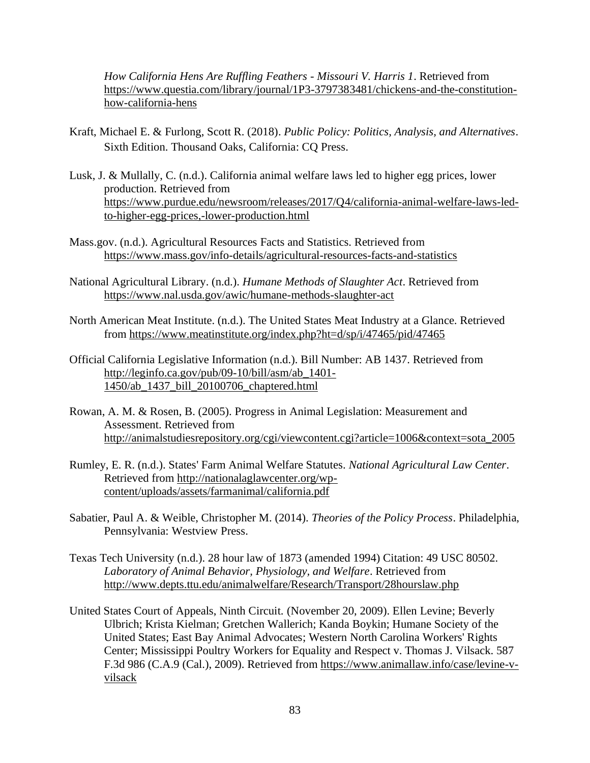*How California Hens Are Ruffling Feathers - Missouri V. Harris 1*. Retrieved from [https://www.questia.com/library/journal/1P3-3797383481/chickens-and-the-constitution](https://www.questia.com/library/journal/1P3-3797383481/chickens-and-the-constitution-how-california-hens)[how-california-hens](https://www.questia.com/library/journal/1P3-3797383481/chickens-and-the-constitution-how-california-hens)

- Kraft, Michael E. & Furlong, Scott R. (2018). *Public Policy: Politics, Analysis, and Alternatives*. Sixth Edition. Thousand Oaks, California: CQ Press.
- Lusk, J. & Mullally, C. (n.d.). California animal welfare laws led to higher egg prices, lower production. Retrieved from [https://www.purdue.edu/newsroom/releases/2017/Q4/california-animal-welfare-laws-led](https://www.purdue.edu/newsroom/releases/2017/Q4/california-animal-welfare-laws-led-to-higher-egg-prices,-lower-production.html)[to-higher-egg-prices,-lower-production.html](https://www.purdue.edu/newsroom/releases/2017/Q4/california-animal-welfare-laws-led-to-higher-egg-prices,-lower-production.html)
- Mass.gov. (n.d.). Agricultural Resources Facts and Statistics. Retrieved from <https://www.mass.gov/info-details/agricultural-resources-facts-and-statistics>
- National Agricultural Library. (n.d.). *Humane Methods of Slaughter Act*. Retrieved from <https://www.nal.usda.gov/awic/humane-methods-slaughter-act>
- North American Meat Institute. (n.d.). The United States Meat Industry at a Glance. Retrieved from<https://www.meatinstitute.org/index.php?ht=d/sp/i/47465/pid/47465>
- Official California Legislative Information (n.d.). Bill Number: AB 1437. Retrieved from [http://leginfo.ca.gov/pub/09-10/bill/asm/ab\\_1401-](http://leginfo.ca.gov/pub/09-10/bill/asm/ab_1401-1450/ab_1437_bill_20100706_chaptered.html) [1450/ab\\_1437\\_bill\\_20100706\\_chaptered.html](http://leginfo.ca.gov/pub/09-10/bill/asm/ab_1401-1450/ab_1437_bill_20100706_chaptered.html)
- Rowan, A. M. & Rosen, B. (2005). Progress in Animal Legislation: Measurement and Assessment. Retrieved fro[m](http://animalstudiesrepository.org/cgi/viewcontent.cgi?article=1006&context=sota_2005) [http://animalstudiesrepository.org/cgi/viewcontent.cgi?article=1006&context=sota\\_2005](http://animalstudiesrepository.org/cgi/viewcontent.cgi?article=1006&context=sota_2005)
- Rumley, E. R. (n.d.). States' Farm Animal Welfare Statutes. *National Agricultural Law Center*. Retrieved from [http://nationalaglawcenter.org/wp](http://nationalaglawcenter.org/wp-content/uploads/assets/farmanimal/california.pdf)[content/uploads/assets/farmanimal/california.pdf](http://nationalaglawcenter.org/wp-content/uploads/assets/farmanimal/california.pdf)
- Sabatier, Paul A. & Weible, Christopher M. (2014). *Theories of the Policy Process*. Philadelphia, Pennsylvania: Westview Press.
- Texas Tech University (n.d.). 28 hour law of 1873 (amended 1994) Citation: 49 USC 80502. *Laboratory of Animal Behavior, Physiology, and Welfare*. Retrieved from <http://www.depts.ttu.edu/animalwelfare/Research/Transport/28hourslaw.php>
- United States Court of Appeals, Ninth Circuit. (November 20, 2009). Ellen Levine; Beverly Ulbrich; Krista Kielman; Gretchen Wallerich; Kanda Boykin; Humane Society of the United States; East Bay Animal Advocates; Western North Carolina Workers' Rights Center; Mississippi Poultry Workers for Equality and Respect v. Thomas J. Vilsack. 587 F.3d 986 (C.A.9 (Cal.), 2009). Retrieved from [https://www.animallaw.info/case/levine-v](https://www.animallaw.info/case/levine-v-vilsack)[vilsack](https://www.animallaw.info/case/levine-v-vilsack)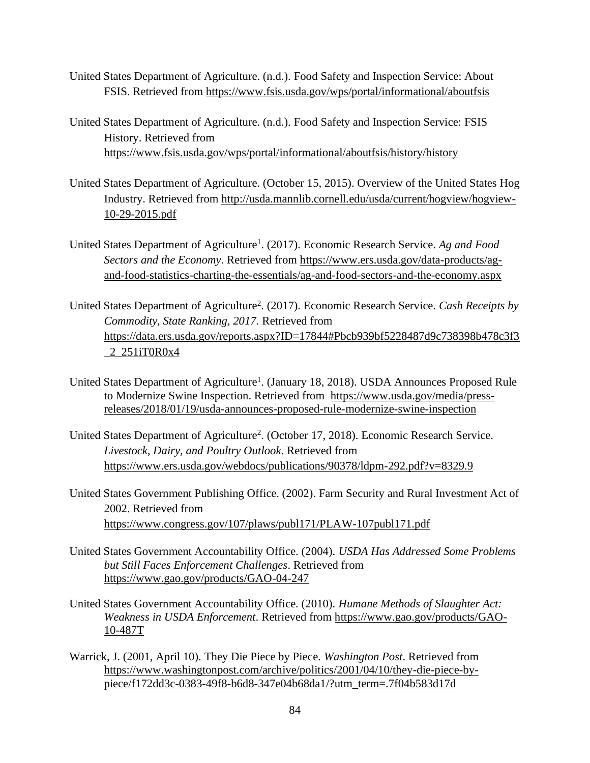- United States Department of Agriculture. (n.d.). Food Safety and Inspection Service: About FSIS. Retrieved from<https://www.fsis.usda.gov/wps/portal/informational/aboutfsis>
- United States Department of Agriculture. (n.d.). Food Safety and Inspection Service: FSIS History. Retrieved from <https://www.fsis.usda.gov/wps/portal/informational/aboutfsis/history/history>
- United States Department of Agriculture. (October 15, 2015). Overview of the United States Hog Industry. Retrieved from [http://usda.mannlib.cornell.edu/usda/current/hogview/hogview-](http://usda.mannlib.cornell.edu/usda/current/hogview/hogview-10-29-2015.pdf)[10-29-2015.pdf](http://usda.mannlib.cornell.edu/usda/current/hogview/hogview-10-29-2015.pdf)
- United States Department of Agriculture<sup>1</sup>. (2017). Economic Research Service. Ag and Food *Sectors and the Economy*. Retrieved from [https://www.ers.usda.gov/data-products/ag](https://www.ers.usda.gov/data-products/ag-and-food-statistics-charting-the-essentials/ag-and-food-sectors-and-the-economy.aspx)[and-food-statistics-charting-the-essentials/ag-and-food-sectors-and-the-economy.aspx](https://www.ers.usda.gov/data-products/ag-and-food-statistics-charting-the-essentials/ag-and-food-sectors-and-the-economy.aspx)
- United States Department of Agriculture<sup>2</sup>. (2017). Economic Research Service. Cash Receipts by *Commodity, State Ranking, 2017*. Retrieved from [https://data.ers.usda.gov/reports.aspx?ID=17844#Pbcb939bf5228487d9c738398b478c3f3](https://data.ers.usda.gov/reports.aspx?ID=17844#Pbcb939bf5228487d9c738398b478c3f3_2_251iT0R0x4) [\\_2\\_251iT0R0x4](https://data.ers.usda.gov/reports.aspx?ID=17844#Pbcb939bf5228487d9c738398b478c3f3_2_251iT0R0x4)
- United States Department of Agriculture<sup>1</sup>. (January 18, 2018). USDA Announces Proposed Rule to Modernize Swine Inspection. Retrieved from [https://www.usda.gov/media/press](https://www.usda.gov/media/press-releases/2018/01/19/usda-announces-proposed-rule-modernize-swine-inspection)[releases/2018/01/19/usda-announces-proposed-rule-modernize-swine-inspection](https://www.usda.gov/media/press-releases/2018/01/19/usda-announces-proposed-rule-modernize-swine-inspection)
- United States Department of Agriculture<sup>2</sup>. (October 17, 2018). Economic Research Service. *Livestock, Dairy, and Poultry Outlook*. Retrieved from <https://www.ers.usda.gov/webdocs/publications/90378/ldpm-292.pdf?v=8329.9>
- United States Government Publishing Office. (2002). Farm Security and Rural Investment Act of 2002. Retrieved from <https://www.congress.gov/107/plaws/publ171/PLAW-107publ171.pdf>
- United States Government Accountability Office. (2004). *USDA Has Addressed Some Problems but Still Faces Enforcement Challenges*. Retrieved from <https://www.gao.gov/products/GAO-04-247>
- United States Government Accountability Office. (2010). *Humane Methods of Slaughter Act: Weakness in USDA Enforcement*. Retrieved from [https://www.gao.gov/products/GAO-](https://www.gao.gov/products/GAO-10-487T)[10-487T](https://www.gao.gov/products/GAO-10-487T)
- Warrick, J. (2001, April 10). They Die Piece by Piece. *Washington Post*. Retrieved from [https://www.washingtonpost.com/archive/politics/2001/04/10/they-die-piece-by](https://www.washingtonpost.com/archive/politics/2001/04/10/they-die-piece-by-piece/f172dd3c-0383-49f8-b6d8-347e04b68da1/?utm_term=.7f04b583d17d)[piece/f172dd3c-0383-49f8-b6d8-347e04b68da1/?utm\\_term=.7f04b583d17d](https://www.washingtonpost.com/archive/politics/2001/04/10/they-die-piece-by-piece/f172dd3c-0383-49f8-b6d8-347e04b68da1/?utm_term=.7f04b583d17d)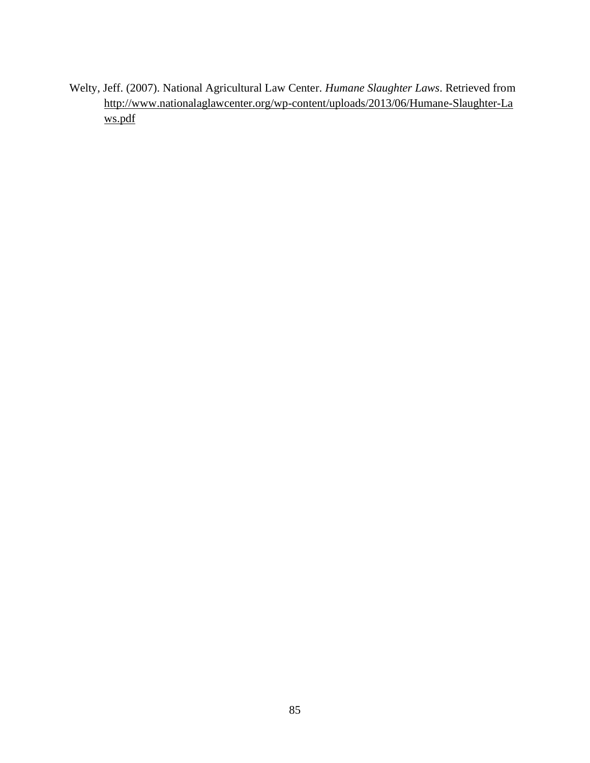Welty, Jeff. (2007). National Agricultural Law Center. *Humane Slaughter Laws*. Retrieved from [http://www.nationalaglawcenter.org/wp-content/uploads/2013/06/Humane-Slaughter-La](http://www.nationalaglawcenter.org/wp-content/uploads/2013/06/Humane-Slaughter-Laws.pdf) [ws.pdf](http://www.nationalaglawcenter.org/wp-content/uploads/2013/06/Humane-Slaughter-Laws.pdf)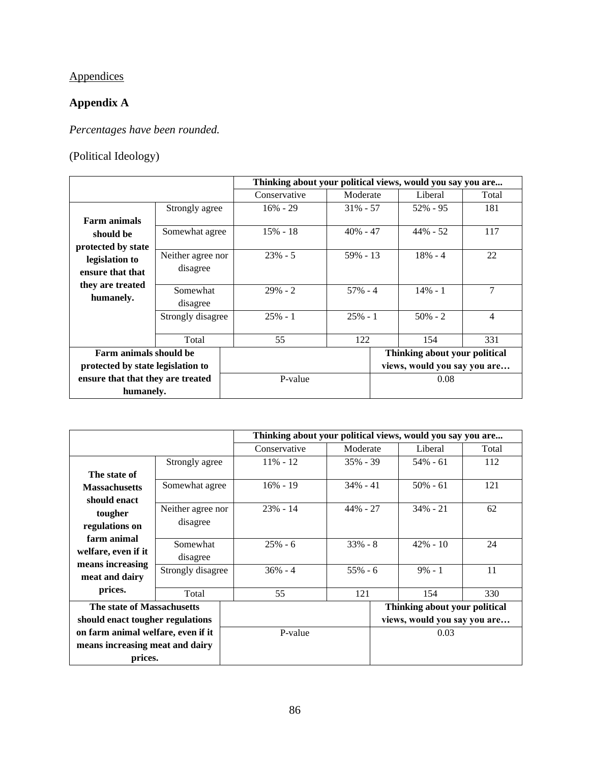# Appendices

## **Appendix A**

*Percentages have been rounded.*

## (Political Ideology)

|                                   |                                           | Thinking about your political views, would you say you are |              |             |                              |                               |                |
|-----------------------------------|-------------------------------------------|------------------------------------------------------------|--------------|-------------|------------------------------|-------------------------------|----------------|
|                                   |                                           |                                                            | Conservative | Moderate    |                              | Liberal                       | Total          |
|                                   | Strongly agree                            |                                                            | $16\% - 29$  | $31\% - 57$ |                              | $52\% - 95$                   | 181            |
| <b>Farm animals</b>               |                                           |                                                            |              |             |                              |                               |                |
| should be                         | Somewhat agree                            |                                                            | 15% - 18     | $40\% - 47$ |                              | $44\% - 52$                   | 117            |
| protected by state                |                                           |                                                            |              |             |                              |                               |                |
| legislation to                    | Neither agree nor                         |                                                            | $23\% - 5$   | $59\% - 13$ |                              | $18\% - 4$                    | 22             |
| ensure that that                  | disagree                                  |                                                            |              |             |                              |                               |                |
| they are treated                  | Somewhat<br>disagree<br>Strongly disagree |                                                            |              | $57\% - 4$  |                              |                               |                |
|                                   |                                           |                                                            | $29\% - 2$   |             |                              | $14\% - 1$                    | 7              |
| humanely.                         |                                           |                                                            |              |             |                              |                               |                |
|                                   |                                           |                                                            | $25% - 1$    | $25% - 1$   |                              | $50\% - 2$                    | $\overline{4}$ |
|                                   |                                           |                                                            |              |             |                              |                               |                |
|                                   | Total                                     |                                                            | 55           | 122         |                              | 154                           | 331            |
| Farm animals should be            |                                           |                                                            |              |             |                              | Thinking about your political |                |
| protected by state legislation to |                                           |                                                            |              |             | views, would you say you are |                               |                |
| ensure that that they are treated |                                           | P-value                                                    |              | 0.08        |                              |                               |                |
| humanely.                         |                                           |                                                            |              |             |                              |                               |                |

|                                    |                   |         | Thinking about your political views, would you say you are |             |      |                               |       |
|------------------------------------|-------------------|---------|------------------------------------------------------------|-------------|------|-------------------------------|-------|
|                                    |                   |         | Conservative                                               | Moderate    |      | Liberal                       | Total |
|                                    | Strongly agree    |         | $11\% - 12$                                                | $35\% - 39$ |      | $54\% - 61$                   | 112   |
| The state of                       |                   |         |                                                            |             |      |                               |       |
| <b>Massachusetts</b>               | Somewhat agree    |         | $16\% - 19$                                                | $34\% - 41$ |      | $50\% - 61$                   | 121   |
| should enact                       |                   |         |                                                            |             |      |                               |       |
| tougher                            | Neither agree nor |         | $23% - 14$                                                 | $44\% - 27$ |      | $34\% - 21$                   | 62    |
| regulations on                     | disagree          |         |                                                            |             |      |                               |       |
| farm animal                        | Somewhat          |         | $25% - 6$                                                  | $33\% - 8$  |      | $42\% - 10$                   | 24    |
| welfare, even if it                | disagree          |         |                                                            |             |      |                               |       |
| means increasing                   | Strongly disagree |         | $36\% - 4$                                                 | $55\% - 6$  |      | $9\% - 1$                     | 11    |
| meat and dairy                     |                   |         |                                                            |             |      |                               |       |
| prices.                            | Total             |         | 55                                                         | 121         |      | 154                           | 330   |
| The state of Massachusetts         |                   |         |                                                            |             |      | Thinking about your political |       |
| should enact tougher regulations   |                   |         |                                                            |             |      | views, would you say you are  |       |
| on farm animal welfare, even if it |                   | P-value |                                                            |             | 0.03 |                               |       |
| means increasing meat and dairy    |                   |         |                                                            |             |      |                               |       |
| prices.                            |                   |         |                                                            |             |      |                               |       |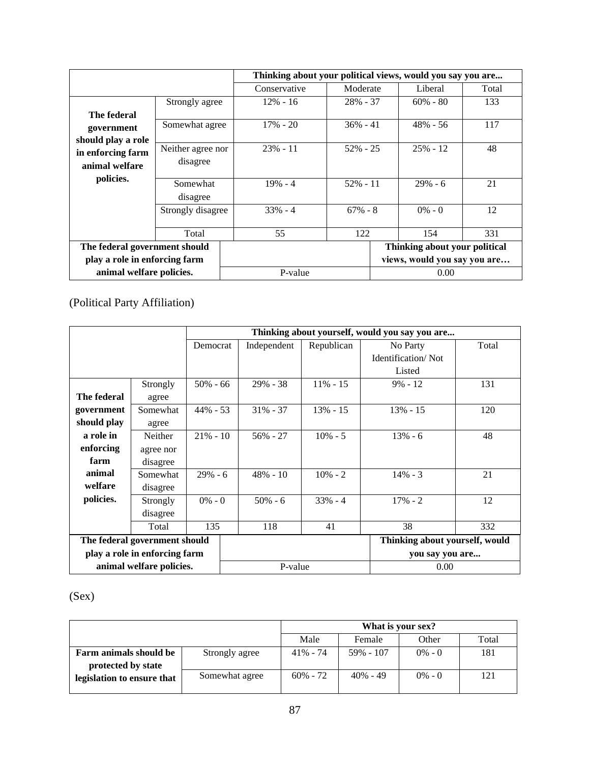|                               |                   | Thinking about your political views, would you say you are |             |                              |                               |       |
|-------------------------------|-------------------|------------------------------------------------------------|-------------|------------------------------|-------------------------------|-------|
|                               |                   | Conservative                                               | Moderate    |                              | Liberal                       | Total |
|                               | Strongly agree    | $12\% - 16$                                                | $28\% - 37$ |                              | $60\% - 80$                   | 133   |
| The federal                   |                   |                                                            |             |                              |                               |       |
| government                    | Somewhat agree    | $17\% - 20$                                                | $36\% - 41$ |                              | $48\% - 56$                   | 117   |
| should play a role            |                   |                                                            |             |                              |                               |       |
| in enforcing farm             | Neither agree nor | $23\% - 11$                                                | $52\% - 25$ |                              | $25% - 12$                    | 48    |
| animal welfare                | disagree          |                                                            |             |                              |                               |       |
| policies.                     |                   |                                                            |             |                              |                               |       |
|                               | Somewhat          | $19\% - 4$                                                 | $52\% - 11$ |                              | $29% - 6$                     | 21    |
|                               | disagree          |                                                            |             |                              |                               |       |
|                               | Strongly disagree | $33\% - 4$                                                 | $67\% - 8$  |                              | $0\% - 0$                     | 12    |
|                               |                   |                                                            |             |                              |                               |       |
|                               | Total             | 55                                                         | 122         |                              | 154                           | 331   |
| The federal government should |                   |                                                            |             |                              | Thinking about your political |       |
| play a role in enforcing farm |                   |                                                            |             | views, would you say you are |                               |       |
| animal welfare policies.      |                   | P-value                                                    |             | 0.00                         |                               |       |

## (Political Party Affiliation)

|                               |           |             |             | Thinking about yourself, would you say you are |                                |                 |  |
|-------------------------------|-----------|-------------|-------------|------------------------------------------------|--------------------------------|-----------------|--|
|                               |           | Democrat    | Independent | Republican                                     | No Party                       | Total           |  |
|                               |           |             |             |                                                | <b>Identification/Not</b>      |                 |  |
|                               |           |             |             |                                                | Listed                         |                 |  |
|                               | Strongly  | $50\% - 66$ | $29\% - 38$ | $11\% - 15$                                    | $9\% - 12$                     | 131             |  |
| The federal                   | agree     |             |             |                                                |                                |                 |  |
| government                    | Somewhat  | $44\% - 53$ | $31\% - 37$ | $13\% - 15$                                    | 13% - 15                       | 120             |  |
| should play                   | agree     |             |             |                                                |                                |                 |  |
| a role in                     | Neither   | $21\% - 10$ | 56% - 27    | $10\% - 5$                                     | $13% - 6$                      | 48              |  |
| enforcing                     | agree nor |             |             |                                                |                                |                 |  |
| farm                          | disagree  |             |             |                                                |                                |                 |  |
| animal                        | Somewhat  | $29\% - 6$  | $48\% - 10$ | $10\% - 2$                                     | $14\% - 3$                     | 21              |  |
| welfare                       | disagree  |             |             |                                                |                                |                 |  |
| policies.                     | Strongly  | $0\% - 0$   | $50\% - 6$  | $33\% - 4$                                     | $17\% - 2$                     | 12              |  |
|                               | disagree  |             |             |                                                |                                |                 |  |
|                               | Total     | 135         | 118         | 41                                             | 38                             | 332             |  |
| The federal government should |           |             |             |                                                | Thinking about yourself, would |                 |  |
| play a role in enforcing farm |           |             |             |                                                |                                | you say you are |  |
| animal welfare policies.      |           |             | P-value     |                                                | 0.00                           |                 |  |

(Sex)

|                                              | What is your sex? |             |             |           |       |
|----------------------------------------------|-------------------|-------------|-------------|-----------|-------|
|                                              |                   | Male        | Female      | Other     | Total |
| Farm animals should be<br>protected by state | Strongly agree    | $41\% - 74$ | 59% - 107   | $0\% - 0$ | 181   |
| legislation to ensure that                   | Somewhat agree    | $60\% - 72$ | $40\% - 49$ | $0\% - 0$ | 121   |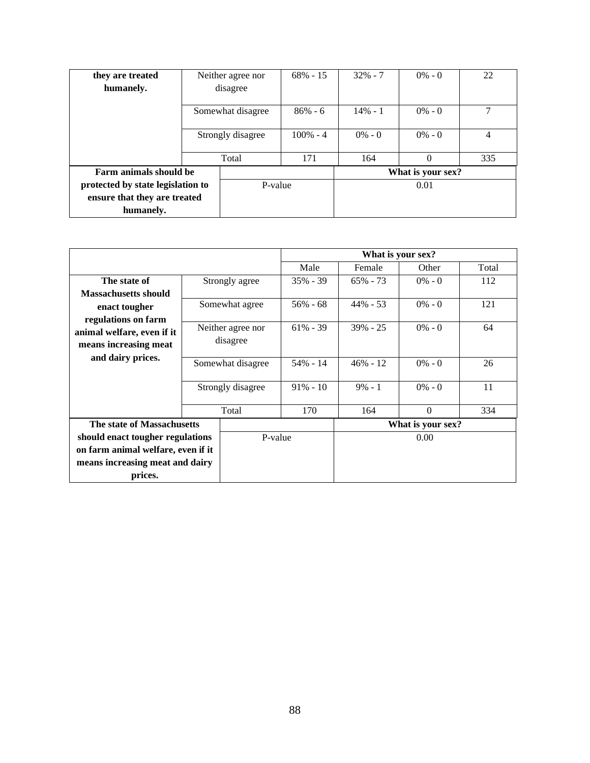| they are treated                  |                   | Neither agree nor | $68\% - 15$ | $32\% - 7$ | $0\% - 0$         | 22  |
|-----------------------------------|-------------------|-------------------|-------------|------------|-------------------|-----|
| humanely.                         | disagree          |                   |             |            |                   |     |
|                                   | Somewhat disagree |                   | $86\% - 6$  | $14\% - 1$ | $0\% - 0$         | ⇁   |
|                                   | Strongly disagree |                   | $100\% - 4$ | $0\% - 0$  | $0\% - 0$         | 4   |
|                                   | Total             |                   | 171         | 164        | $\Omega$          | 335 |
| Farm animals should be            |                   |                   |             |            | What is your sex? |     |
| protected by state legislation to |                   | P-value           |             |            | 0.01              |     |
| ensure that they are treated      |                   |                   |             |            |                   |     |
| humanely.                         |                   |                   |             |            |                   |     |

|                                    |                   |                   | What is your sex? |             |           |       |  |  |
|------------------------------------|-------------------|-------------------|-------------------|-------------|-----------|-------|--|--|
|                                    |                   |                   | Male              | Female      | Other     | Total |  |  |
| The state of                       |                   | Strongly agree    | $35\% - 39$       | $65\% - 73$ | $0\% - 0$ | 112   |  |  |
| <b>Massachusetts should</b>        |                   |                   |                   |             |           |       |  |  |
| enact tougher                      |                   | Somewhat agree    | $56\% - 68$       | $44\% - 53$ | $0\% - 0$ | 121   |  |  |
| regulations on farm                |                   |                   |                   |             |           |       |  |  |
| animal welfare, even if it         |                   | Neither agree nor | $61\% - 39$       | $39\% - 25$ | $0\% - 0$ | 64    |  |  |
| means increasing meat              |                   | disagree          |                   |             |           |       |  |  |
| and dairy prices.                  | Somewhat disagree |                   | $54\% - 14$       | $46\% - 12$ | $0\% - 0$ | 26    |  |  |
|                                    |                   |                   |                   |             |           |       |  |  |
|                                    | Strongly disagree |                   | $91\% - 10$       | $9\% - 1$   | $0\% - 0$ | 11    |  |  |
|                                    |                   |                   |                   |             |           |       |  |  |
|                                    |                   | Total             | 170               | 164         | $\Omega$  | 334   |  |  |
| The state of Massachusetts         |                   |                   | What is your sex? |             |           |       |  |  |
| should enact tougher regulations   |                   | P-value           |                   |             | 0.00      |       |  |  |
| on farm animal welfare, even if it |                   |                   |                   |             |           |       |  |  |
| means increasing meat and dairy    |                   |                   |                   |             |           |       |  |  |
| prices.                            |                   |                   |                   |             |           |       |  |  |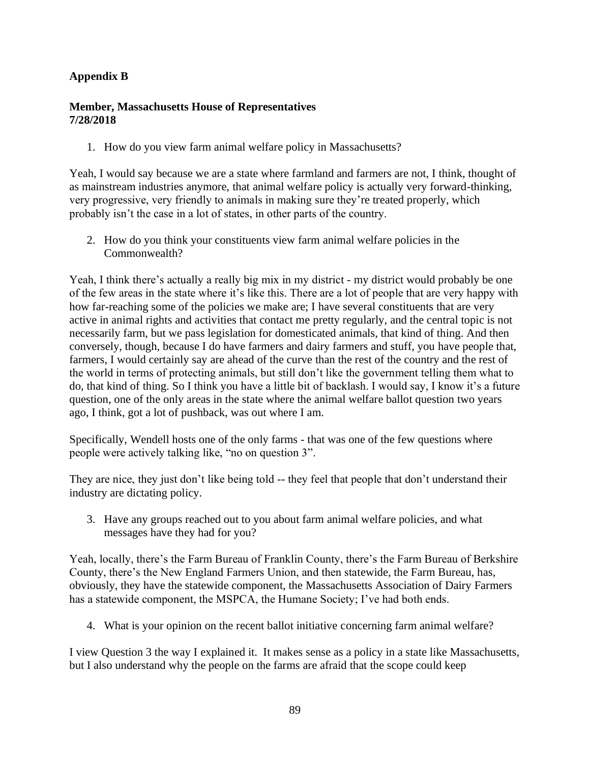## **Appendix B**

### **Member, Massachusetts House of Representatives 7/28/2018**

1. How do you view farm animal welfare policy in Massachusetts?

Yeah, I would say because we are a state where farmland and farmers are not, I think, thought of as mainstream industries anymore, that animal welfare policy is actually very forward-thinking, very progressive, very friendly to animals in making sure they're treated properly, which probably isn't the case in a lot of states, in other parts of the country.

2. How do you think your constituents view farm animal welfare policies in the Commonwealth?

Yeah, I think there's actually a really big mix in my district - my district would probably be one of the few areas in the state where it's like this. There are a lot of people that are very happy with how far-reaching some of the policies we make are; I have several constituents that are very active in animal rights and activities that contact me pretty regularly, and the central topic is not necessarily farm, but we pass legislation for domesticated animals, that kind of thing. And then conversely, though, because I do have farmers and dairy farmers and stuff, you have people that, farmers, I would certainly say are ahead of the curve than the rest of the country and the rest of the world in terms of protecting animals, but still don't like the government telling them what to do, that kind of thing. So I think you have a little bit of backlash. I would say, I know it's a future question, one of the only areas in the state where the animal welfare ballot question two years ago, I think, got a lot of pushback, was out where I am.

Specifically, Wendell hosts one of the only farms - that was one of the few questions where people were actively talking like, "no on question 3".

They are nice, they just don't like being told -- they feel that people that don't understand their industry are dictating policy.

3. Have any groups reached out to you about farm animal welfare policies, and what messages have they had for you?

Yeah, locally, there's the Farm Bureau of Franklin County, there's the Farm Bureau of Berkshire County, there's the New England Farmers Union, and then statewide, the Farm Bureau, has, obviously, they have the statewide component, the Massachusetts Association of Dairy Farmers has a statewide component, the MSPCA, the Humane Society; I've had both ends.

4. What is your opinion on the recent ballot initiative concerning farm animal welfare?

I view Question 3 the way I explained it. It makes sense as a policy in a state like Massachusetts, but I also understand why the people on the farms are afraid that the scope could keep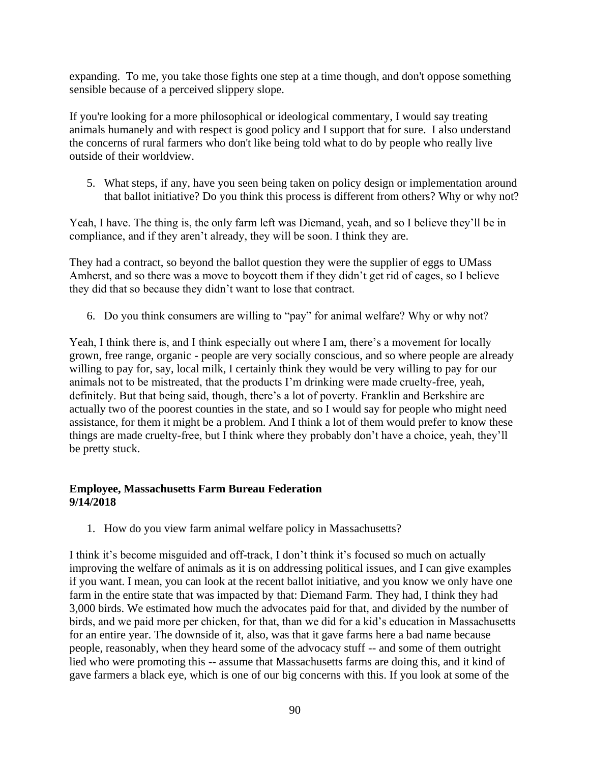expanding. To me, you take those fights one step at a time though, and don't oppose something sensible because of a perceived slippery slope.

If you're looking for a more philosophical or ideological commentary, I would say treating animals humanely and with respect is good policy and I support that for sure. I also understand the concerns of rural farmers who don't like being told what to do by people who really live outside of their worldview.

5. What steps, if any, have you seen being taken on policy design or implementation around that ballot initiative? Do you think this process is different from others? Why or why not?

Yeah, I have. The thing is, the only farm left was Diemand, yeah, and so I believe they'll be in compliance, and if they aren't already, they will be soon. I think they are.

They had a contract, so beyond the ballot question they were the supplier of eggs to UMass Amherst, and so there was a move to boycott them if they didn't get rid of cages, so I believe they did that so because they didn't want to lose that contract.

6. Do you think consumers are willing to "pay" for animal welfare? Why or why not?

Yeah, I think there is, and I think especially out where I am, there's a movement for locally grown, free range, organic - people are very socially conscious, and so where people are already willing to pay for, say, local milk, I certainly think they would be very willing to pay for our animals not to be mistreated, that the products I'm drinking were made cruelty-free, yeah, definitely. But that being said, though, there's a lot of poverty. Franklin and Berkshire are actually two of the poorest counties in the state, and so I would say for people who might need assistance, for them it might be a problem. And I think a lot of them would prefer to know these things are made cruelty-free, but I think where they probably don't have a choice, yeah, they'll be pretty stuck.

### **Employee, Massachusetts Farm Bureau Federation 9/14/2018**

1. How do you view farm animal welfare policy in Massachusetts?

I think it's become misguided and off-track, I don't think it's focused so much on actually improving the welfare of animals as it is on addressing political issues, and I can give examples if you want. I mean, you can look at the recent ballot initiative, and you know we only have one farm in the entire state that was impacted by that: Diemand Farm. They had, I think they had 3,000 birds. We estimated how much the advocates paid for that, and divided by the number of birds, and we paid more per chicken, for that, than we did for a kid's education in Massachusetts for an entire year. The downside of it, also, was that it gave farms here a bad name because people, reasonably, when they heard some of the advocacy stuff -- and some of them outright lied who were promoting this -- assume that Massachusetts farms are doing this, and it kind of gave farmers a black eye, which is one of our big concerns with this. If you look at some of the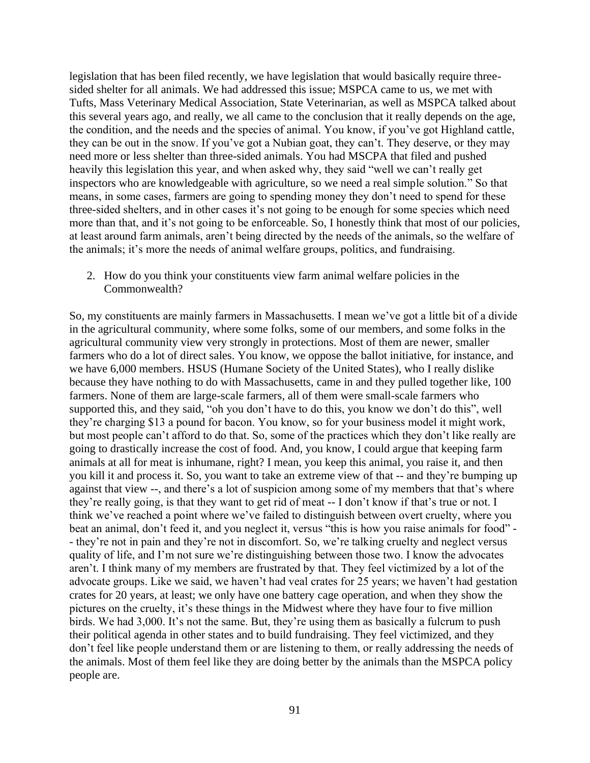legislation that has been filed recently, we have legislation that would basically require threesided shelter for all animals. We had addressed this issue; MSPCA came to us, we met with Tufts, Mass Veterinary Medical Association, State Veterinarian, as well as MSPCA talked about this several years ago, and really, we all came to the conclusion that it really depends on the age, the condition, and the needs and the species of animal. You know, if you've got Highland cattle, they can be out in the snow. If you've got a Nubian goat, they can't. They deserve, or they may need more or less shelter than three-sided animals. You had MSCPA that filed and pushed heavily this legislation this year, and when asked why, they said "well we can't really get inspectors who are knowledgeable with agriculture, so we need a real simple solution." So that means, in some cases, farmers are going to spending money they don't need to spend for these three-sided shelters, and in other cases it's not going to be enough for some species which need more than that, and it's not going to be enforceable. So, I honestly think that most of our policies, at least around farm animals, aren't being directed by the needs of the animals, so the welfare of the animals; it's more the needs of animal welfare groups, politics, and fundraising.

2. How do you think your constituents view farm animal welfare policies in the Commonwealth?

So, my constituents are mainly farmers in Massachusetts. I mean we've got a little bit of a divide in the agricultural community, where some folks, some of our members, and some folks in the agricultural community view very strongly in protections. Most of them are newer, smaller farmers who do a lot of direct sales. You know, we oppose the ballot initiative, for instance, and we have 6,000 members. HSUS (Humane Society of the United States), who I really dislike because they have nothing to do with Massachusetts, came in and they pulled together like, 100 farmers. None of them are large-scale farmers, all of them were small-scale farmers who supported this, and they said, "oh you don't have to do this, you know we don't do this", well they're charging \$13 a pound for bacon. You know, so for your business model it might work, but most people can't afford to do that. So, some of the practices which they don't like really are going to drastically increase the cost of food. And, you know, I could argue that keeping farm animals at all for meat is inhumane, right? I mean, you keep this animal, you raise it, and then you kill it and process it. So, you want to take an extreme view of that -- and they're bumping up against that view --, and there's a lot of suspicion among some of my members that that's where they're really going, is that they want to get rid of meat -- I don't know if that's true or not. I think we've reached a point where we've failed to distinguish between overt cruelty, where you beat an animal, don't feed it, and you neglect it, versus "this is how you raise animals for food" - - they're not in pain and they're not in discomfort. So, we're talking cruelty and neglect versus quality of life, and I'm not sure we're distinguishing between those two. I know the advocates aren't. I think many of my members are frustrated by that. They feel victimized by a lot of the advocate groups. Like we said, we haven't had veal crates for 25 years; we haven't had gestation crates for 20 years, at least; we only have one battery cage operation, and when they show the pictures on the cruelty, it's these things in the Midwest where they have four to five million birds. We had 3,000. It's not the same. But, they're using them as basically a fulcrum to push their political agenda in other states and to build fundraising. They feel victimized, and they don't feel like people understand them or are listening to them, or really addressing the needs of the animals. Most of them feel like they are doing better by the animals than the MSPCA policy people are.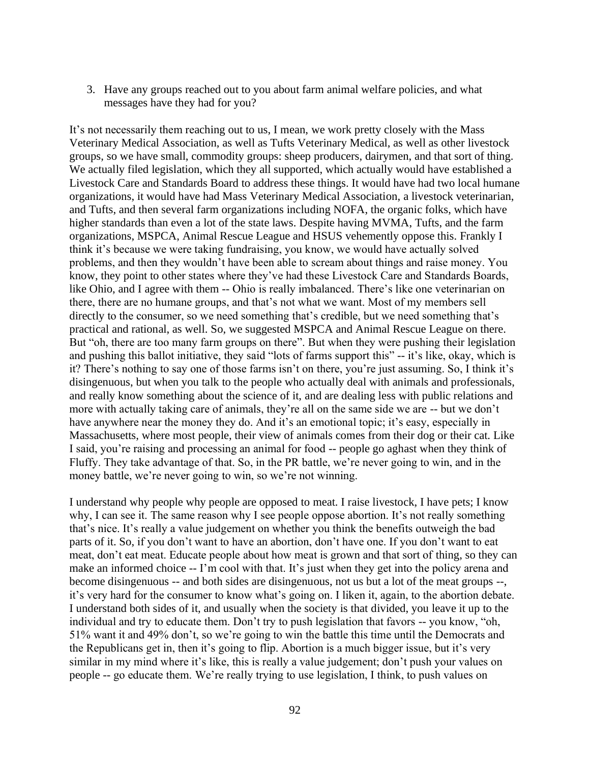3. Have any groups reached out to you about farm animal welfare policies, and what messages have they had for you?

It's not necessarily them reaching out to us, I mean, we work pretty closely with the Mass Veterinary Medical Association, as well as Tufts Veterinary Medical, as well as other livestock groups, so we have small, commodity groups: sheep producers, dairymen, and that sort of thing. We actually filed legislation, which they all supported, which actually would have established a Livestock Care and Standards Board to address these things. It would have had two local humane organizations, it would have had Mass Veterinary Medical Association, a livestock veterinarian, and Tufts, and then several farm organizations including NOFA, the organic folks, which have higher standards than even a lot of the state laws. Despite having MVMA, Tufts, and the farm organizations, MSPCA, Animal Rescue League and HSUS vehemently oppose this. Frankly I think it's because we were taking fundraising, you know, we would have actually solved problems, and then they wouldn't have been able to scream about things and raise money. You know, they point to other states where they've had these Livestock Care and Standards Boards, like Ohio, and I agree with them -- Ohio is really imbalanced. There's like one veterinarian on there, there are no humane groups, and that's not what we want. Most of my members sell directly to the consumer, so we need something that's credible, but we need something that's practical and rational, as well. So, we suggested MSPCA and Animal Rescue League on there. But "oh, there are too many farm groups on there". But when they were pushing their legislation and pushing this ballot initiative, they said "lots of farms support this" -- it's like, okay, which is it? There's nothing to say one of those farms isn't on there, you're just assuming. So, I think it's disingenuous, but when you talk to the people who actually deal with animals and professionals, and really know something about the science of it, and are dealing less with public relations and more with actually taking care of animals, they're all on the same side we are -- but we don't have anywhere near the money they do. And it's an emotional topic; it's easy, especially in Massachusetts, where most people, their view of animals comes from their dog or their cat. Like I said, you're raising and processing an animal for food -- people go aghast when they think of Fluffy. They take advantage of that. So, in the PR battle, we're never going to win, and in the money battle, we're never going to win, so we're not winning.

I understand why people why people are opposed to meat. I raise livestock, I have pets; I know why, I can see it. The same reason why I see people oppose abortion. It's not really something that's nice. It's really a value judgement on whether you think the benefits outweigh the bad parts of it. So, if you don't want to have an abortion, don't have one. If you don't want to eat meat, don't eat meat. Educate people about how meat is grown and that sort of thing, so they can make an informed choice -- I'm cool with that. It's just when they get into the policy arena and become disingenuous -- and both sides are disingenuous, not us but a lot of the meat groups --, it's very hard for the consumer to know what's going on. I liken it, again, to the abortion debate. I understand both sides of it, and usually when the society is that divided, you leave it up to the individual and try to educate them. Don't try to push legislation that favors -- you know, "oh, 51% want it and 49% don't, so we're going to win the battle this time until the Democrats and the Republicans get in, then it's going to flip. Abortion is a much bigger issue, but it's very similar in my mind where it's like, this is really a value judgement; don't push your values on people -- go educate them. We're really trying to use legislation, I think, to push values on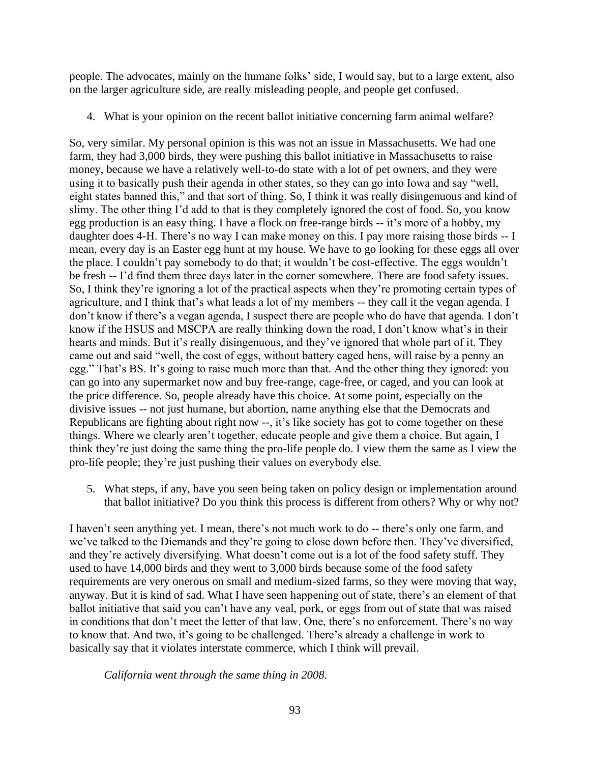people. The advocates, mainly on the humane folks' side, I would say, but to a large extent, also on the larger agriculture side, are really misleading people, and people get confused.

4. What is your opinion on the recent ballot initiative concerning farm animal welfare?

So, very similar. My personal opinion is this was not an issue in Massachusetts. We had one farm, they had 3,000 birds, they were pushing this ballot initiative in Massachusetts to raise money, because we have a relatively well-to-do state with a lot of pet owners, and they were using it to basically push their agenda in other states, so they can go into Iowa and say "well, eight states banned this," and that sort of thing. So, I think it was really disingenuous and kind of slimy. The other thing I'd add to that is they completely ignored the cost of food. So, you know egg production is an easy thing. I have a flock on free-range birds -- it's more of a hobby, my daughter does 4-H. There's no way I can make money on this. I pay more raising those birds -- I mean, every day is an Easter egg hunt at my house. We have to go looking for these eggs all over the place. I couldn't pay somebody to do that; it wouldn't be cost-effective. The eggs wouldn't be fresh -- I'd find them three days later in the corner somewhere. There are food safety issues. So, I think they're ignoring a lot of the practical aspects when they're promoting certain types of agriculture, and I think that's what leads a lot of my members -- they call it the vegan agenda. I don't know if there's a vegan agenda, I suspect there are people who do have that agenda. I don't know if the HSUS and MSCPA are really thinking down the road, I don't know what's in their hearts and minds. But it's really disingenuous, and they've ignored that whole part of it. They came out and said "well, the cost of eggs, without battery caged hens, will raise by a penny an egg." That's BS. It's going to raise much more than that. And the other thing they ignored: you can go into any supermarket now and buy free-range, cage-free, or caged, and you can look at the price difference. So, people already have this choice. At some point, especially on the divisive issues -- not just humane, but abortion, name anything else that the Democrats and Republicans are fighting about right now --, it's like society has got to come together on these things. Where we clearly aren't together, educate people and give them a choice. But again, I think they're just doing the same thing the pro-life people do. I view them the same as I view the pro-life people; they're just pushing their values on everybody else.

5. What steps, if any, have you seen being taken on policy design or implementation around that ballot initiative? Do you think this process is different from others? Why or why not?

I haven't seen anything yet. I mean, there's not much work to do -- there's only one farm, and we've talked to the Diemands and they're going to close down before then. They've diversified, and they're actively diversifying. What doesn't come out is a lot of the food safety stuff. They used to have 14,000 birds and they went to 3,000 birds because some of the food safety requirements are very onerous on small and medium-sized farms, so they were moving that way, anyway. But it is kind of sad. What I have seen happening out of state, there's an element of that ballot initiative that said you can't have any veal, pork, or eggs from out of state that was raised in conditions that don't meet the letter of that law. One, there's no enforcement. There's no way to know that. And two, it's going to be challenged. There's already a challenge in work to basically say that it violates interstate commerce, which I think will prevail.

*California went through the same thing in 2008.*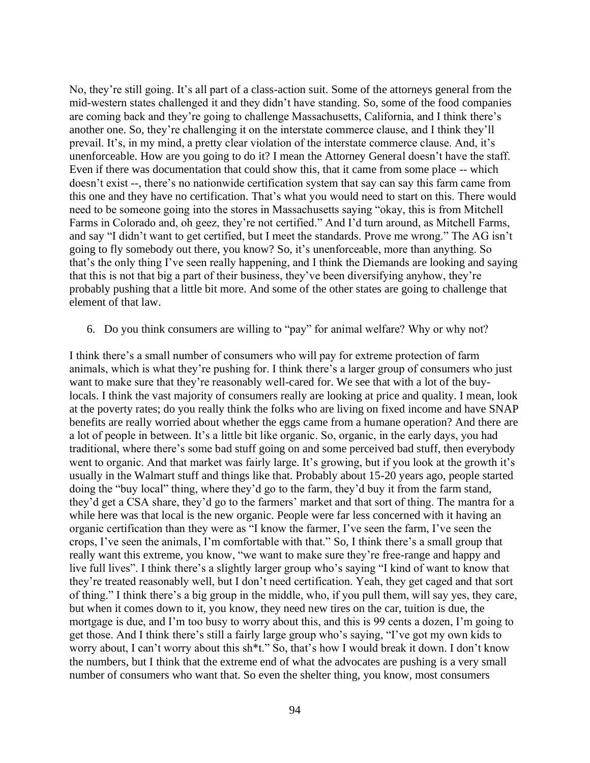No, they're still going. It's all part of a class-action suit. Some of the attorneys general from the mid-western states challenged it and they didn't have standing. So, some of the food companies are coming back and they're going to challenge Massachusetts, California, and I think there's another one. So, they're challenging it on the interstate commerce clause, and I think they'll prevail. It's, in my mind, a pretty clear violation of the interstate commerce clause. And, it's unenforceable. How are you going to do it? I mean the Attorney General doesn't have the staff. Even if there was documentation that could show this, that it came from some place -- which doesn't exist --, there's no nationwide certification system that say can say this farm came from this one and they have no certification. That's what you would need to start on this. There would need to be someone going into the stores in Massachusetts saying "okay, this is from Mitchell Farms in Colorado and, oh geez, they're not certified." And I'd turn around, as Mitchell Farms, and say "I didn't want to get certified, but I meet the standards. Prove me wrong." The AG isn't going to fly somebody out there, you know? So, it's unenforceable, more than anything. So that's the only thing I've seen really happening, and I think the Diemands are looking and saying that this is not that big a part of their business, they've been diversifying anyhow, they're probably pushing that a little bit more. And some of the other states are going to challenge that element of that law.

#### 6. Do you think consumers are willing to "pay" for animal welfare? Why or why not?

I think there's a small number of consumers who will pay for extreme protection of farm animals, which is what they're pushing for. I think there's a larger group of consumers who just want to make sure that they're reasonably well-cared for. We see that with a lot of the buylocals. I think the vast majority of consumers really are looking at price and quality. I mean, look at the poverty rates; do you really think the folks who are living on fixed income and have SNAP benefits are really worried about whether the eggs came from a humane operation? And there are a lot of people in between. It's a little bit like organic. So, organic, in the early days, you had traditional, where there's some bad stuff going on and some perceived bad stuff, then everybody went to organic. And that market was fairly large. It's growing, but if you look at the growth it's usually in the Walmart stuff and things like that. Probably about 15-20 years ago, people started doing the "buy local" thing, where they'd go to the farm, they'd buy it from the farm stand, they'd get a CSA share, they'd go to the farmers' market and that sort of thing. The mantra for a while here was that local is the new organic. People were far less concerned with it having an organic certification than they were as "I know the farmer, I've seen the farm, I've seen the crops, I've seen the animals, I'm comfortable with that." So, I think there's a small group that really want this extreme, you know, "we want to make sure they're free-range and happy and live full lives". I think there's a slightly larger group who's saying "I kind of want to know that they're treated reasonably well, but I don't need certification. Yeah, they get caged and that sort of thing." I think there's a big group in the middle, who, if you pull them, will say yes, they care, but when it comes down to it, you know, they need new tires on the car, tuition is due, the mortgage is due, and I'm too busy to worry about this, and this is 99 cents a dozen, I'm going to get those. And I think there's still a fairly large group who's saying, "I've got my own kids to worry about, I can't worry about this sh\*t." So, that's how I would break it down. I don't know the numbers, but I think that the extreme end of what the advocates are pushing is a very small number of consumers who want that. So even the shelter thing, you know, most consumers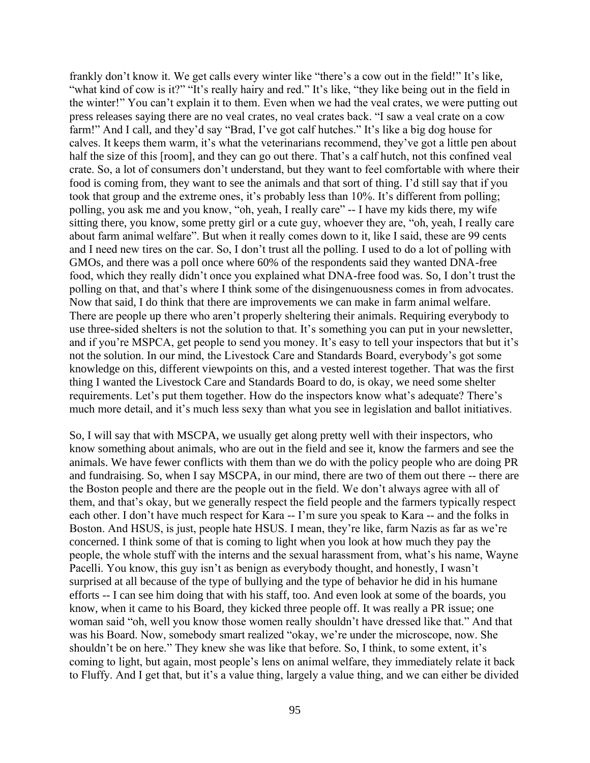frankly don't know it. We get calls every winter like "there's a cow out in the field!" It's like, "what kind of cow is it?" "It's really hairy and red." It's like, "they like being out in the field in the winter!" You can't explain it to them. Even when we had the veal crates, we were putting out press releases saying there are no veal crates, no veal crates back. "I saw a veal crate on a cow farm!" And I call, and they'd say "Brad, I've got calf hutches." It's like a big dog house for calves. It keeps them warm, it's what the veterinarians recommend, they've got a little pen about half the size of this [room], and they can go out there. That's a calf hutch, not this confined veal crate. So, a lot of consumers don't understand, but they want to feel comfortable with where their food is coming from, they want to see the animals and that sort of thing. I'd still say that if you took that group and the extreme ones, it's probably less than 10%. It's different from polling; polling, you ask me and you know, "oh, yeah, I really care" -- I have my kids there, my wife sitting there, you know, some pretty girl or a cute guy, whoever they are, "oh, yeah, I really care about farm animal welfare". But when it really comes down to it, like I said, these are 99 cents and I need new tires on the car. So, I don't trust all the polling. I used to do a lot of polling with GMOs, and there was a poll once where 60% of the respondents said they wanted DNA-free food, which they really didn't once you explained what DNA-free food was. So, I don't trust the polling on that, and that's where I think some of the disingenuousness comes in from advocates. Now that said, I do think that there are improvements we can make in farm animal welfare. There are people up there who aren't properly sheltering their animals. Requiring everybody to use three-sided shelters is not the solution to that. It's something you can put in your newsletter, and if you're MSPCA, get people to send you money. It's easy to tell your inspectors that but it's not the solution. In our mind, the Livestock Care and Standards Board, everybody's got some knowledge on this, different viewpoints on this, and a vested interest together. That was the first thing I wanted the Livestock Care and Standards Board to do, is okay, we need some shelter requirements. Let's put them together. How do the inspectors know what's adequate? There's much more detail, and it's much less sexy than what you see in legislation and ballot initiatives.

So, I will say that with MSCPA, we usually get along pretty well with their inspectors, who know something about animals, who are out in the field and see it, know the farmers and see the animals. We have fewer conflicts with them than we do with the policy people who are doing PR and fundraising. So, when I say MSCPA, in our mind, there are two of them out there -- there are the Boston people and there are the people out in the field. We don't always agree with all of them, and that's okay, but we generally respect the field people and the farmers typically respect each other. I don't have much respect for Kara -- I'm sure you speak to Kara -- and the folks in Boston. And HSUS, is just, people hate HSUS. I mean, they're like, farm Nazis as far as we're concerned. I think some of that is coming to light when you look at how much they pay the people, the whole stuff with the interns and the sexual harassment from, what's his name, Wayne Pacelli. You know, this guy isn't as benign as everybody thought, and honestly, I wasn't surprised at all because of the type of bullying and the type of behavior he did in his humane efforts -- I can see him doing that with his staff, too. And even look at some of the boards, you know, when it came to his Board, they kicked three people off. It was really a PR issue; one woman said "oh, well you know those women really shouldn't have dressed like that." And that was his Board. Now, somebody smart realized "okay, we're under the microscope, now. She shouldn't be on here." They knew she was like that before. So, I think, to some extent, it's coming to light, but again, most people's lens on animal welfare, they immediately relate it back to Fluffy. And I get that, but it's a value thing, largely a value thing, and we can either be divided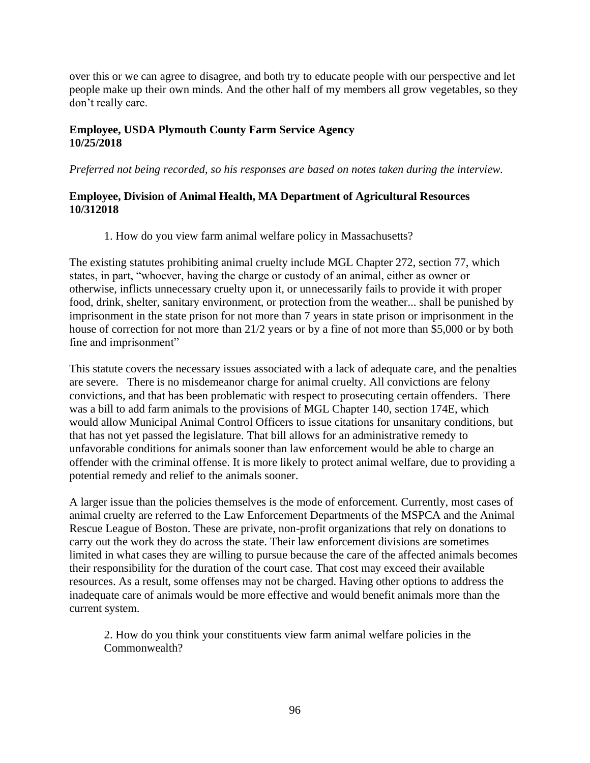over this or we can agree to disagree, and both try to educate people with our perspective and let people make up their own minds. And the other half of my members all grow vegetables, so they don't really care.

#### **Employee, USDA Plymouth County Farm Service Agency 10/25/2018**

*Preferred not being recorded, so his responses are based on notes taken during the interview.*

#### **Employee, Division of Animal Health, MA Department of Agricultural Resources 10/312018**

1. How do you view farm animal welfare policy in Massachusetts?

The existing statutes prohibiting animal cruelty include MGL Chapter 272, section 77, which states, in part, "whoever, having the charge or custody of an animal, either as owner or otherwise, inflicts unnecessary cruelty upon it, or unnecessarily fails to provide it with proper food, drink, shelter, sanitary environment, or protection from the weather... shall be punished by imprisonment in the state prison for not more than 7 years in state prison or imprisonment in the house of correction for not more than 21/2 years or by a fine of not more than \$5,000 or by both fine and imprisonment"

This statute covers the necessary issues associated with a lack of adequate care, and the penalties are severe. There is no misdemeanor charge for animal cruelty. All convictions are felony convictions, and that has been problematic with respect to prosecuting certain offenders. There was a bill to add farm animals to the provisions of MGL Chapter 140, section 174E, which would allow Municipal Animal Control Officers to issue citations for unsanitary conditions, but that has not yet passed the legislature. That bill allows for an administrative remedy to unfavorable conditions for animals sooner than law enforcement would be able to charge an offender with the criminal offense. It is more likely to protect animal welfare, due to providing a potential remedy and relief to the animals sooner.

A larger issue than the policies themselves is the mode of enforcement. Currently, most cases of animal cruelty are referred to the Law Enforcement Departments of the MSPCA and the Animal Rescue League of Boston. These are private, non-profit organizations that rely on donations to carry out the work they do across the state. Their law enforcement divisions are sometimes limited in what cases they are willing to pursue because the care of the affected animals becomes their responsibility for the duration of the court case. That cost may exceed their available resources. As a result, some offenses may not be charged. Having other options to address the inadequate care of animals would be more effective and would benefit animals more than the current system.

2. How do you think your constituents view farm animal welfare policies in the Commonwealth?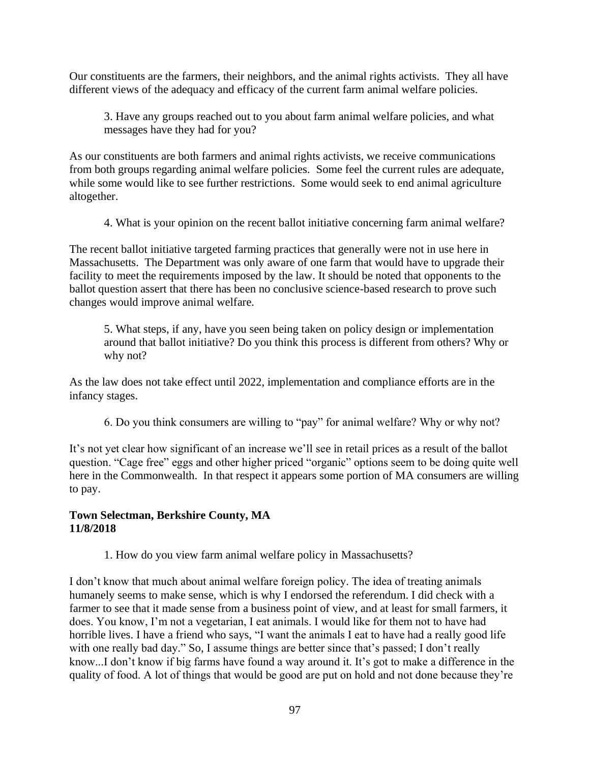Our constituents are the farmers, their neighbors, and the animal rights activists. They all have different views of the adequacy and efficacy of the current farm animal welfare policies.

3. Have any groups reached out to you about farm animal welfare policies, and what messages have they had for you?

As our constituents are both farmers and animal rights activists, we receive communications from both groups regarding animal welfare policies. Some feel the current rules are adequate, while some would like to see further restrictions. Some would seek to end animal agriculture altogether.

4. What is your opinion on the recent ballot initiative concerning farm animal welfare?

The recent ballot initiative targeted farming practices that generally were not in use here in Massachusetts. The Department was only aware of one farm that would have to upgrade their facility to meet the requirements imposed by the law. It should be noted that opponents to the ballot question assert that there has been no conclusive science-based research to prove such changes would improve animal welfare.

5. What steps, if any, have you seen being taken on policy design or implementation around that ballot initiative? Do you think this process is different from others? Why or why not?

As the law does not take effect until 2022, implementation and compliance efforts are in the infancy stages.

6. Do you think consumers are willing to "pay" for animal welfare? Why or why not?

It's not yet clear how significant of an increase we'll see in retail prices as a result of the ballot question. "Cage free" eggs and other higher priced "organic" options seem to be doing quite well here in the Commonwealth. In that respect it appears some portion of MA consumers are willing to pay.

### **Town Selectman, Berkshire County, MA 11/8/2018**

1. How do you view farm animal welfare policy in Massachusetts?

I don't know that much about animal welfare foreign policy. The idea of treating animals humanely seems to make sense, which is why I endorsed the referendum. I did check with a farmer to see that it made sense from a business point of view, and at least for small farmers, it does. You know, I'm not a vegetarian, I eat animals. I would like for them not to have had horrible lives. I have a friend who says, "I want the animals I eat to have had a really good life with one really bad day." So, I assume things are better since that's passed; I don't really know...I don't know if big farms have found a way around it. It's got to make a difference in the quality of food. A lot of things that would be good are put on hold and not done because they're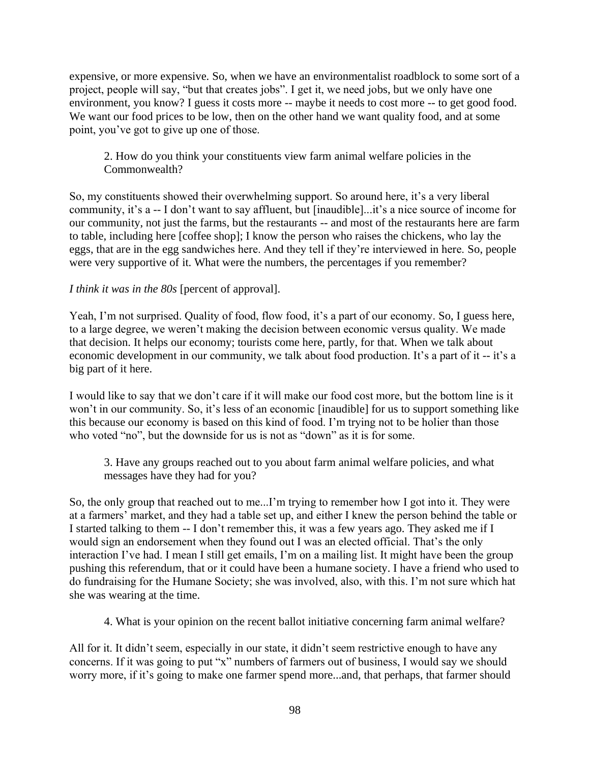expensive, or more expensive. So, when we have an environmentalist roadblock to some sort of a project, people will say, "but that creates jobs". I get it, we need jobs, but we only have one environment, you know? I guess it costs more -- maybe it needs to cost more -- to get good food. We want our food prices to be low, then on the other hand we want quality food, and at some point, you've got to give up one of those.

2. How do you think your constituents view farm animal welfare policies in the Commonwealth?

So, my constituents showed their overwhelming support. So around here, it's a very liberal community, it's a -- I don't want to say affluent, but [inaudible]...it's a nice source of income for our community, not just the farms, but the restaurants -- and most of the restaurants here are farm to table, including here [coffee shop]; I know the person who raises the chickens, who lay the eggs, that are in the egg sandwiches here. And they tell if they're interviewed in here. So, people were very supportive of it. What were the numbers, the percentages if you remember?

### *I think it was in the 80s* [percent of approval].

Yeah, I'm not surprised. Quality of food, flow food, it's a part of our economy. So, I guess here, to a large degree, we weren't making the decision between economic versus quality. We made that decision. It helps our economy; tourists come here, partly, for that. When we talk about economic development in our community, we talk about food production. It's a part of it -- it's a big part of it here.

I would like to say that we don't care if it will make our food cost more, but the bottom line is it won't in our community. So, it's less of an economic [inaudible] for us to support something like this because our economy is based on this kind of food. I'm trying not to be holier than those who voted "no", but the downside for us is not as "down" as it is for some.

3. Have any groups reached out to you about farm animal welfare policies, and what messages have they had for you?

So, the only group that reached out to me...I'm trying to remember how I got into it. They were at a farmers' market, and they had a table set up, and either I knew the person behind the table or I started talking to them -- I don't remember this, it was a few years ago. They asked me if I would sign an endorsement when they found out I was an elected official. That's the only interaction I've had. I mean I still get emails, I'm on a mailing list. It might have been the group pushing this referendum, that or it could have been a humane society. I have a friend who used to do fundraising for the Humane Society; she was involved, also, with this. I'm not sure which hat she was wearing at the time.

4. What is your opinion on the recent ballot initiative concerning farm animal welfare?

All for it. It didn't seem, especially in our state, it didn't seem restrictive enough to have any concerns. If it was going to put "x" numbers of farmers out of business, I would say we should worry more, if it's going to make one farmer spend more...and, that perhaps, that farmer should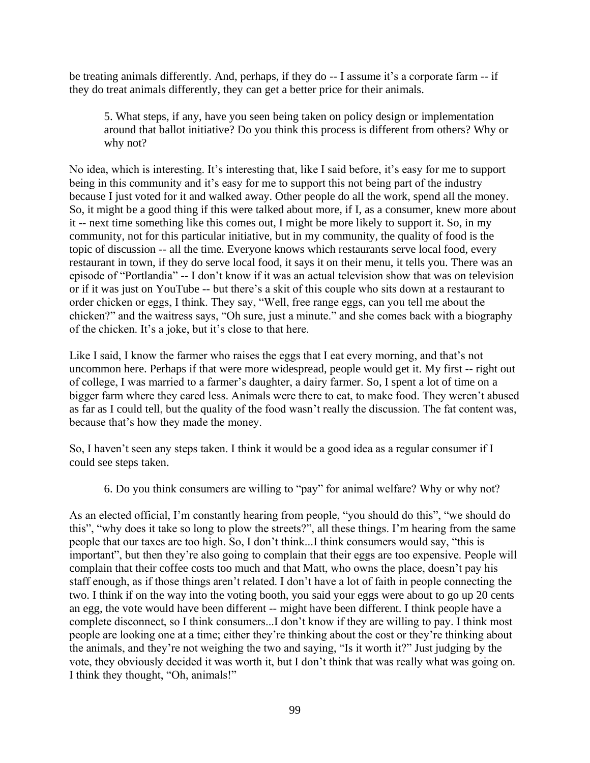be treating animals differently. And, perhaps, if they do -- I assume it's a corporate farm -- if they do treat animals differently, they can get a better price for their animals.

5. What steps, if any, have you seen being taken on policy design or implementation around that ballot initiative? Do you think this process is different from others? Why or why not?

No idea, which is interesting. It's interesting that, like I said before, it's easy for me to support being in this community and it's easy for me to support this not being part of the industry because I just voted for it and walked away. Other people do all the work, spend all the money. So, it might be a good thing if this were talked about more, if I, as a consumer, knew more about it -- next time something like this comes out, I might be more likely to support it. So, in my community, not for this particular initiative, but in my community, the quality of food is the topic of discussion -- all the time. Everyone knows which restaurants serve local food, every restaurant in town, if they do serve local food, it says it on their menu, it tells you. There was an episode of "Portlandia" -- I don't know if it was an actual television show that was on television or if it was just on YouTube -- but there's a skit of this couple who sits down at a restaurant to order chicken or eggs, I think. They say, "Well, free range eggs, can you tell me about the chicken?" and the waitress says, "Oh sure, just a minute." and she comes back with a biography of the chicken. It's a joke, but it's close to that here.

Like I said, I know the farmer who raises the eggs that I eat every morning, and that's not uncommon here. Perhaps if that were more widespread, people would get it. My first -- right out of college, I was married to a farmer's daughter, a dairy farmer. So, I spent a lot of time on a bigger farm where they cared less. Animals were there to eat, to make food. They weren't abused as far as I could tell, but the quality of the food wasn't really the discussion. The fat content was, because that's how they made the money.

So, I haven't seen any steps taken. I think it would be a good idea as a regular consumer if I could see steps taken.

6. Do you think consumers are willing to "pay" for animal welfare? Why or why not?

As an elected official, I'm constantly hearing from people, "you should do this", "we should do this", "why does it take so long to plow the streets?", all these things. I'm hearing from the same people that our taxes are too high. So, I don't think...I think consumers would say, "this is important", but then they're also going to complain that their eggs are too expensive. People will complain that their coffee costs too much and that Matt, who owns the place, doesn't pay his staff enough, as if those things aren't related. I don't have a lot of faith in people connecting the two. I think if on the way into the voting booth, you said your eggs were about to go up 20 cents an egg, the vote would have been different -- might have been different. I think people have a complete disconnect, so I think consumers...I don't know if they are willing to pay. I think most people are looking one at a time; either they're thinking about the cost or they're thinking about the animals, and they're not weighing the two and saying, "Is it worth it?" Just judging by the vote, they obviously decided it was worth it, but I don't think that was really what was going on. I think they thought, "Oh, animals!"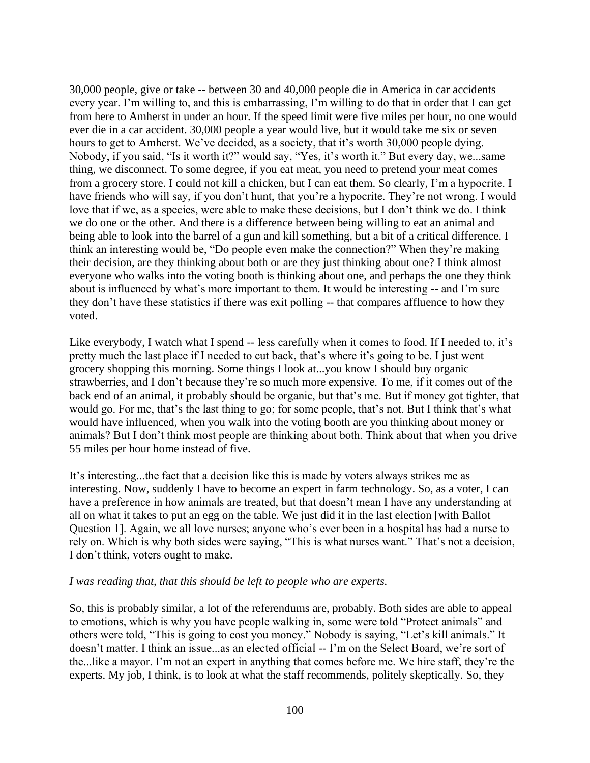30,000 people, give or take -- between 30 and 40,000 people die in America in car accidents every year. I'm willing to, and this is embarrassing, I'm willing to do that in order that I can get from here to Amherst in under an hour. If the speed limit were five miles per hour, no one would ever die in a car accident. 30,000 people a year would live, but it would take me six or seven hours to get to Amherst. We've decided, as a society, that it's worth 30,000 people dying. Nobody, if you said, "Is it worth it?" would say, "Yes, it's worth it." But every day, we...same thing, we disconnect. To some degree, if you eat meat, you need to pretend your meat comes from a grocery store. I could not kill a chicken, but I can eat them. So clearly, I'm a hypocrite. I have friends who will say, if you don't hunt, that you're a hypocrite. They're not wrong. I would love that if we, as a species, were able to make these decisions, but I don't think we do. I think we do one or the other. And there is a difference between being willing to eat an animal and being able to look into the barrel of a gun and kill something, but a bit of a critical difference. I think an interesting would be, "Do people even make the connection?" When they're making their decision, are they thinking about both or are they just thinking about one? I think almost everyone who walks into the voting booth is thinking about one, and perhaps the one they think about is influenced by what's more important to them. It would be interesting -- and I'm sure they don't have these statistics if there was exit polling -- that compares affluence to how they voted.

Like everybody, I watch what I spend -- less carefully when it comes to food. If I needed to, it's pretty much the last place if I needed to cut back, that's where it's going to be. I just went grocery shopping this morning. Some things I look at...you know I should buy organic strawberries, and I don't because they're so much more expensive. To me, if it comes out of the back end of an animal, it probably should be organic, but that's me. But if money got tighter, that would go. For me, that's the last thing to go; for some people, that's not. But I think that's what would have influenced, when you walk into the voting booth are you thinking about money or animals? But I don't think most people are thinking about both. Think about that when you drive 55 miles per hour home instead of five.

It's interesting...the fact that a decision like this is made by voters always strikes me as interesting. Now, suddenly I have to become an expert in farm technology. So, as a voter, I can have a preference in how animals are treated, but that doesn't mean I have any understanding at all on what it takes to put an egg on the table. We just did it in the last election [with Ballot Question 1]. Again, we all love nurses; anyone who's ever been in a hospital has had a nurse to rely on. Which is why both sides were saying, "This is what nurses want." That's not a decision, I don't think, voters ought to make.

#### *I was reading that, that this should be left to people who are experts.*

So, this is probably similar, a lot of the referendums are, probably. Both sides are able to appeal to emotions, which is why you have people walking in, some were told "Protect animals" and others were told, "This is going to cost you money." Nobody is saying, "Let's kill animals." It doesn't matter. I think an issue...as an elected official -- I'm on the Select Board, we're sort of the...like a mayor. I'm not an expert in anything that comes before me. We hire staff, they're the experts. My job, I think, is to look at what the staff recommends, politely skeptically. So, they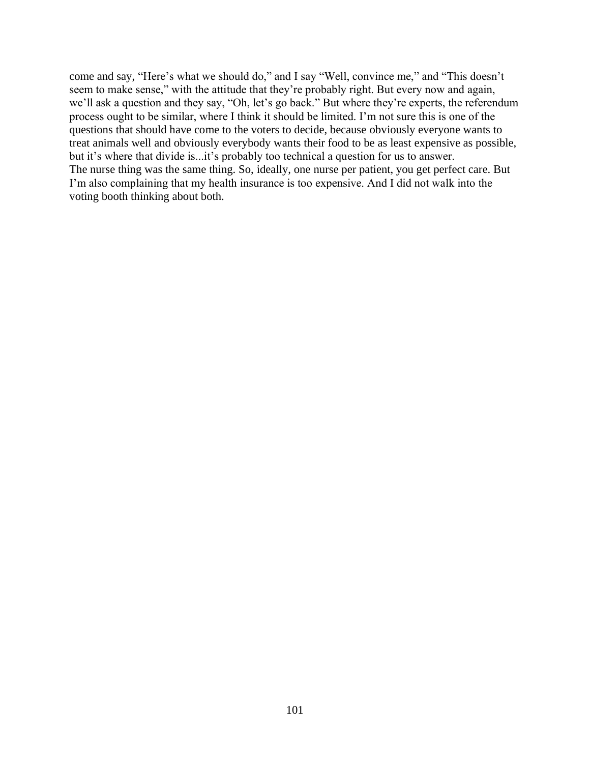come and say, "Here's what we should do," and I say "Well, convince me," and "This doesn't seem to make sense," with the attitude that they're probably right. But every now and again, we'll ask a question and they say, "Oh, let's go back." But where they're experts, the referendum process ought to be similar, where I think it should be limited. I'm not sure this is one of the questions that should have come to the voters to decide, because obviously everyone wants to treat animals well and obviously everybody wants their food to be as least expensive as possible, but it's where that divide is...it's probably too technical a question for us to answer. The nurse thing was the same thing. So, ideally, one nurse per patient, you get perfect care. But I'm also complaining that my health insurance is too expensive. And I did not walk into the voting booth thinking about both.